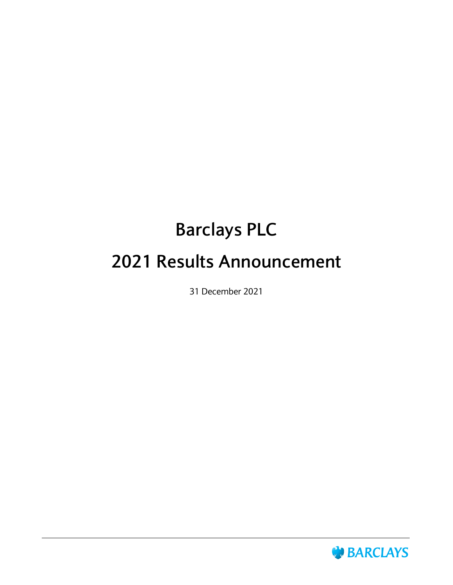# **Barclays PLC 2021 Results Announcement**

31 December 2021

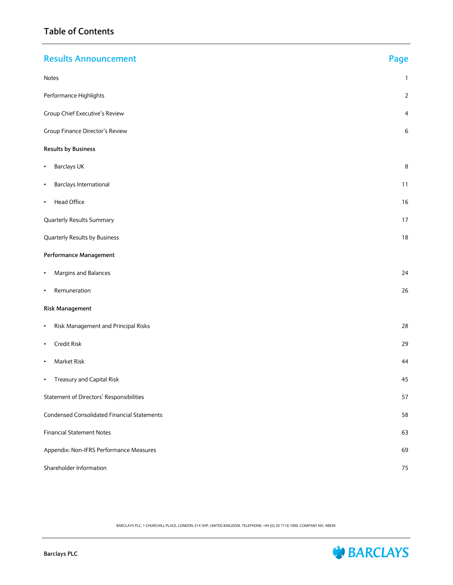| <b>Results Announcement</b>                        | Page             |
|----------------------------------------------------|------------------|
| Notes                                              | $\mathbf{1}$     |
| Performance Highlights                             | $\overline{2}$   |
| Group Chief Executive's Review                     | 4                |
| <b>Group Finance Director's Review</b>             | $\boldsymbol{6}$ |
| <b>Results by Business</b>                         |                  |
| <b>Barclays UK</b><br>$\bullet$                    | $\bf 8$          |
| Barclays International<br>$\bullet$                | 11               |
| Head Office<br>$\bullet$                           | 16               |
| <b>Quarterly Results Summary</b>                   | 17               |
| Quarterly Results by Business                      | 18               |
| Performance Management                             |                  |
| Margins and Balances<br>$\bullet$                  | 24               |
| Remuneration<br>$\bullet$                          | 26               |
| <b>Risk Management</b>                             |                  |
| Risk Management and Principal Risks<br>$\bullet$   | 28               |
| Credit Risk<br>$\bullet$                           | 29               |
| Market Risk<br>$\bullet$                           | 44               |
| <b>Treasury and Capital Risk</b><br>$\bullet$      | 45               |
| Statement of Directors' Responsibilities           | 57               |
| <b>Condensed Consolidated Financial Statements</b> | 58               |
| <b>Financial Statement Notes</b>                   | 63               |
| Appendix: Non-IFRS Performance Measures            | 69               |
| Shareholder Information                            | 75               |

BARCLAYS PLC, 1 CHURCHILL PLACE, LONDON, E14 5HP, UNITED KINGDOM. TELEPHONE: +44 (0) 20 7116 1000. COMPANY NO. 48839.

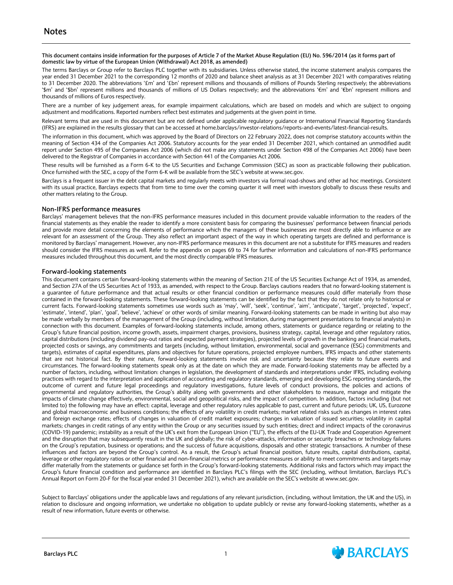#### <span id="page-2-0"></span>**This document contains inside information for the purposes of Article 7 of the Market Abuse Regulation (EU) No. 596/2014 (as it forms part of domestic law by virtue of the European Union (Withdrawal) Act 2018, as amended)**

The terms Barclays or Group refer to Barclays PLC together with its subsidiaries. Unless otherwise stated, the income statement analysis compares the year ended 31 December 2021 to the corresponding 12 months of 2020 and balance sheet analysis as at 31 December 2021 with comparatives relating to 31 December 2020. The abbreviations '£m' and '£bn' represent millions and thousands of millions of Pounds Sterling respectively; the abbreviations '\$m' and '\$bn' represent millions and thousands of millions of US Dollars respectively; and the abbreviations '€m' and '€bn' represent millions and thousands of millions of Euros respectively.

There are a number of key judgement areas, for example impairment calculations, which are based on models and which are subject to ongoing adjustment and modifications. Reported numbers reflect best estimates and judgements at the given point in time.

Relevant terms that are used in this document but are not defined under applicable regulatory guidance or International Financial Reporting Standards (IFRS) are explained in the results glossary that can be accessed at home.barclays/investor-relations/reports-and-events/latest-financial-results.

The information in this document, which was approved by the Board of Directors on 22 February 2022, does not comprise statutory accounts within the meaning of Section 434 of the Companies Act 2006. Statutory accounts for the year ended 31 December 2021, which contained an unmodified audit report under Section 495 of the Companies Act 2006 (which did not make any statements under Section 498 of the Companies Act 2006) have been delivered to the Registrar of Companies in accordance with Section 441 of the Companies Act 2006.

These results will be furnished as a Form 6-K to the US Securities and Exchange Commission (SEC) as soon as practicable following their publication. Once furnished with the SEC, a copy of the Form 6-K will be available from the SEC's website at www.sec.gov.

Barclays is a frequent issuer in the debt capital markets and regularly meets with investors via formal road-shows and other ad hoc meetings. Consistent with its usual practice, Barclays expects that from time to time over the coming quarter it will meet with investors globally to discuss these results and other matters relating to the Group.

#### **Non-IFRS performance measures**

Barclays' management believes that the non-IFRS performance measures included in this document provide valuable information to the readers of the financial statements as they enable the reader to identify a more consistent basis for comparing the businesses' performance between financial periods and provide more detail concerning the elements of performance which the managers of these businesses are most directly able to influence or are relevant for an assessment of the Group. They also reflect an important aspect of the way in which operating targets are defined and performance is monitored by Barclays' management. However, any non-IFRS performance measures in this document are not a substitute for IFRS measures and readers should consider the IFRS measures as well. Refer to the appendix on pages 69 to 74 for further information and calculations of non-IFRS performance measures included throughout this document, and the most directly comparable IFRS measures.

#### **Forward-looking statements**

This document contains certain forward-looking statements within the meaning of Section 21E of the US Securities Exchange Act of 1934, as amended, and Section 27A of the US Securities Act of 1933, as amended, with respect to the Group. Barclays cautions readers that no forward-looking statement is a guarantee of future performance and that actual results or other financial condition or performance measures could differ materially from those contained in the forward-looking statements. These forward-looking statements can be identified by the fact that they do not relate only to historical or current facts. Forward-looking statements sometimes use words such as 'may', 'will', 'seek', 'continue', 'aim', 'anticipate', 'target', 'projected', 'expect', 'estimate', 'intend', 'plan', 'goal', 'believe', 'achieve' or other words of similar meaning. Forward-looking statements can be made in writing but also may be made verbally by members of the management of the Group (including, without limitation, during management presentations to financial analysts) in connection with this document. Examples of forward-looking statements include, among others, statements or guidance regarding or relating to the Group's future financial position, income growth, assets, impairment charges, provisions, business strategy, capital, leverage and other regulatory ratios, capital distributions (including dividend pay-out ratios and expected payment strategies), projected levels of growth in the banking and financial markets, projected costs or savings, any commitments and targets (including, without limitation, environmental, social and governance (ESG) commitments and targets), estimates of capital expenditures, plans and objectives for future operations, projected employee numbers, IFRS impacts and other statements that are not historical fact. By their nature, forward-looking statements involve risk and uncertainty because they relate to future events and circumstances. The forward-looking statements speak only as at the date on which they are made. Forward-looking statements may be affected by a number of factors, including, without limitation: changes in legislation, the development of standards and interpretations under IFRS, including evolving practices with regard to the interpretation and application of accounting and regulatory standards, emerging and developing ESG reporting standards, the outcome of current and future legal proceedings and regulatory investigations, future levels of conduct provisions, the policies and actions of governmental and regulatory authorities, the Group's ability along with governments and other stakeholders to measure, manage and mitigate the impacts of climate change effectively, environmental, social and geopolitical risks, and the impact of competition. In addition, factors including (but not limited to) the following may have an effect: capital, leverage and other regulatory rules applicable to past, current and future periods; UK, US, Eurozone and global macroeconomic and business conditions; the effects of any volatility in credit markets; market related risks such as changes in interest rates and foreign exchange rates; effects of changes in valuation of credit market exposures; changes in valuation of issued securities; volatility in capital markets; changes in credit ratings of any entity within the Group or any securities issued by such entities; direct and indirect impacts of the coronavirus (COVID-19) pandemic; instability as a result of the UK's exit from the European Union ("EU"), the effects of the EU-UK Trade and Cooperation Agreement and the disruption that may subsequently result in the UK and globally; the risk of cyber-attacks, information or security breaches or technology failures on the Group's reputation, business or operations; and the success of future acquisitions, disposals and other strategic transactions. A number of these influences and factors are beyond the Group's control. As a result, the Group's actual financial position, future results, capital distributions, capital, leverage or other regulatory ratios or other financial and non-financial metrics or performance measures or ability to meet commitments and targets may differ materially from the statements or guidance set forth in the Group's forward-looking statements. Additional risks and factors which may impact the Group's future financial condition and performance are identified in Barclays PLC's filings with the SEC (including, without limitation, Barclays PLC's Annual Report on Form 20-F for the fiscal year ended 31 December 2021), which are available on the SEC's website at www.sec.gov.

Subject to Barclays' obligations under the applicable laws and regulations of any relevant jurisdiction, (including, without limitation, the UK and the US), in relation to disclosure and ongoing information, we undertake no obligation to update publicly or revise any forward-looking statements, whether as a result of new information, future events or otherwise.

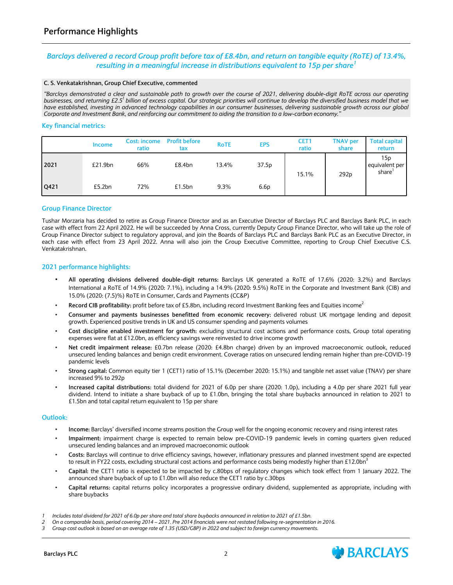#### *Barclays delivered a record Group profit before tax of £8.4bn, and return on tangible equity (RoTE) of 13.4%, resulting in a meaningful increase in distributions equivalent to 15p per share<sup>1</sup>*

#### **C. S. Venkatakrishnan, Group Chief Executive, commented**

*"Barclays demonstrated a clear and sustainable path to growth over the course of 2021, delivering double-digit RoTE across our operating businesses, and returning £2.5<sup>1</sup>billion of excess capital. Our strategic priorities will continue to develop the diversified business model that we have established, investing in advanced technology capabilities in our consumer businesses, delivering sustainable growth across our global Corporate and Investment Bank, and reinforcing our commitment to aiding the transition to a low-carbon economy."*

#### **Key financial metrics:**

|      | Income  | ratio | <b>Cost: income</b> Profit before<br>tax | <b>RoTE</b> | <b>EPS</b>       | CET1<br>ratio | <b>TNAV per</b><br>share | <b>Total capital</b><br>return              |
|------|---------|-------|------------------------------------------|-------------|------------------|---------------|--------------------------|---------------------------------------------|
| 2021 | £21.9bn | 66%   | £8.4bn                                   | 13.4%       | 37.5p            | 15.1%         | 292 <sub>p</sub>         | 15p<br>equivalent per<br>share <sup>1</sup> |
| Q421 | £5.2bn  | 72%   | £1.5bn                                   | $9.3\%$     | 6.6 <sub>p</sub> |               |                          |                                             |

#### **Group Finance Director**

Tushar Morzaria has decided to retire as Group Finance Director and as an Executive Director of Barclays PLC and Barclays Bank PLC, in each case with effect from 22 April 2022. He will be succeeded by Anna Cross, currently Deputy Group Finance Director, who will take up the role of Group Finance Director subject to regulatory approval, and join the Boards of Barclays PLC and Barclays Bank PLC as an Executive Director, in each case with effect from 23 April 2022. Anna will also join the Group Executive Committee, reporting to Group Chief Executive C.S. Venkatakrishnan.

#### **2021 performance highlights***:*

- **All operating divisions delivered double-digit returns:** Barclays UK generated a RoTE of 17.6% (2020: 3.2%) and Barclays International a RoTE of 14.9% (2020: 7.1%), including a 14.9% (2020: 9.5%) RoTE in the Corporate and Investment Bank (CIB) and 15.0% (2020: (7.5)%) RoTE in Consumer, Cards and Payments (CC&P)
- **Record CIB profitability:** profit before tax of £5.8bn, including record Investment Banking fees and Equities income<sup>2</sup>
- **Consumer and payments businesses benefitted from economic recovery:** delivered robust UK mortgage lending and deposit growth. Experienced positive trends in UK and US consumer spending and payments volumes
- **Cost discipline enabled investment for growth:** excluding structural cost actions and performance costs, Group total operating expenses were flat at £12.0bn, as efficiency savings were reinvested to drive income growth
- **Net credit impairment release:** £0.7bn release (2020: £4.8bn charge) driven by an improved macroeconomic outlook, reduced unsecured lending balances and benign credit environment. Coverage ratios on unsecured lending remain higher than pre-COVID-19 pandemic levels
- **Strong capital:** Common equity tier 1 (CET1) ratio of 15.1% (December 2020: 15.1%) and tangible net asset value (TNAV) per share increased 9% to 292p
- **Increased capital distributions:** total dividend for 2021 of 6.0p per share (2020: 1.0p), including a 4.0p per share 2021 full year dividend. Intend to initiate a share buyback of up to £1.0bn, bringing the total share buybacks announced in relation to 2021 to £1.5bn and total capital return equivalent to 15p per share

#### **Outlook:**

- **Income:** Barclays' diversified income streams position the Group well for the ongoing economic recovery and rising interest rates
- **Impairment:** impairment charge is expected to remain below pre-COVID-19 pandemic levels in coming quarters given reduced unsecured lending balances and an improved macroeconomic outlook
- **Costs:** Barclays will continue to drive efficiency savings, however, inflationary pressures and planned investment spend are expected to result in FY22 costs, excluding structural cost actions and performance costs being modestly higher than £12.0bn $^3$
- **Capital:** the CET1 ratio is expected to be impacted by c.80bps of regulatory changes which took effect from 1 January 2022. The announced share buyback of up to £1.0bn will also reduce the CET1 ratio by c.30bps
- **Capital returns:** capital returns policy incorporates a progressive ordinary dividend, supplemented as appropriate, including with share buybacks

*2 On a comparable basis, period covering 2014 – 2021. Pre 2014 financials were not restated following re-segmentation in 2016.*



*<sup>1</sup> Includes total dividend for 2021 of 6.0p per share and total share buybacks announced in relation to 2021 of £1.5bn.*

*<sup>3</sup> Group cost outlook is based on an average rate of 1.35 (USD/GBP) in 2022 and subject to foreign currency movements.*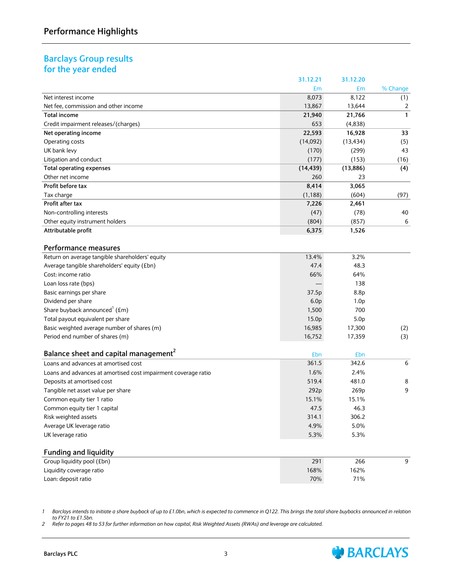# **Barclays Group results for the year ended**

|                                                                | 31.12.21          | 31.12.20         |              |
|----------------------------------------------------------------|-------------------|------------------|--------------|
|                                                                | £m                | £m               | % Change     |
| Net interest income                                            | 8,073             | 8,122            | (1)          |
| Net fee, commission and other income                           | 13,867            | 13,644           | 2            |
| <b>Total income</b>                                            | 21,940            | 21,766           | $\mathbf{1}$ |
| Credit impairment releases/(charges)                           | 653               | (4,838)          |              |
| Net operating income                                           | 22,593            | 16,928           | 33           |
| Operating costs                                                | (14,092)          | (13, 434)        | (5)          |
| UK bank levy                                                   | (170)             | (299)            | 43           |
| Litigation and conduct                                         | (177)             | (153)            | (16)         |
| <b>Total operating expenses</b>                                | (14, 439)         | (13,886)         | (4)          |
| Other net income                                               | 260               | 23               |              |
| Profit before tax                                              | 8,414             | 3,065            |              |
| Tax charge                                                     | (1, 188)          | (604)            | (97)         |
| Profit after tax                                               | 7,226             | 2,461            |              |
| Non-controlling interests                                      | (47)              | (78)             | 40           |
| Other equity instrument holders                                | (804)             | (857)            | 6            |
| Attributable profit                                            | 6,375             | 1,526            |              |
|                                                                |                   |                  |              |
| <b>Performance measures</b>                                    |                   |                  |              |
| Return on average tangible shareholders' equity                | 13.4%             | 3.2%             |              |
| Average tangible shareholders' equity (£bn)                    | 47.4              | 48.3             |              |
| Cost: income ratio                                             | 66%               | 64%              |              |
| Loan loss rate (bps)                                           |                   | 138              |              |
| Basic earnings per share                                       | 37.5p             | 8.8p             |              |
| Dividend per share                                             | 6.0 <sub>p</sub>  | 1.0 <sub>p</sub> |              |
| Share buyback announced <sup>1</sup> (£m)                      | 1,500             | 700              |              |
| Total payout equivalent per share                              | 15.0 <sub>p</sub> | 5.0 <sub>p</sub> |              |
| Basic weighted average number of shares (m)                    | 16,985            | 17,300           | (2)          |
| Period end number of shares (m)                                | 16,752            | 17,359           | (3)          |
|                                                                |                   |                  |              |
| Balance sheet and capital management <sup>2</sup>              | £bn               | £bn              |              |
| Loans and advances at amortised cost                           | 361.5             | 342.6            | 6            |
| Loans and advances at amortised cost impairment coverage ratio | 1.6%              | 2.4%             |              |
| Deposits at amortised cost                                     | 519.4             | 481.0            | 8            |
| Tangible net asset value per share                             | 292p              | 269p             | 9            |
| Common equity tier 1 ratio                                     | 15.1%             | 15.1%            |              |
| Common equity tier 1 capital                                   | 47.5              | 46.3             |              |
| Risk weighted assets                                           | 314.1             | 306.2            |              |
| Average UK leverage ratio                                      | 4.9%              | 5.0%             |              |
| UK leverage ratio                                              | 5.3%              | 5.3%             |              |
|                                                                |                   |                  |              |
| <b>Funding and liquidity</b>                                   |                   |                  |              |
| Group liquidity pool (£bn)                                     | 291               | 266              | 9            |
| Liquidity coverage ratio                                       | 168%              | 162%             |              |
| Loan: deposit ratio                                            | 70%               | 71%              |              |

*1 Barclays intends to initiate a share buyback of up to £1.0bn, which is expected to commence in Q122. This brings the total share buybacks announced in relation to FY21 to £1.5bn.*

*2 Refer to pages 48 to 53 for further information on how capital, Risk Weighted Assets (RWAs) and leverage are calculated.*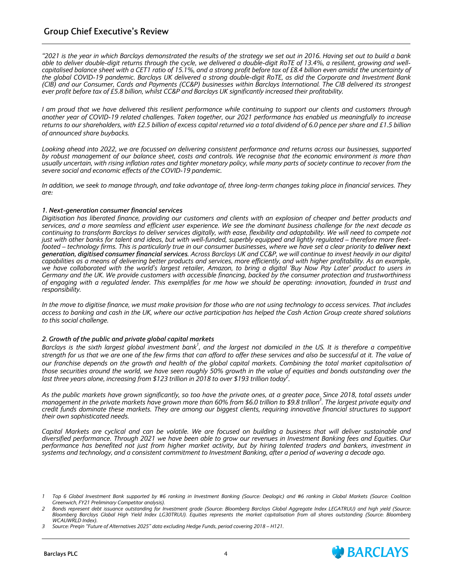## <span id="page-5-0"></span>**Group Chief Executive's Review**

*"2021 is the year in which Barclays demonstrated the results of the strategy we set out in 2016. Having set out to build a bank able to deliver double-digit returns through the cycle, we delivered a double-digit RoTE of 13.4%, a resilient, growing and well*capitalised balance sheet with a CET1 ratio of 15.1%, and a strong profit before tax of £8.4 billion even amidst the uncertainty of *the global COVID-19 pandemic. Barclays UK delivered a strong double-digit RoTE, as did the Corporate and Investment Bank (CIB) and our Consumer, Cards and Payments (CC&P) businesses within Barclays International. The CIB delivered its strongest ever profit before tax of £5.8 billion, whilst CC&P and Barclays UK significantly increased their profitability.*

*I am proud that we have delivered this resilient performance while continuing to support our clients and customers through another year of COVID-19 related challenges. Taken together, our 2021 performance has enabled us meaningfully to increase returns to our shareholders, with £2.5 billion of excess capital returned via a total dividend of 6.0 pence per share and £1.5 billion of announced share buybacks.*

*Looking ahead into 2022, we are focussed on delivering consistent performance and returns across our businesses, supported by robust management of our balance sheet, costs and controls. We recognise that the economic environment is more than usually uncertain, with rising inflation rates and tighter monetary policy, while many parts of society continue to recover from the severe social and economic effects of the COVID-19 pandemic.*

*In addition, we seek to manage through, and take advantage of, three long-term changes taking place in financial services. They are:*

#### *1. Next-generation consumer financial services*

*Digitisation has liberated finance, providing our customers and clients with an explosion of cheaper and better products and services, and a more seamless and efficient user experience. We see the dominant business challenge for the next decade as continuing to transform Barclays to deliver services digitally, with ease, flexibility and adaptability. We will need to compete not just with other banks for talent and ideas, but with well-funded, superbly equipped and lightly regulated – therefore more fleetfooted – technology firms. This is particularly true in our consumer businesses, where we have set a clear priority to deliver next generation, digitised consumer financial services. Across Barclays UK and CC&P, we will continue to invest heavily in our digital capabilities as a means of delivering better products and services, more efficiently, and with higher profitability. As an example, we have collaborated with the world's largest retailer, Amazon, to bring a digital 'Buy Now Pay Later' product to users in Germany and the UK. We provide customers with accessible financing, backed by the consumer protection and trustworthiness of engaging with a regulated lender. This exemplifies for me how we should be operating: innovation, founded in trust and responsibility.*

*In the move to digitise finance, we must make provision for those who are not using technology to access services. That includes access to banking and cash in the UK, where our active participation has helped the Cash Action Group create shared solutions to this social challenge.* 

#### *2. Growth of the public and private global capital markets*

Barclays is the sixth largest global investment bank<sup>1</sup>, and the largest not domiciled in the US. It is therefore a competitive *strength for us that we are one of the few firms that can afford to offer these services and also be successful at it. The value of our franchise depends on the growth and health of the global capital markets. Combining the total market capitalisation of those securities around the world, we have seen roughly 50% growth in the value of equities and bonds outstanding over the last three years alone, increasing from \$123 trillion in 2018 to over \$193 trillion today<sup>2</sup> .* 

*As the public markets have grown significantly, so too have the private ones, at a greater pace. Since 2018, total assets under management in the private markets have grown more than 60% from \$6.0 trillion to \$9.8 trillion<sup>3</sup> . The largest private equity and credit funds dominate these markets. They are among our biggest clients, requiring innovative financial structures to support their own sophisticated needs.*

*Capital Markets are cyclical and can be volatile. We are focused on building a business that will deliver sustainable and diversified performance. Through 2021 we have been able to grow our revenues in Investment Banking fees and Equities. Our performance has benefited not just from higher market activity, but by hiring talented traders and bankers, investment in systems and technology, and a consistent commitment to Investment Banking, after a period of wavering a decade ago.* 



*<sup>1</sup> Top 6 Global Investment Bank supported by #6 ranking in Investment Banking (Source: Dealogic) and #6 ranking in Global Markets (Source: Coalition Greenwich, FY21 Preliminary Competitor analysis).*

*<sup>2</sup> Bonds represent debt issuance outstanding for Investment grade (Source: Bloomberg Barclays Global Aggregate Index LEGATRUU) and high yield (Source: Bloomberg Barclays Global High Yield Index LG30TRUU). Equities represents the market capitalisation from all shares outstanding (Source: Bloomberg WCAUWRLD Index).* 

*<sup>3</sup> Source: Preqin "Future of Alternatives 2025" data excluding Hedge Funds, period covering 2018 – H121.*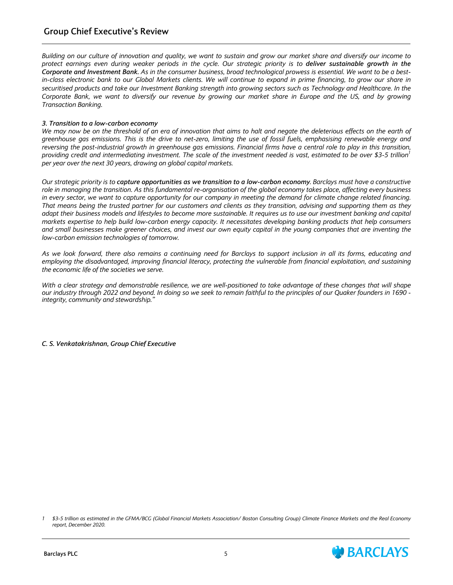## **Group Chief Executive's Review**

*Building on our culture of innovation and quality, we want to sustain and grow our market share and diversify our income to protect earnings even during weaker periods in the cycle. Our strategic priority is to deliver sustainable growth in the Corporate and Investment Bank. As in the consumer business, broad technological prowess is essential. We want to be a bestin-class electronic bank to our Global Markets clients. We will continue to expand in prime financing, to grow our share in securitised products and take our Investment Banking strength into growing sectors such as Technology and Healthcare. In the*  Corporate Bank, we want to diversify our revenue by growing our market share in Europe and the US, and by growing *Transaction Banking.*

#### *3. Transition to a low-carbon economy*

We may now be on the threshold of an era of innovation that aims to halt and negate the deleterious effects on the earth of *greenhouse gas emissions. This is the drive to net-zero, limiting the use of fossil fuels, emphasising renewable energy and reversing the post-industrial growth in greenhouse gas emissions. Financial firms have a central role to play in this transition, providing credit and intermediating investment. The scale of the investment needed is vast, estimated to be over \$3-5 trillion<sup>1</sup> per year over the next 30 years, drawing on global capital markets.*

*Our strategic priority is to capture opportunities as we transition to a low-carbon economy. Barclays must have a constructive role in managing the transition. As this fundamental re-organisation of the global economy takes place, affecting every business in every sector, we want to capture opportunity for our company in meeting the demand for climate change related financing. That means being the trusted partner for our customers and clients as they transition, advising and supporting them as they adapt their business models and lifestyles to become more sustainable. It requires us to use our investment banking and capital markets expertise to help build low-carbon energy capacity. It necessitates developing banking products that help consumers and small businesses make greener choices, and invest our own equity capital in the young companies that are inventing the low-carbon emission technologies of tomorrow.*

*As we look forward, there also remains a continuing need for Barclays to support inclusion in all its forms, educating and*  employing the disadvantaged, improving financial literacy, protecting the vulnerable from financial exploitation, and sustaining *the economic life of the societies we serve.*

*With a clear strategy and demonstrable resilience, we are well-positioned to take advantage of these changes that will shape our industry through 2022 and beyond. In doing so we seek to remain faithful to the principles of our Quaker founders in 1690 integrity, community and stewardship."*

*C. S. Venkatakrishnan, Group Chief Executive*

*1 \$3-5 trillion as estimated in the GFMA/BCG (Global Financial Markets Association/ Boston Consulting Group) Climate Finance Markets and the Real Economy report, December 2020.*

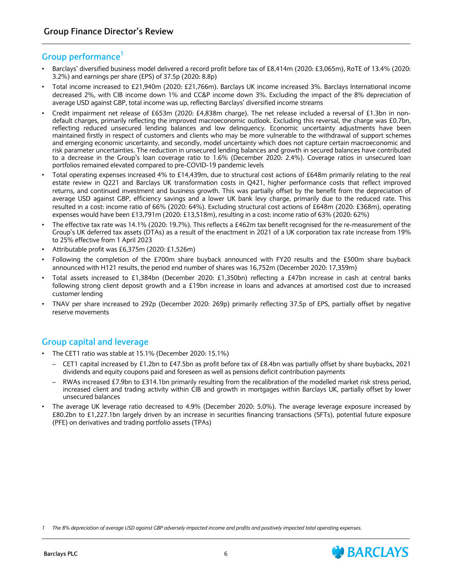# <span id="page-7-0"></span>**Group performance<sup>1</sup>**

- Barclays' diversified business model delivered a record profit before tax of £8,414m (2020: £3,065m), RoTE of 13.4% (2020: 3.2%) and earnings per share (EPS) of 37.5p (2020: 8.8p)
- Total income increased to £21,940m (2020: £21,766m). Barclays UK income increased 3%. Barclays International income decreased 2%, with CIB income down 1% and CC&P income down 3%. Excluding the impact of the 8% depreciation of average USD against GBP, total income was up, reflecting Barclays' diversified income streams
- Credit impairment net release of £653m (2020: £4,838m charge). The net release included a reversal of £1.3bn in nondefault charges, primarily reflecting the improved macroeconomic outlook. Excluding this reversal, the charge was £0.7bn, reflecting reduced unsecured lending balances and low delinquency. Economic uncertainty adjustments have been maintained firstly in respect of customers and clients who may be more vulnerable to the withdrawal of support schemes and emerging economic uncertainty, and secondly, model uncertainty which does not capture certain macroeconomic and risk parameter uncertainties. The reduction in unsecured lending balances and growth in secured balances have contributed to a decrease in the Group's loan coverage ratio to 1.6% (December 2020: 2.4%). Coverage ratios in unsecured loan portfolios remained elevated compared to pre-COVID-19 pandemic levels
- Total operating expenses increased 4% to £14,439m, due to structural cost actions of £648m primarily relating to the real estate review in Q221 and Barclays UK transformation costs in Q421, higher performance costs that reflect improved returns, and continued investment and business growth. This was partially offset by the benefit from the depreciation of average USD against GBP, efficiency savings and a lower UK bank levy charge, primarily due to the reduced rate. This resulted in a cost: income ratio of 66% (2020: 64%). Excluding structural cost actions of £648m (2020: £368m), operating expenses would have been £13,791m (2020: £13,518m), resulting in a cost: income ratio of 63% (2020: 62%)
- The effective tax rate was 14.1% (2020: 19.7%). This reflects a £462m tax benefit recognised for the re-measurement of the Group's UK deferred tax assets (DTAs) as a result of the enactment in 2021 of a UK corporation tax rate increase from 19% to 25% effective from 1 April 2023
- Attributable profit was £6,375m (2020: £1,526m)
- Following the completion of the £700m share buyback announced with FY20 results and the £500m share buyback announced with H121 results, the period end number of shares was 16,752m (December 2020: 17,359m)
- Total assets increased to £1,384bn (December 2020: £1,350bn) reflecting a £47bn increase in cash at central banks following strong client deposit growth and a £19bn increase in loans and advances at amortised cost due to increased customer lending
- TNAV per share increased to 292p (December 2020: 269p) primarily reflecting 37.5p of EPS, partially offset by negative reserve movements

# **Group capital and leverage**

- The CET1 ratio was stable at 15.1% (December 2020: 15.1%)
	- CET1 capital increased by £1.2bn to £47.5bn as profit before tax of £8.4bn was partially offset by share buybacks, 2021 dividends and equity coupons paid and foreseen as well as pensions deficit contribution payments
	- RWAs increased £7.9bn to £314.1bn primarily resulting from the recalibration of the modelled market risk stress period, increased client and trading activity within CIB and growth in mortgages within Barclays UK, partially offset by lower unsecured balances
- The average UK leverage ratio decreased to 4.9% (December 2020: 5.0%). The average leverage exposure increased by £80.2bn to £1,227.1bn largely driven by an increase in securities financing transactions (SFTs), potential future exposure (PFE) on derivatives and trading portfolio assets (TPAs)

*1 The 8% depreciation of average USD against GBP adversely impacted income and profits and positively impacted total operating expenses.*



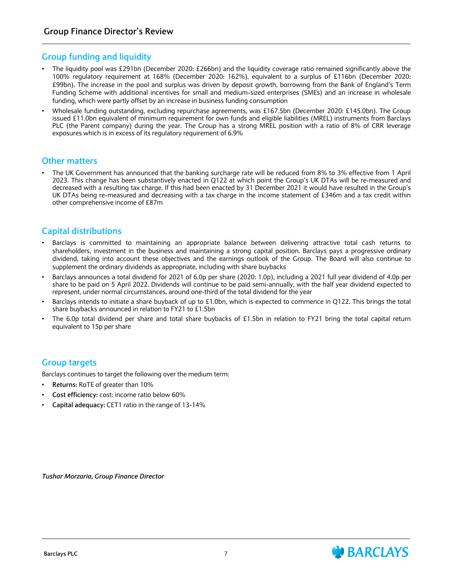## **Group funding and liquidity**

- *•* The liquidity pool was £291bn (December 2020: £266bn) and the liquidity coverage ratio remained significantly above the 100% regulatory requirement at 168% (December 2020: 162%), equivalent to a surplus of £116bn (December 2020: £99bn). The increase in the pool and surplus was driven by deposit growth, borrowing from the Bank of England's Term Funding Scheme with additional incentives for small and medium-sized enterprises (SMEs) and an increase in wholesale funding, which were partly offset by an increase in business funding consumption
- Wholesale funding outstanding, excluding repurchase agreements, was £167.5bn (December 2020: £145.0bn). The Group issued £11.0bn equivalent of minimum requirement for own funds and eligible liabilities (MREL) instruments from Barclays PLC (the Parent company) during the year. The Group has a strong MREL position with a ratio of 8% of CRR leverage exposures which is in excess of its regulatory requirement of 6.9%

## **Other matters**

• The UK Government has announced that the banking surcharge rate will be reduced from 8% to 3% effective from 1 April 2023. This change has been substantively enacted in Q122 at which point the Group's UK DTAs will be re-measured and decreased with a resulting tax charge. If this had been enacted by 31 December 2021 it would have resulted in the Group's UK DTAs being re-measured and decreasing with a tax charge in the income statement of £346m and a tax credit within other comprehensive income of £87m

## **Capital distributions**

- Barclays is committed to maintaining an appropriate balance between delivering attractive total cash returns to shareholders, investment in the business and maintaining a strong capital position. Barclays pays a progressive ordinary dividend, taking into account these objectives and the earnings outlook of the Group. The Board will also continue to supplement the ordinary dividends as appropriate, including with share buybacks
- Barclays announces a total dividend for 2021 of 6.0p per share (2020: 1.0p), including a 2021 full year dividend of 4.0p per share to be paid on 5 April 2022. Dividends will continue to be paid semi-annually, with the half year dividend expected to represent, under normal circumstances, around one-third of the total dividend for the year
- Barclays intends to initiate a share buyback of up to £1.0bn, which is expected to commence in Q122. This brings the total share buybacks announced in relation to FY21 to £1.5bn
- The 6.0p total dividend per share and total share buybacks of £1.5bn in relation to FY21 bring the total capital return equivalent to 15p per share

## **Group targets**

Barclays continues to target the following over the medium term:

- **Returns:** RoTE of greater than 10%
- **Cost efficiency:** cost: income ratio below 60%
- **Capital adequacy:** CET1 ratio in the range of 13-14%

*Tushar Morzaria, Group Finance Director*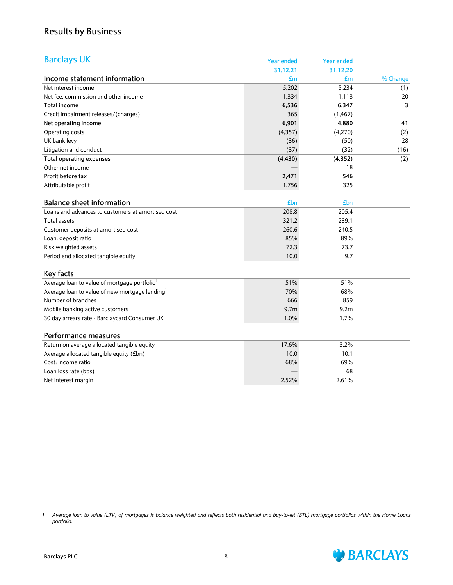<span id="page-9-0"></span>

| <b>Barclays UK</b>                                         | <b>Year ended</b> | <b>Year ended</b> |                         |
|------------------------------------------------------------|-------------------|-------------------|-------------------------|
|                                                            | 31.12.21          | 31.12.20          |                         |
| Income statement information                               | £m                | £m                | % Change                |
| Net interest income                                        | 5,202             | 5,234             | (1)                     |
| Net fee, commission and other income                       | 1,334             | 1,113             | 20                      |
| <b>Total income</b>                                        | 6,536             | 6,347             | $\overline{\mathbf{3}}$ |
| Credit impairment releases/(charges)                       | 365               | (1, 467)          |                         |
| Net operating income                                       | 6,901             | 4,880             | 41                      |
| Operating costs                                            | (4, 357)          | (4,270)           | (2)                     |
| UK bank levy                                               | (36)              | (50)              | 28                      |
| Litigation and conduct                                     | (37)              | (32)              | (16)                    |
| <b>Total operating expenses</b>                            | (4, 430)          | (4, 352)          | (2)                     |
| Other net income                                           |                   | 18                |                         |
| Profit before tax                                          | 2,471             | 546               |                         |
| Attributable profit                                        | 1,756             | 325               |                         |
|                                                            |                   |                   |                         |
| <b>Balance sheet information</b>                           | £bn               | £bn               |                         |
| Loans and advances to customers at amortised cost          | 208.8             | 205.4             |                         |
| Total assets                                               | 321.2             | 289.1             |                         |
| Customer deposits at amortised cost                        | 260.6             | 240.5             |                         |
| Loan: deposit ratio                                        | 85%               | 89%               |                         |
| Risk weighted assets                                       | 72.3              | 73.7              |                         |
| Period end allocated tangible equity                       | 10.0              | 9.7               |                         |
| Key facts                                                  |                   |                   |                         |
| Average loan to value of mortgage portfolio <sup>1</sup>   | 51%               | 51%               |                         |
| Average loan to value of new mortgage lending <sup>1</sup> | 70%               | 68%               |                         |
| Number of branches                                         | 666               | 859               |                         |
| Mobile banking active customers                            | 9.7 <sub>m</sub>  | 9.2 <sub>m</sub>  |                         |
| 30 day arrears rate - Barclaycard Consumer UK              | 1.0%              | 1.7%              |                         |
|                                                            |                   |                   |                         |
| <b>Performance measures</b>                                |                   |                   |                         |
| Return on average allocated tangible equity                | 17.6%             | 3.2%              |                         |
| Average allocated tangible equity (£bn)                    | 10.0              | 10.1              |                         |
| Cost: income ratio                                         | 68%               | 69%               |                         |
| Loan loss rate (bps)                                       |                   | 68                |                         |
| Net interest margin                                        | 2.52%             | 2.61%             |                         |

*1 Average loan to value (LTV) of mortgages is balance weighted and reflects both residential and buy-to-let (BTL) mortgage portfolios within the Home Loans portfolio.*

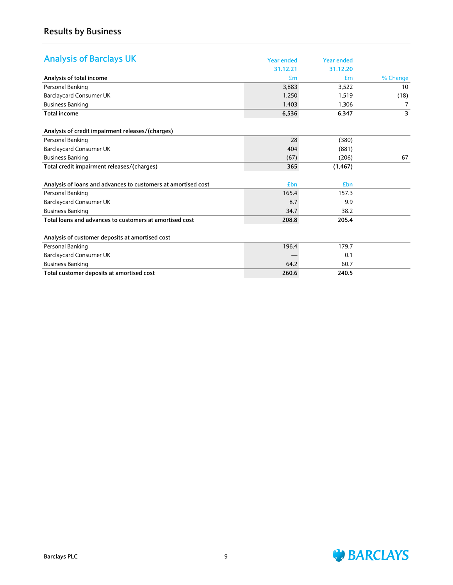| <b>Analysis of Barclays UK</b>                                | <b>Year ended</b> | <b>Year ended</b> |                |
|---------------------------------------------------------------|-------------------|-------------------|----------------|
|                                                               |                   |                   |                |
|                                                               | 31.12.21          | 31.12.20          |                |
| Analysis of total income                                      | Em                | £m                | % Change       |
| Personal Banking                                              | 3,883             | 3,522             | 10             |
| <b>Barclaycard Consumer UK</b>                                | 1,250             | 1.519             | (18)           |
| <b>Business Banking</b>                                       | 1,403             | 1,306             | 7              |
| <b>Total income</b>                                           | 6,536             | 6,347             | $\overline{3}$ |
| Analysis of credit impairment releases/(charges)              |                   |                   |                |
| Personal Banking                                              | 28                | (380)             |                |
| Barclaycard Consumer UK                                       | 404               | (881)             |                |
| <b>Business Banking</b>                                       | (67)              | (206)             | 67             |
| Total credit impairment releases/(charges)                    | 365               | (1, 467)          |                |
| Analysis of loans and advances to customers at amortised cost | £bn               | £bn               |                |
| Personal Banking                                              | 165.4             | 157.3             |                |
| <b>Barclaycard Consumer UK</b>                                | 8.7               | 9.9               |                |
| <b>Business Banking</b>                                       | 34.7              | 38.2              |                |
| Total loans and advances to customers at amortised cost       | 208.8             | 205.4             |                |
| Analysis of customer deposits at amortised cost               |                   |                   |                |
| Personal Banking                                              | 196.4             | 179.7             |                |
| <b>Barclaycard Consumer UK</b>                                |                   | 0.1               |                |
| <b>Business Banking</b>                                       | 64.2              | 60.7              |                |
| Total customer deposits at amortised cost                     | 260.6             | 240.5             |                |

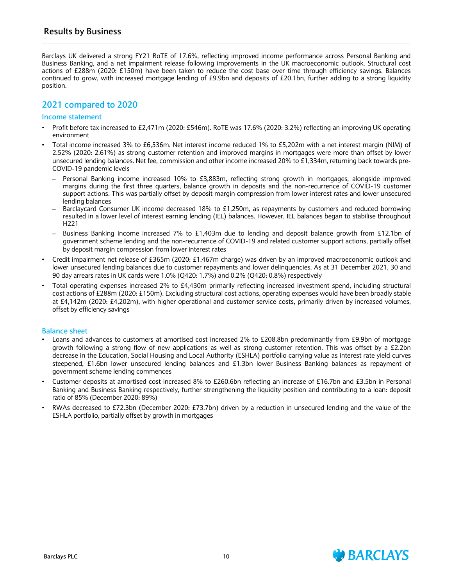<span id="page-11-0"></span>Barclays UK delivered a strong FY21 RoTE of 17.6%, reflecting improved income performance across Personal Banking and Business Banking, and a net impairment release following improvements in the UK macroeconomic outlook. Structural cost actions of £288m (2020: £150m) have been taken to reduce the cost base over time through efficiency savings. Balances continued to grow, with increased mortgage lending of £9.9bn and deposits of £20.1bn, further adding to a strong liquidity position.

## **2021 compared to 2020**

#### **Income statement**

- Profit before tax increased to £2,471m (2020: £546m). RoTE was 17.6% (2020: 3.2%) reflecting an improving UK operating environment
- Total income increased 3% to £6,536m. Net interest income reduced 1% to £5,202m with a net interest margin (NIM) of 2.52% (2020: 2.61%) as strong customer retention and improved margins in mortgages were more than offset by lower unsecured lending balances. Net fee, commission and other income increased 20% to £1,334m, returning back towards pre-COVID-19 pandemic levels
	- Personal Banking income increased 10% to £3,883m, reflecting strong growth in mortgages, alongside improved margins during the first three quarters, balance growth in deposits and the non-recurrence of COVID-19 customer support actions. This was partially offset by deposit margin compression from lower interest rates and lower unsecured lending balances
	- Barclaycard Consumer UK income decreased 18% to £1,250m, as repayments by customers and reduced borrowing resulted in a lower level of interest earning lending (IEL) balances. However, IEL balances began to stabilise throughout H221
	- Business Banking income increased 7% to £1,403m due to lending and deposit balance growth from £12.1bn of government scheme lending and the non-recurrence of COVID-19 and related customer support actions, partially offset by deposit margin compression from lower interest rates
- Credit impairment net release of £365m (2020: £1,467m charge) was driven by an improved macroeconomic outlook and lower unsecured lending balances due to customer repayments and lower delinquencies. As at 31 December 2021, 30 and 90 day arrears rates in UK cards were 1.0% (Q420: 1.7%) and 0.2% (Q420: 0.8%) respectively
- Total operating expenses increased 2% to £4,430m primarily reflecting increased investment spend, including structural cost actions of £288m (2020: £150m). Excluding structural cost actions, operating expenses would have been broadly stable at £4,142m (2020: £4,202m), with higher operational and customer service costs, primarily driven by increased volumes, offset by efficiency savings

#### **Balance sheet**

- Loans and advances to customers at amortised cost increased 2% to £208.8bn predominantly from £9.9bn of mortgage growth following a strong flow of new applications as well as strong customer retention. This was offset by a £2.2bn decrease in the Education, Social Housing and Local Authority (ESHLA) portfolio carrying value as interest rate yield curves steepened, £1.6bn lower unsecured lending balances and £1.3bn lower Business Banking balances as repayment of government scheme lending commences
- Customer deposits at amortised cost increased 8% to £260.6bn reflecting an increase of £16.7bn and £3.5bn in Personal Banking and Business Banking respectively, further strengthening the liquidity position and contributing to a loan: deposit ratio of 85% (December 2020: 89%)
- RWAs decreased to £72.3bn (December 2020: £73.7bn) driven by a reduction in unsecured lending and the value of the ESHLA portfolio, partially offset by growth in mortgages



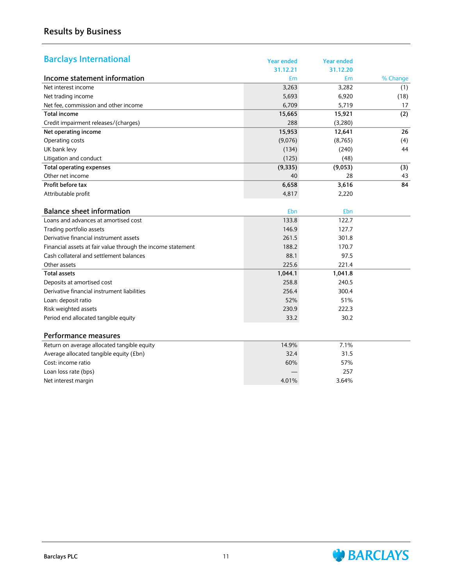| <b>Barclays International</b>                               | <b>Year ended</b> | <b>Year ended</b> |          |
|-------------------------------------------------------------|-------------------|-------------------|----------|
|                                                             | 31.12.21          | 31.12.20          |          |
| Income statement information                                | £m                | £m                | % Change |
| Net interest income                                         | 3,263             | 3,282             | (1)      |
| Net trading income                                          | 5,693             | 6,920             | (18)     |
| Net fee, commission and other income                        | 6,709             | 5,719             | 17       |
| <b>Total income</b>                                         | 15,665            | 15,921            | (2)      |
| Credit impairment releases/(charges)                        | 288               | (3,280)           |          |
| Net operating income                                        | 15,953            | 12,641            | 26       |
| Operating costs                                             | (9,076)           | (8,765)           | (4)      |
| UK bank levy                                                | (134)             | (240)             | 44       |
| Litigation and conduct                                      | (125)             | (48)              |          |
| <b>Total operating expenses</b>                             | (9,335)           | (9,053)           | (3)      |
| Other net income                                            | 40                | 28                | 43       |
| Profit before tax                                           | 6,658             | 3,616             | 84       |
| Attributable profit                                         | 4,817             | 2,220             |          |
|                                                             |                   |                   |          |
| <b>Balance sheet information</b>                            | £bn               | £bn               |          |
| Loans and advances at amortised cost                        | 133.8             | 122.7             |          |
| Trading portfolio assets                                    | 146.9             | 127.7             |          |
| Derivative financial instrument assets                      | 261.5             | 301.8             |          |
| Financial assets at fair value through the income statement | 188.2             | 170.7             |          |
| Cash collateral and settlement balances                     | 88.1              | 97.5              |          |
| Other assets                                                | 225.6             | 221.4             |          |
| <b>Total assets</b>                                         | 1,044.1           | 1,041.8           |          |
| Deposits at amortised cost                                  | 258.8             | 240.5             |          |
| Derivative financial instrument liabilities                 | 256.4             | 300.4             |          |
| Loan: deposit ratio                                         | 52%               | 51%               |          |
| Risk weighted assets                                        | 230.9             | 222.3             |          |
| Period end allocated tangible equity                        | 33.2              | 30.2              |          |
|                                                             |                   |                   |          |
| <b>Performance measures</b>                                 |                   |                   |          |
| Return on average allocated tangible equity                 | 14.9%             | 7.1%              |          |
| Average allocated tangible equity (£bn)                     | 32.4              | 31.5              |          |
| Cost: income ratio                                          | 60%               | 57%               |          |
| Loan loss rate (bps)                                        |                   | 257               |          |
| Net interest margin                                         | 4.01%             | 3.64%             |          |

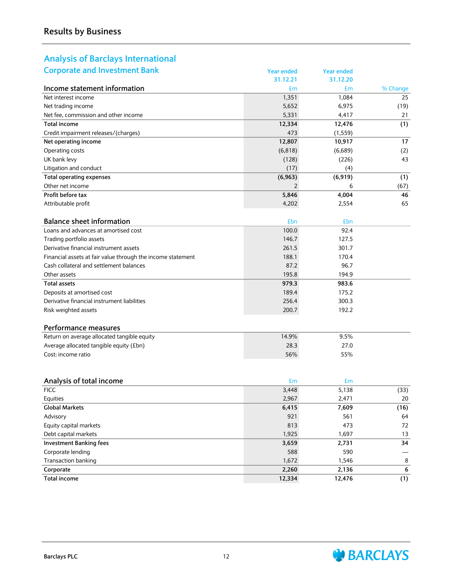# **Analysis of Barclays International**

| <b>Corporate and Investment Bank</b>                        | <b>Year ended</b> | <b>Year ended</b> |          |
|-------------------------------------------------------------|-------------------|-------------------|----------|
|                                                             | 31.12.21          | 31.12.20          |          |
| Income statement information                                | £m                | £m                | % Change |
| Net interest income                                         | 1,351             | 1,084             | 25       |
| Net trading income                                          | 5,652             | 6,975             | (19)     |
| Net fee, commission and other income                        | 5,331             | 4,417             | 21       |
| <b>Total income</b>                                         | 12,334            | 12,476            | (1)      |
| Credit impairment releases/(charges)                        | 473               | (1, 559)          |          |
| Net operating income                                        | 12,807            | 10,917            | 17       |
| Operating costs                                             | (6, 818)          | (6,689)           | (2)      |
| UK bank levy                                                | (128)             | (226)             | 43       |
| Litigation and conduct                                      | (17)              | (4)               |          |
| <b>Total operating expenses</b>                             | (6,963)           | (6, 919)          | (1)      |
| Other net income                                            | $\overline{2}$    | 6                 | (67)     |
| Profit before tax                                           | 5,846             | 4,004             | 46       |
| Attributable profit                                         | 4,202             | 2,554             | 65       |
| <b>Balance sheet information</b>                            | £bn               | £bn               |          |
| Loans and advances at amortised cost                        | 100.0             | 92.4              |          |
| Trading portfolio assets                                    | 146.7             | 127.5             |          |
| Derivative financial instrument assets                      | 261.5             | 301.7             |          |
| Financial assets at fair value through the income statement | 188.1             | 170.4             |          |
| Cash collateral and settlement balances                     | 87.2              | 96.7              |          |
| Other assets                                                | 195.8             | 194.9             |          |
| <b>Total assets</b>                                         | 979.3             | 983.6             |          |
| Deposits at amortised cost                                  | 189.4             | 175.2             |          |
| Derivative financial instrument liabilities                 | 256.4             | 300.3             |          |
| Risk weighted assets                                        | 200.7             | 192.2             |          |
| Performance measures                                        |                   |                   |          |
| Return on average allocated tangible equity                 | 14.9%             | 9.5%              |          |
| Average allocated tangible equity (£bn)                     | 28.3              | 27.0              |          |
| Cost: income ratio                                          | 56%               | 55%               |          |
|                                                             |                   |                   |          |
| Analysis of total income                                    | £m                | £m                |          |
| <b>FICC</b>                                                 | 3,448             | 5,138             | (33)     |
| Equities                                                    | 2,967             | 2,471             | $20\,$   |
| <b>Global Markets</b>                                       | 6,415             | 7,609             | (16)     |
| Advisory                                                    | 921               | 561               | 64       |
| Equity capital markets                                      | 813               | 473               | 72       |
| Debt capital markets                                        | 1,925             | 1,697             | 13       |
| <b>Investment Banking fees</b>                              | 3,659             | 2,731             | 34       |
| Corporate lending                                           | 588               | 590               |          |
| Transaction banking                                         | 1,672             | 1,546             | 8        |
| Corporate                                                   | 2,260             | 2,136             | 6        |
| <b>Total income</b>                                         | 12,334            | 12,476            | (1)      |

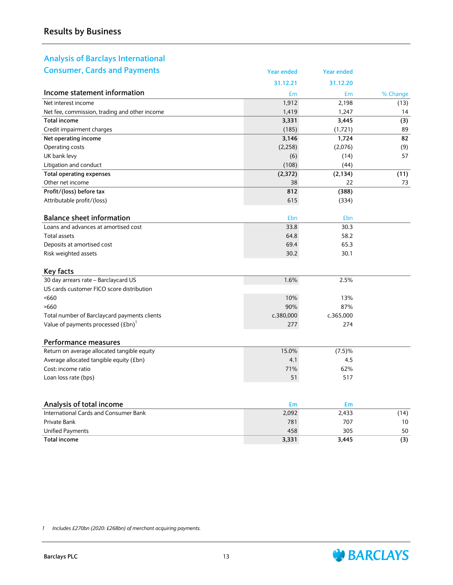# **Analysis of Barclays International**

| <b>Consumer, Cards and Payments</b>            | <b>Year ended</b> | <b>Year ended</b> |          |
|------------------------------------------------|-------------------|-------------------|----------|
|                                                | 31.12.21          | 31.12.20          |          |
| Income statement information                   | £m                | £m                | % Change |
| Net interest income                            | 1,912             | 2,198             | (13)     |
| Net fee, commission, trading and other income  | 1,419             | 1,247             | 14       |
| <b>Total income</b>                            | 3,331             | 3,445             | (3)      |
| Credit impairment charges                      | (185)             | (1,721)           | 89       |
| Net operating income                           | 3,146             | 1,724             | 82       |
| Operating costs                                | (2, 258)          | (2,076)           | (9)      |
| UK bank levy                                   | (6)               | (14)              | 57       |
| Litigation and conduct                         | (108)             | (44)              |          |
| <b>Total operating expenses</b>                | (2, 372)          | (2, 134)          | (11)     |
| Other net income                               | 38                | 22                | 73       |
| Profit/(loss) before tax                       | 812               | (388)             |          |
| Attributable profit/(loss)                     | 615               | (334)             |          |
| <b>Balance sheet information</b>               | £bn               | £bn               |          |
| Loans and advances at amortised cost           | 33.8              | 30.3              |          |
| Total assets                                   | 64.8              | 58.2              |          |
| Deposits at amortised cost                     | 69.4              | 65.3              |          |
| Risk weighted assets                           | 30.2              | 30.1              |          |
|                                                |                   |                   |          |
| Key facts                                      |                   |                   |          |
| 30 day arrears rate - Barclaycard US           | 1.6%              | 2.5%              |          |
| US cards customer FICO score distribution      |                   |                   |          |
| 5660                                           | 10%               | 13%               |          |
| >660                                           | 90%               | 87%               |          |
| Total number of Barclaycard payments clients   | c.380,000         | c.365,000         |          |
| Value of payments processed (£bn) <sup>1</sup> | 277               | 274               |          |
| Performance measures                           |                   |                   |          |
| Return on average allocated tangible equity    | 15.0%             | (7.5)%            |          |
| Average allocated tangible equity (£bn)        | 4.1               | 4.5               |          |
| Cost: income ratio                             | 71%               | 62%               |          |
| Loan loss rate (bps)                           | 51                | 517               |          |
|                                                |                   |                   |          |
| Analysis of total income                       | £m                | £m                |          |
| International Cards and Consumer Bank          | 2,092             | 2,433             | (14)     |
| Private Bank                                   | 781               | 707               | 10       |
| <b>Unified Payments</b>                        | 458               | 305               | 50       |
| <b>Total income</b>                            | 3,331             | 3.445             | (3)      |

*1 Includes £270bn (2020: £268bn) of merchant acquiring payments.*

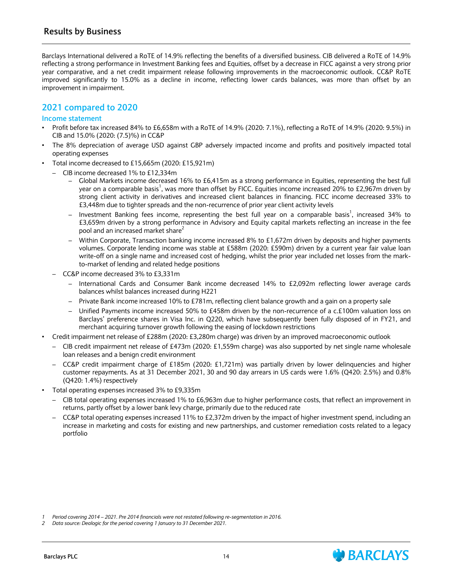Barclays International delivered a RoTE of 14.9% reflecting the benefits of a diversified business. CIB delivered a RoTE of 14.9% reflecting a strong performance in Investment Banking fees and Equities, offset by a decrease in FICC against a very strong prior year comparative, and a net credit impairment release following improvements in the macroeconomic outlook. CC&P RoTE improved significantly to 15.0% as a decline in income, reflecting lower cards balances, was more than offset by an improvement in impairment.

#### **2021 compared to 2020**

#### **Income statement**

- Profit before tax increased 84% to £6,658m with a RoTE of 14.9% (2020: 7.1%), reflecting a RoTE of 14.9% (2020: 9.5%) in CIB and 15.0% (2020: (7.5)%) in CC&P
- The 8% depreciation of average USD against GBP adversely impacted income and profits and positively impacted total operating expenses
- Total income decreased to £15,665m (2020: £15,921m)
	- CIB income decreased 1% to £12,334m
		- Global Markets income decreased 16% to £6,415m as a strong performance in Equities, representing the best full year on a comparable basis<sup>1</sup>, was more than offset by FICC. Equities income increased 20% to £2,967m driven by strong client activity in derivatives and increased client balances in financing. FICC income decreased 33% to £3,448m due to tighter spreads and the non-recurrence of prior year client activity levels
		- Investment Banking fees income, representing the best full year on a comparable basis<sup>1</sup>, increased 34% to £3,659m driven by a strong performance in Advisory and Equity capital markets reflecting an increase in the fee pool and an increased market share<sup>2</sup>
		- Within Corporate, Transaction banking income increased 8% to £1,672m driven by deposits and higher payments volumes. Corporate lending income was stable at £588m (2020: £590m) driven by a current year fair value loan write-off on a single name and increased cost of hedging, whilst the prior year included net losses from the markto-market of lending and related hedge positions
	- CC&P income decreased 3% to £3,331m
		- International Cards and Consumer Bank income decreased 14% to £2,092m reflecting lower average cards balances whilst balances increased during H221
		- Private Bank income increased 10% to £781m, reflecting client balance growth and a gain on a property sale
		- Unified Payments income increased 50% to £458m driven by the non-recurrence of a c.£100m valuation loss on Barclays' preference shares in Visa Inc. in Q220, which have subsequently been fully disposed of in FY21, and merchant acquiring turnover growth following the easing of lockdown restrictions
- Credit impairment net release of £288m (2020: £3,280m charge) was driven by an improved macroeconomic outlook
	- CIB credit impairment net release of £473m (2020: £1,559m charge) was also supported by net single name wholesale loan releases and a benign credit environment
	- CC&P credit impairment charge of £185m (2020: £1,721m) was partially driven by lower delinquencies and higher customer repayments. As at 31 December 2021, 30 and 90 day arrears in US cards were 1.6% (Q420: 2.5%) and 0.8% (Q420: 1.4%) respectively
- Total operating expenses increased 3% to £9,335m
	- CIB total operating expenses increased 1% to £6,963m due to higher performance costs, that reflect an improvement in returns, partly offset by a lower bank levy charge, primarily due to the reduced rate
	- CC&P total operating expenses increased 11% to £2,372m driven by the impact of higher investment spend, including an increase in marketing and costs for existing and new partnerships, and customer remediation costs related to a legacy portfolio



*<sup>1</sup> Period covering 2014 – 2021. Pre 2014 financials were not restated following re-segmentation in 2016.*

*<sup>2</sup> Data source: Dealogic for the period covering 1 January to 31 December 2021.*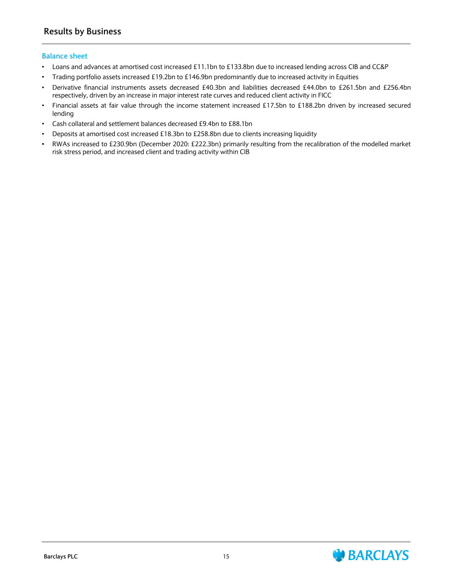#### **Balance sheet**

- Loans and advances at amortised cost increased £11.1bn to £133.8bn due to increased lending across CIB and CC&P
- Trading portfolio assets increased £19.2bn to £146.9bn predominantly due to increased activity in Equities
- Derivative financial instruments assets decreased £40.3bn and liabilities decreased £44.0bn to £261.5bn and £256.4bn respectively, driven by an increase in major interest rate curves and reduced client activity in FICC
- Financial assets at fair value through the income statement increased £17.5bn to £188.2bn driven by increased secured lending
- Cash collateral and settlement balances decreased £9.4bn to £88.1bn
- Deposits at amortised cost increased £18.3bn to £258.8bn due to clients increasing liquidity
- **•** RWAs increased to £230.9bn (December 2020: £222.3bn) primarily resulting from the recalibration of the modelled market risk stress period, and increased client and trading activity within CIB

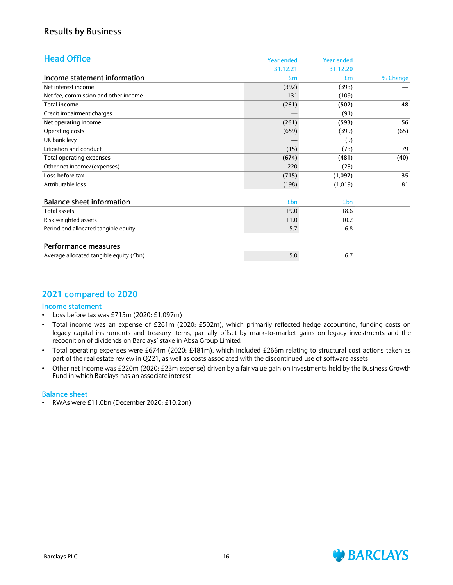<span id="page-17-0"></span>

| <b>Head Office</b>                      | <b>Year ended</b> | <b>Year ended</b> |          |
|-----------------------------------------|-------------------|-------------------|----------|
|                                         |                   |                   |          |
|                                         | 31.12.21          | 31.12.20          |          |
| Income statement information            | Em                | Em                | % Change |
| Net interest income                     | (392)             | (393)             |          |
| Net fee, commission and other income    | 131               | (109)             |          |
| <b>Total income</b>                     | (261)             | (502)             | 48       |
| Credit impairment charges               |                   | (91)              |          |
| Net operating income                    | (261)             | (593)             | 56       |
| Operating costs                         | (659)             | (399)             | (65)     |
| UK bank levy                            |                   | (9)               |          |
| Litigation and conduct                  | (15)              | (73)              | 79       |
| <b>Total operating expenses</b>         | (674)             | (481)             | (40)     |
| Other net income/(expenses)             | 220               | (23)              |          |
| Loss before tax                         | (715)             | (1,097)           | 35       |
| Attributable loss                       | (198)             | (1,019)           | 81       |
| <b>Balance sheet information</b>        | £bn               | £bn               |          |
| <b>Total assets</b>                     | 19.0              | 18.6              |          |
| Risk weighted assets                    | 11.0              | 10.2              |          |
| Period end allocated tangible equity    | 5.7               | 6.8               |          |
| Performance measures                    |                   |                   |          |
| Average allocated tangible equity (£bn) | 5.0               | 6.7               |          |

## **2021 compared to 2020**

#### **Income statement**

- Loss before tax was £715m (2020: £1,097m)
- Total income was an expense of £261m (2020: £502m), which primarily reflected hedge accounting, funding costs on legacy capital instruments and treasury items, partially offset by mark-to-market gains on legacy investments and the recognition of dividends on Barclays' stake in Absa Group Limited
- Total operating expenses were £674m (2020: £481m), which included £266m relating to structural cost actions taken as part of the real estate review in Q221, as well as costs associated with the discontinued use of software assets
- Other net income was £220m (2020: £23m expense) driven by a fair value gain on investments held by the Business Growth Fund in which Barclays has an associate interest

#### **Balance sheet**

• RWAs were £11.0bn (December 2020: £10.2bn)

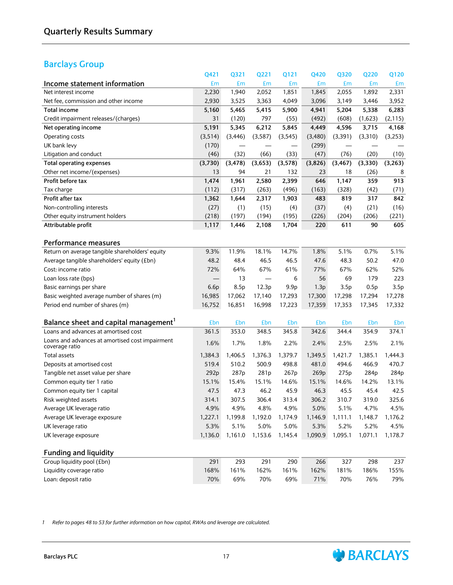# <span id="page-18-0"></span>**Barclays Group**

|                                                                   | Q421    | Q321     | Q221                     | Q121             | Q420    | Q320     | Q220     | Q120     |
|-------------------------------------------------------------------|---------|----------|--------------------------|------------------|---------|----------|----------|----------|
| Income statement information                                      | £m      | £m       | £m                       | £m               | £m      | £m       | £m       | £m       |
| Net interest income                                               | 2,230   | 1,940    | 2,052                    | 1,851            | 1,845   | 2,055    | 1,892    | 2,331    |
| Net fee, commission and other income                              | 2,930   | 3,525    | 3,363                    | 4,049            | 3,096   | 3,149    | 3,446    | 3,952    |
| <b>Total income</b>                                               | 5,160   | 5,465    | 5,415                    | 5,900            | 4,941   | 5,204    | 5,338    | 6,283    |
| Credit impairment releases/(charges)                              | 31      | (120)    | 797                      | (55)             | (492)   | (608)    | (1,623)  | (2, 115) |
| Net operating income                                              | 5,191   | 5,345    | 6,212                    | 5,845            | 4,449   | 4,596    | 3,715    | 4,168    |
| Operating costs                                                   | (3,514) | (3, 446) | (3,587)                  | (3, 545)         | (3,480) | (3,391)  | (3,310)  | (3,253)  |
| UK bank levy                                                      | (170)   |          |                          |                  | (299)   |          |          |          |
| Litigation and conduct                                            | (46)    | (32)     | (66)                     | (33)             | (47)    | (76)     | (20)     | (10)     |
| <b>Total operating expenses</b>                                   | (3,730) | (3, 478) | (3,653)                  | (3,578)          | (3,826) | (3, 467) | (3, 330) | (3,263)  |
| Other net income/(expenses)                                       | 13      | 94       | 21                       | 132              | 23      | 18       | (26)     | 8        |
| Profit before tax                                                 | 1,474   | 1,961    | 2,580                    | 2,399            | 646     | 1,147    | 359      | 913      |
| Tax charge                                                        | (112)   | (317)    | (263)                    | (496)            | (163)   | (328)    | (42)     | (71)     |
| Profit after tax                                                  | 1,362   | 1,644    | 2,317                    | 1,903            | 483     | 819      | 317      | 842      |
| Non-controlling interests                                         | (27)    | (1)      | (15)                     | (4)              | (37)    | (4)      | (21)     | (16)     |
| Other equity instrument holders                                   | (218)   | (197)    | (194)                    | (195)            | (226)   | (204)    | (206)    | (221)    |
| Attributable profit                                               | 1,117   | 1,446    | 2,108                    | 1,704            | 220     | 611      | 90       | 605      |
|                                                                   |         |          |                          |                  |         |          |          |          |
| Performance measures                                              |         |          |                          |                  |         |          |          |          |
| Return on average tangible shareholders' equity                   | 9.3%    | 11.9%    | 18.1%                    | 14.7%            | 1.8%    | 5.1%     | 0.7%     | 5.1%     |
| Average tangible shareholders' equity (£bn)                       | 48.2    | 48.4     | 46.5                     | 46.5             | 47.6    | 48.3     | 50.2     | 47.0     |
| Cost: income ratio                                                | 72%     | 64%      | 67%                      | 61%              | 77%     | 67%      | 62%      | 52%      |
| Loan loss rate (bps)                                              |         | 13       | $\overline{\phantom{m}}$ | 6                | 56      | 69       | 179      | 223      |
| Basic earnings per share                                          | 6.6p    | 8.5p     | 12.3p                    | 9.9 <sub>p</sub> | 1.3p    | 3.5p     | 0.5p     | 3.5p     |
| Basic weighted average number of shares (m)                       | 16,985  | 17,062   | 17,140                   | 17,293           | 17,300  | 17,298   | 17,294   | 17,278   |
| Period end number of shares (m)                                   | 16,752  | 16,851   | 16,998                   | 17,223           | 17,359  | 17,353   | 17,345   | 17,332   |
|                                                                   |         |          |                          |                  |         |          |          |          |
| Balance sheet and capital management <sup>1</sup>                 | £bn     | £bn      | £bn                      | £bn              | £bn     | £bn      | £bn      | £bn      |
| Loans and advances at amortised cost                              | 361.5   | 353.0    | 348.5                    | 345.8            | 342.6   | 344.4    | 354.9    | 374.1    |
| Loans and advances at amortised cost impairment<br>coverage ratio | 1.6%    | 1.7%     | 1.8%                     | 2.2%             | 2.4%    | 2.5%     | 2.5%     | 2.1%     |
| <b>Total assets</b>                                               | 1,384.3 | 1,406.5  | 1,376.3                  | 1,379.7          | 1,349.5 | 1,421.7  | 1,385.1  | 1,444.3  |
| Deposits at amortised cost                                        | 519.4   | 510.2    | 500.9                    | 498.8            | 481.0   | 494.6    | 466.9    | 470.7    |
| Tangible net asset value per share                                | 292p    | 287p     | 281p                     | 267p             | 269p    | 275p     | 284p     | 284p     |
| Common equity tier 1 ratio                                        | 15.1%   | 15.4%    | 15.1%                    | 14.6%            | 15.1%   | 14.6%    | 14.2%    | 13.1%    |
| Common equity tier 1 capital                                      | 47.5    | 47.3     | 46.2                     | 45.9             | 46.3    | 45.5     | 45.4     | 42.5     |
| Risk weighted assets                                              | 314.1   | 307.5    | 306.4                    | 313.4            | 306.2   | 310.7    | 319.0    | 325.6    |
| Average UK leverage ratio                                         | 4.9%    | 4.9%     | 4.8%                     | 4.9%             | 5.0%    | 5.1%     | 4.7%     | 4.5%     |
| Average UK leverage exposure                                      | 1,227.1 | 1,199.8  | 1,192.0                  | 1,174.9          | 1,146.9 | 1,111.1  | 1,148.7  | 1,176.2  |
| UK leverage ratio                                                 | 5.3%    | 5.1%     | 5.0%                     | 5.0%             | 5.3%    | 5.2%     | 5.2%     | 4.5%     |
| UK leverage exposure                                              | 1,136.0 | 1,161.0  | 1,153.6                  | 1,145.4          | 1,090.9 | 1,095.1  | 1,071.1  | 1,178.7  |
|                                                                   |         |          |                          |                  |         |          |          |          |
| <b>Funding and liquidity</b>                                      |         |          |                          |                  |         |          |          |          |
| Group liquidity pool (£bn)                                        | 291     | 293      | 291                      | 290              | 266     | 327      | 298      | 237      |
| Liquidity coverage ratio                                          | 168%    | 161%     | 162%                     | 161%             | 162%    | 181%     | 186%     | 155%     |
| Loan: deposit ratio                                               | 70%     | 69%      | 70%                      | 69%              | 71%     | 70%      | 76%      | 79%      |

*1 Refer to pages 48 to 53 for further information on how capital, RWAs and leverage are calculated.*

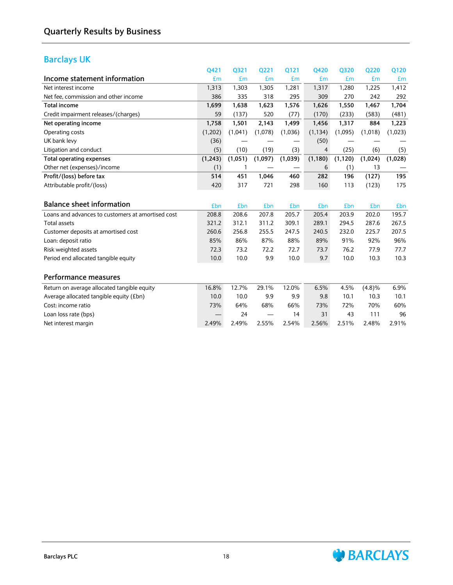# <span id="page-19-0"></span>**Barclays UK**

|                                                   | Q421    | Q321    | Q221       | Q121    | Q420     | Q320     | Q220    | Q120       |
|---------------------------------------------------|---------|---------|------------|---------|----------|----------|---------|------------|
| Income statement information                      | £m      | £m      | £m         | £m      | £m       | £m       | £m      | Em         |
| Net interest income                               | 1,313   | 1,303   | 1,305      | 1,281   | 1,317    | 1,280    | 1,225   | 1,412      |
| Net fee, commission and other income              | 386     | 335     | 318        | 295     | 309      | 270      | 242     | 292        |
| <b>Total income</b>                               | 1,699   | 1,638   | 1,623      | 1,576   | 1,626    | 1,550    | 1,467   | 1,704      |
| Credit impairment releases/(charges)              | 59      | (137)   | 520        | (77)    | (170)    | (233)    | (583)   | (481)      |
| Net operating income                              | 1,758   | 1,501   | 2,143      | 1,499   | 1,456    | 1,317    | 884     | 1,223      |
| Operating costs                                   | (1,202) | (1,041) | (1,078)    | (1,036) | (1, 134) | (1,095)  | (1,018) | (1,023)    |
| UK bank levy                                      | (36)    |         |            |         | (50)     |          |         |            |
| Litigation and conduct                            | (5)     | (10)    | (19)       | (3)     | 4        | (25)     | (6)     | (5)        |
| <b>Total operating expenses</b>                   | (1,243) | (1,051) | (1,097)    | (1,039) | (1, 180) | (1, 120) | (1,024) | (1,028)    |
| Other net (expenses)/income                       | (1)     | 1       |            |         | 6        | (1)      | 13      |            |
| Profit/(loss) before tax                          | 514     | 451     | 1,046      | 460     | 282      | 196      | (127)   | 195        |
| Attributable profit/(loss)                        | 420     | 317     | 721        | 298     | 160      | 113      | (123)   | 175        |
|                                                   |         |         |            |         |          |          |         |            |
| <b>Balance sheet information</b>                  | £bn     | £bn     | <b>£bn</b> | £bn     | £bn      | £bn      | £bn     | <b>£bn</b> |
| Loans and advances to customers at amortised cost | 208.8   | 208.6   | 207.8      | 205.7   | 205.4    | 203.9    | 202.0   | 195.7      |
| Total assets                                      | 321.2   | 312.1   | 311.2      | 309.1   | 289.1    | 294.5    | 287.6   | 267.5      |
| Customer deposits at amortised cost               | 260.6   | 256.8   | 255.5      | 247.5   | 240.5    | 232.0    | 225.7   | 207.5      |
| Loan: deposit ratio                               | 85%     | 86%     | 87%        | 88%     | 89%      | 91%      | 92%     | 96%        |
| Risk weighted assets                              | 72.3    | 73.2    | 72.2       | 72.7    | 73.7     | 76.2     | 77.9    | 77.7       |
| Period end allocated tangible equity              | 10.0    | 10.0    | 9.9        | 10.0    | 9.7      | 10.0     | 10.3    | 10.3       |
|                                                   |         |         |            |         |          |          |         |            |
| Performance measures                              |         |         |            |         |          |          |         |            |
| Return on average allocated tangible equity       | 16.8%   | 12.7%   | 29.1%      | 12.0%   | 6.5%     | 4.5%     | (4.8)%  | 6.9%       |
| Average allocated tangible equity (£bn)           | 10.0    | 10.0    | 9.9        | 9.9     | 9.8      | 10.1     | 10.3    | 10.1       |
| Cost: income ratio                                | 73%     | 64%     | 68%        | 66%     | 73%      | 72%      | 70%     | 60%        |
| Loan loss rate (bps)                              |         | 24      |            | 14      | 31       | 43       | 111     | 96         |
| Net interest margin                               | 2.49%   | 2.49%   | 2.55%      | 2.54%   | 2.56%    | 2.51%    | 2.48%   | 2.91%      |
|                                                   |         |         |            |         |          |          |         |            |

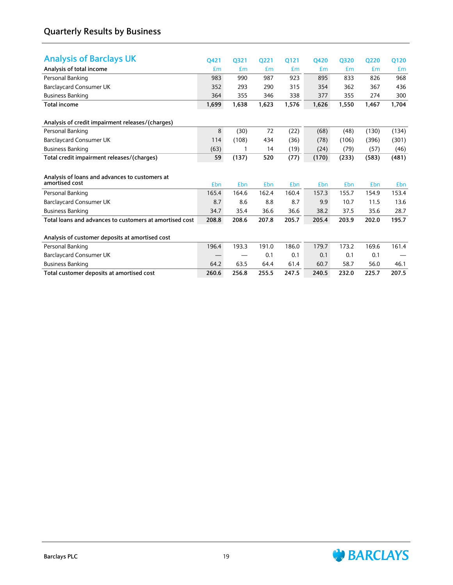# **Quarterly Results by Business**

| <b>Analysis of Barclays UK</b>                                   | Q421  | Q321  | 0221  | Q121  | Q420  | 0320  | 0220  | Q120  |
|------------------------------------------------------------------|-------|-------|-------|-------|-------|-------|-------|-------|
| Analysis of total income                                         | £m    | £m    | £m    | £m    | £m    | £m    | £m    | Em    |
| Personal Banking                                                 | 983   | 990   | 987   | 923   | 895   | 833   | 826   | 968   |
| <b>Barclaycard Consumer UK</b>                                   | 352   | 293   | 290   | 315   | 354   | 362   | 367   | 436   |
| <b>Business Banking</b>                                          | 364   | 355   | 346   | 338   | 377   | 355   | 274   | 300   |
| <b>Total income</b>                                              | 1,699 | 1,638 | 1,623 | 1,576 | 1,626 | 1,550 | 1,467 | 1,704 |
| Analysis of credit impairment releases/(charges)                 |       |       |       |       |       |       |       |       |
| Personal Banking                                                 | 8     | (30)  | 72    | (22)  | (68)  | (48)  | (130) | (134) |
| <b>Barclaycard Consumer UK</b>                                   | 114   | (108) | 434   | (36)  | (78)  | (106) | (396) | (301) |
| <b>Business Banking</b>                                          | (63)  | 1     | 14    | (19)  | (24)  | (79)  | (57)  | (46)  |
| Total credit impairment releases/(charges)                       | 59    | (137) | 520   | (77)  | (170) | (233) | (583) | (481) |
| Analysis of loans and advances to customers at<br>amortised cost | £bn   | £bn   | £bn   | £bn   | £bn   | £bn   | £bn   | £bn   |
| Personal Banking                                                 | 165.4 | 164.6 | 162.4 | 160.4 | 157.3 | 155.7 | 154.9 | 153.4 |
| <b>Barclaycard Consumer UK</b>                                   | 8.7   | 8.6   | 8.8   | 8.7   | 9.9   | 10.7  | 11.5  | 13.6  |
| <b>Business Banking</b>                                          | 34.7  | 35.4  | 36.6  | 36.6  | 38.2  | 37.5  | 35.6  | 28.7  |
| Total loans and advances to customers at amortised cost          | 208.8 | 208.6 | 207.8 | 205.7 | 205.4 | 203.9 | 202.0 | 195.7 |
| Analysis of customer deposits at amortised cost                  |       |       |       |       |       |       |       |       |
| Personal Banking                                                 | 196.4 | 193.3 | 191.0 | 186.0 | 179.7 | 173.2 | 169.6 | 161.4 |
| <b>Barclaycard Consumer UK</b>                                   |       |       | 0.1   | 0.1   | 0.1   | 0.1   | 0.1   |       |
| <b>Business Banking</b>                                          | 64.2  | 63.5  | 64.4  | 61.4  | 60.7  | 58.7  | 56.0  |       |
|                                                                  |       |       |       |       |       |       |       | 46.1  |

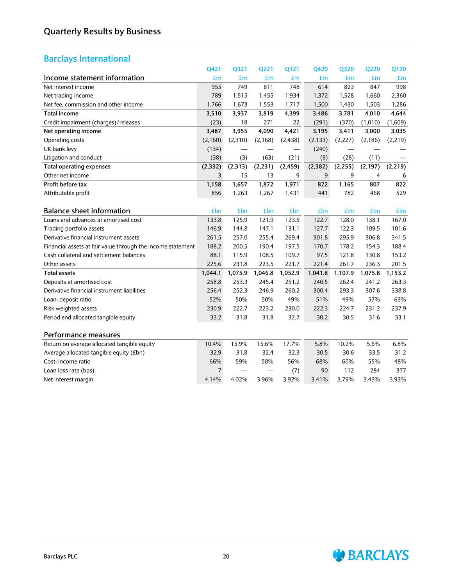# **Barclays International**

|                                                             | Q421           | Q321     | Q221     | Q121     | Q420     | Q320     | Q220           | Q120     |
|-------------------------------------------------------------|----------------|----------|----------|----------|----------|----------|----------------|----------|
| Income statement information                                | £m             | £m       | £m       | £m       | £m       | £m       | £m             | £m       |
| Net interest income                                         | 955            | 749      | 811      | 748      | 614      | 823      | 847            | 998      |
| Net trading income                                          | 789            | 1,515    | 1,455    | 1,934    | 1,372    | 1,528    | 1,660          | 2,360    |
| Net fee, commission and other income                        | 1,766          | 1,673    | 1,553    | 1,717    | 1,500    | 1,430    | 1,503          | 1,286    |
| <b>Total income</b>                                         | 3,510          | 3,937    | 3,819    | 4,399    | 3,486    | 3,781    | 4,010          | 4,644    |
| Credit impairment (charges)/releases                        | (23)           | 18       | 271      | 22       | (291)    | (370)    | (1,010)        | (1,609)  |
| Net operating income                                        | 3,487          | 3,955    | 4,090    | 4,421    | 3,195    | 3,411    | 3,000          | 3,035    |
| Operating costs                                             | (2,160)        | (2,310)  | (2, 168) | (2, 438) | (2, 133) | (2,227)  | (2, 186)       | (2, 219) |
| UK bank levy                                                | (134)          |          |          |          | (240)    |          |                |          |
| Litigation and conduct                                      | (38)           | (3)      | (63)     | (21)     | (9)      | (28)     | (11)           |          |
| <b>Total operating expenses</b>                             | (2, 332)       | (2, 313) | (2, 231) | (2, 459) | (2, 382) | (2, 255) | (2, 197)       | (2, 219) |
| Other net income                                            | 3              | 15       | 13       | 9        | 9        | 9        | $\overline{4}$ | 6        |
| Profit before tax                                           | 1,158          | 1,657    | 1,872    | 1,971    | 822      | 1,165    | 807            | 822      |
| Attributable profit                                         | 856            | 1,263    | 1,267    | 1,431    | 441      | 782      | 468            | 529      |
|                                                             |                |          |          |          |          |          |                |          |
| <b>Balance sheet information</b>                            | £bn            | £bn      | £bn      | £bn      | £bn      | £bn      | £bn            | £bn      |
| Loans and advances at amortised cost                        | 133.8          | 125.9    | 121.9    | 123.5    | 122.7    | 128.0    | 138.1          | 167.0    |
| Trading portfolio assets                                    | 146.9          | 144.8    | 147.1    | 131.1    | 127.7    | 122.3    | 109.5          | 101.6    |
| Derivative financial instrument assets                      | 261.5          | 257.0    | 255.4    | 269.4    | 301.8    | 295.9    | 306.8          | 341.5    |
| Financial assets at fair value through the income statement | 188.2          | 200.5    | 190.4    | 197.5    | 170.7    | 178.2    | 154.3          | 188.4    |
| Cash collateral and settlement balances                     | 88.1           | 115.9    | 108.5    | 109.7    | 97.5     | 121.8    | 130.8          | 153.2    |
| Other assets                                                | 225.6          | 231.8    | 223.5    | 221.7    | 221.4    | 261.7    | 236.3          | 201.5    |
| <b>Total assets</b>                                         | 1,044.1        | 1,075.9  | 1,046.8  | 1,052.9  | 1,041.8  | 1,107.9  | 1,075.8        | 1,153.2  |
| Deposits at amortised cost                                  | 258.8          | 253.3    | 245.4    | 251.2    | 240.5    | 262.4    | 241.2          | 263.3    |
| Derivative financial instrument liabilities                 | 256.4          | 252.3    | 246.9    | 260.2    | 300.4    | 293.3    | 307.6          | 338.8    |
| Loan: deposit ratio                                         | 52%            | 50%      | 50%      | 49%      | 51%      | 49%      | 57%            | 63%      |
| Risk weighted assets                                        | 230.9          | 222.7    | 223.2    | 230.0    | 222.3    | 224.7    | 231.2          | 237.9    |
| Period end allocated tangible equity                        | 33.2           | 31.8     | 31.8     | 32.7     | 30.2     | 30.5     | 31.6           | 33.1     |
|                                                             |                |          |          |          |          |          |                |          |
| Performance measures                                        |                |          |          |          |          |          |                |          |
| Return on average allocated tangible equity                 | 10.4%          | 15.9%    | 15.6%    | 17.7%    | 5.8%     | 10.2%    | 5.6%           | 6.8%     |
| Average allocated tangible equity (£bn)                     | 32.9           | 31.8     | 32.4     | 32.3     | 30.5     | 30.6     | 33.5           | 31.2     |
| Cost: income ratio                                          | 66%            | 59%      | 58%      | 56%      | 68%      | 60%      | 55%            | 48%      |
| Loan loss rate (bps)                                        | $\overline{7}$ |          |          | (7)      | 90       | 112      | 284            | 377      |
| Net interest margin                                         | 4.14%          | 4.02%    | 3.96%    | 3.92%    | 3.41%    | 3.79%    | 3.43%          | 3.93%    |

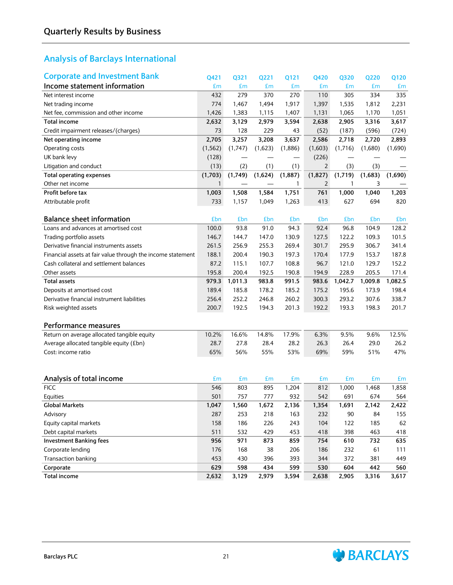# **Analysis of Barclays International**

| <b>Corporate and Investment Bank</b>                        | Q421         | Q321    | Q221    | Q121    | Q420     | Q320    | Q220    | Q120    |
|-------------------------------------------------------------|--------------|---------|---------|---------|----------|---------|---------|---------|
| Income statement information                                | £m           | £m      | £m      | £m      | £m       | £m      | £m      | £m      |
| Net interest income                                         | 432          | 279     | 370     | 270     | 110      | 305     | 334     | 335     |
| Net trading income                                          | 774          | 1,467   | 1,494   | 1,917   | 1,397    | 1,535   | 1,812   | 2,231   |
| Net fee, commission and other income                        | 1,426        | 1,383   | 1,115   | 1,407   | 1,131    | 1,065   | 1,170   | 1,051   |
| <b>Total income</b>                                         | 2,632        | 3,129   | 2,979   | 3,594   | 2,638    | 2,905   | 3,316   | 3,617   |
| Credit impairment releases/(charges)                        | 73           | 128     | 229     | 43      | (52)     | (187)   | (596)   | (724)   |
| Net operating income                                        | 2,705        | 3,257   | 3,208   | 3,637   | 2,586    | 2,718   | 2,720   | 2,893   |
| Operating costs                                             | (1, 562)     | (1,747) | (1,623) | (1,886) | (1,603)  | (1,716) | (1,680) | (1,690) |
| UK bank levy                                                | (128)        |         |         |         | (226)    |         |         |         |
| Litigation and conduct                                      | (13)         | (2)     | (1)     | (1)     | 2        | (3)     | (3)     |         |
| <b>Total operating expenses</b>                             | (1,703)      | (1,749) | (1,624) | (1,887) | (1, 827) | (1,719) | (1,683) | (1,690) |
| Other net income                                            | $\mathbf{1}$ |         |         | 1       | 2        | 1       | 3       |         |
| Profit before tax                                           | 1,003        | 1,508   | 1,584   | 1,751   | 761      | 1,000   | 1,040   | 1,203   |
| Attributable profit                                         | 733          | 1,157   | 1,049   | 1,263   | 413      | 627     | 694     | 820     |
|                                                             |              |         |         |         |          |         |         |         |
| <b>Balance sheet information</b>                            | £bn          | £bn     | £bn     | £bn     | £bn      | £bn     | £bn     | £bn     |
| Loans and advances at amortised cost                        | 100.0        | 93.8    | 91.0    | 94.3    | 92.4     | 96.8    | 104.9   | 128.2   |
| Trading portfolio assets                                    | 146.7        | 144.7   | 147.0   | 130.9   | 127.5    | 122.2   | 109.3   | 101.5   |
| Derivative financial instruments assets                     | 261.5        | 256.9   | 255.3   | 269.4   | 301.7    | 295.9   | 306.7   | 341.4   |
| Financial assets at fair value through the income statement | 188.1        | 200.4   | 190.3   | 197.3   | 170.4    | 177.9   | 153.7   | 187.8   |
| Cash collateral and settlement balances                     | 87.2         | 115.1   | 107.7   | 108.8   | 96.7     | 121.0   | 129.7   | 152.2   |
| Other assets                                                | 195.8        | 200.4   | 192.5   | 190.8   | 194.9    | 228.9   | 205.5   | 171.4   |
| Total assets                                                | 979.3        | 1,011.3 | 983.8   | 991.5   | 983.6    | 1,042.7 | 1,009.8 | 1,082.5 |
| Deposits at amortised cost                                  | 189.4        | 185.8   | 178.2   | 185.2   | 175.2    | 195.6   | 173.9   | 198.4   |
| Derivative financial instrument liabilities                 | 256.4        | 252.2   | 246.8   | 260.2   | 300.3    | 293.2   | 307.6   | 338.7   |
| Risk weighted assets                                        | 200.7        | 192.5   | 194.3   | 201.3   | 192.2    | 193.3   | 198.3   | 201.7   |
|                                                             |              |         |         |         |          |         |         |         |
| Performance measures                                        |              |         |         |         |          |         |         |         |
| Return on average allocated tangible equity                 | 10.2%        | 16.6%   | 14.8%   | 17.9%   | 6.3%     | 9.5%    | 9.6%    | 12.5%   |
| Average allocated tangible equity (£bn)                     | 28.7         | 27.8    | 28.4    | 28.2    | 26.3     | 26.4    | 29.0    | 26.2    |
| Cost: income ratio                                          | 65%          | 56%     | 55%     | 53%     | 69%      | 59%     | 51%     | 47%     |
|                                                             |              |         |         |         |          |         |         |         |
|                                                             |              |         |         |         |          |         |         |         |
| Analysis of total income                                    | £m           | £m      | £m      | £m      | £m       | £m      | £m      | £m      |
| <b>FICC</b>                                                 | 546          | 803     | 895     | 1,204   | 812      | 1,000   | 1,468   | 1,858   |
| Equities                                                    | 501          | 757     | 777     | 932     | 542      | 691     | 674     | 564     |
| Global Markets                                              | 1,047        | 1,560   | 1,672   | 2,136   | 1,354    | 1,691   | 2,142   | 2,422   |
| Advisory                                                    | 287          | 253     | 218     | 163     | 232      | 90      | 84      | 155     |
| Equity capital markets                                      | 158          | 186     | 226     | 243     | 104      | 122     | 185     | 62      |
| Debt capital markets                                        | 511          | 532     | 429     | 453     | 418      | 398     | 463     | 418     |
| <b>Investment Banking fees</b>                              | 956          | 971     | 873     | 859     | 754      | 610     | 732     | 635     |
| Corporate lending                                           | 176          | 168     | 38      | 206     | 186      | 232     | 61      | 111     |
| Transaction banking                                         | 453          | 430     | 396     | 393     | 344      | 372     | 381     | 449     |
| Corporate                                                   | 629          | 598     | 434     | 599     | 530      | 604     | 442     | 560     |
| <b>Total income</b>                                         | 2,632        | 3,129   | 2,979   | 3,594   | 2,638    | 2,905   | 3,316   | 3,617   |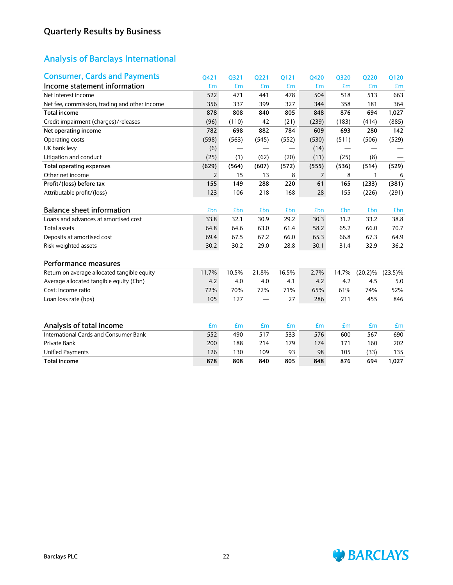# **Analysis of Barclays International**

| <b>Consumer, Cards and Payments</b>           | Q421  | Q321  | Q221  | Q121  | Q420  | Q320  | <b>Q220</b> | Q120       |
|-----------------------------------------------|-------|-------|-------|-------|-------|-------|-------------|------------|
| Income statement information                  | £m    | £m    | £m    | £m    | £m    | £m    | £m          | £m         |
| Net interest income                           | 522   | 471   | 441   | 478   | 504   | 518   | 513         | 663        |
| Net fee, commission, trading and other income | 356   | 337   | 399   | 327   | 344   | 358   | 181         | 364        |
| <b>Total income</b>                           | 878   | 808   | 840   | 805   | 848   | 876   | 694         | 1,027      |
| Credit impairment (charges)/releases          | (96)  | (110) | 42    | (21)  | (239) | (183) | (414)       | (885)      |
| Net operating income                          | 782   | 698   | 882   | 784   | 609   | 693   | 280         | 142        |
| Operating costs                               | (598) | (563) | (545) | (552) | (530) | (511) | (506)       | (529)      |
| UK bank levy                                  | (6)   |       |       |       | (14)  |       |             |            |
| Litigation and conduct                        | (25)  | (1)   | (62)  | (20)  | (11)  | (25)  | (8)         |            |
| <b>Total operating expenses</b>               | (629) | (564) | (607) | (572) | (555) | (536) | (514)       | (529)      |
| Other net income                              | 2     | 15    | 13    | 8     | 7     | 8     | 1           | 6          |
| Profit/(loss) before tax                      | 155   | 149   | 288   | 220   | 61    | 165   | (233)       | (381)      |
| Attributable profit/(loss)                    | 123   | 106   | 218   | 168   | 28    | 155   | (226)       | (291)      |
|                                               |       |       |       |       |       |       |             |            |
| <b>Balance sheet information</b>              | £bn   | £bn   | £bn   | £bn   | £bn   | £bn   | £bn         | £bn        |
| Loans and advances at amortised cost          | 33.8  | 32.1  | 30.9  | 29.2  | 30.3  | 31.2  | 33.2        | 38.8       |
| <b>Total assets</b>                           | 64.8  | 64.6  | 63.0  | 61.4  | 58.2  | 65.2  | 66.0        | 70.7       |
| Deposits at amortised cost                    | 69.4  | 67.5  | 67.2  | 66.0  | 65.3  | 66.8  | 67.3        | 64.9       |
| Risk weighted assets                          | 30.2  | 30.2  | 29.0  | 28.8  | 30.1  | 31.4  | 32.9        | 36.2       |
| Performance measures                          |       |       |       |       |       |       |             |            |
| Return on average allocated tangible equity   | 11.7% | 10.5% | 21.8% | 16.5% | 2.7%  | 14.7% | $(20.2)\%$  | $(23.5)\%$ |
| Average allocated tangible equity (£bn)       | 4.2   | 4.0   | 4.0   | 4.1   | 4.2   | 4.2   | 4.5         | 5.0        |
| Cost: income ratio                            | 72%   | 70%   | 72%   | 71%   | 65%   | 61%   | 74%         | 52%        |
| Loan loss rate (bps)                          | 105   | 127   |       | 27    | 286   | 211   | 455         | 846        |
|                                               |       |       |       |       |       |       |             |            |
|                                               |       |       |       |       |       |       |             |            |
| Analysis of total income                      | £m    | £m    | £m    | £m    | £m    | £m    | £m          | £m         |
| International Cards and Consumer Bank         | 552   | 490   | 517   | 533   | 576   | 600   | 567         | 690        |
| <b>Private Bank</b>                           | 200   | 188   | 214   | 179   | 174   | 171   | 160         | 202        |
| <b>Unified Payments</b>                       | 126   | 130   | 109   | 93    | 98    | 105   | (33)        | 135        |
| <b>Total income</b>                           | 878   | 808   | 840   | 805   | 848   | 876   | 694         | 1,027      |

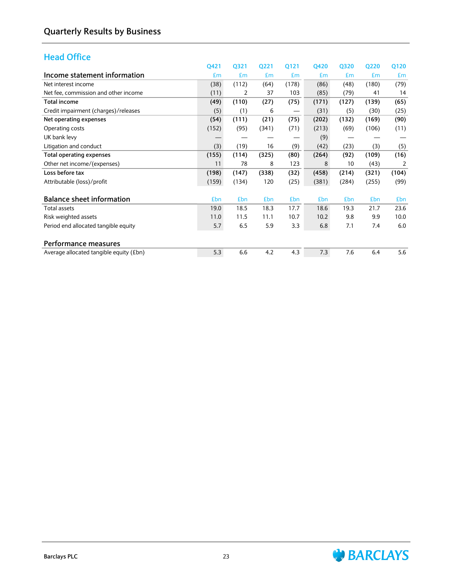# **Head Office**

|                                         | Q421  | Q321  | Q221       | Q121              | Q420  | Q320  | Q220  | Q120  |
|-----------------------------------------|-------|-------|------------|-------------------|-------|-------|-------|-------|
| Income statement information            | £m    | £m    | £m         | £m                | £m    | £m    | £m    | £m    |
| Net interest income                     | (38)  | (112) | (64)       | (178)             | (86)  | (48)  | (180) | (79)  |
| Net fee, commission and other income    | (11)  | 2     | 37         | 103               | (85)  | (79)  | 41    | 14    |
| <b>Total income</b>                     | (49)  | (110) | (27)       | (75)              | (171) | (127) | (139) | (65)  |
| Credit impairment (charges)/releases    | (5)   | (1)   | 6          | $\hspace{0.05cm}$ | (31)  | (5)   | (30)  | (25)  |
| Net operating expenses                  | (54)  | (111) | (21)       | (75)              | (202) | (132) | (169) | (90)  |
| Operating costs                         | (152) | (95)  | (341)      | (71)              | (213) | (69)  | (106) | (11)  |
| UK bank levy                            |       |       |            |                   | (9)   |       |       |       |
| Litigation and conduct                  | (3)   | (19)  | 16         | (9)               | (42)  | (23)  | (3)   | (5)   |
| <b>Total operating expenses</b>         | (155) | (114) | (325)      | (80)              | (264) | (92)  | (109) | (16)  |
| Other net income/(expenses)             | 11    | 78    | 8          | 123               | 8     | 10    | (43)  | 2     |
| Loss before tax                         | (198) | (147) | (338)      | (32)              | (458) | (214) | (321) | (104) |
| Attributable (loss)/profit              | (159) | (134) | 120        | (25)              | (381) | (284) | (255) | (99)  |
| <b>Balance sheet information</b>        | £bn   | £bn   | <b>£bn</b> | £bn               | £bn   | £bn   | £bn   | £bn   |
| <b>Total assets</b>                     | 19.0  | 18.5  | 18.3       | 17.7              | 18.6  | 19.3  | 21.7  | 23.6  |
| Risk weighted assets                    | 11.0  | 11.5  | 11.1       | 10.7              | 10.2  | 9.8   | 9.9   | 10.0  |
| Period end allocated tangible equity    | 5.7   | 6.5   | 5.9        | 3.3               | 6.8   | 7.1   | 7.4   | 6.0   |
| Performance measures                    |       |       |            |                   |       |       |       |       |
| Average allocated tangible equity (£bn) | 5.3   | 6.6   | 4.2        | 4.3               | 7.3   | 7.6   | 6.4   | 5.6   |

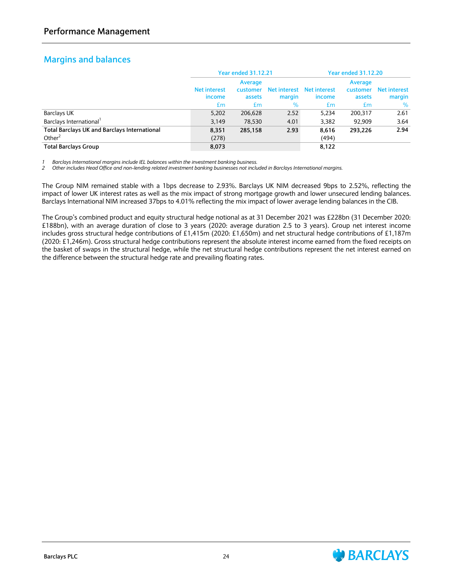# <span id="page-25-0"></span>**Margins and balances**

|                                                     |                               | <b>Year ended 31.12.21</b>    |                        | <b>Year ended 31.12.20</b> |                               |                        |  |
|-----------------------------------------------------|-------------------------------|-------------------------------|------------------------|----------------------------|-------------------------------|------------------------|--|
|                                                     | <b>Net interest</b><br>income | Average<br>customer<br>assets | Net interest<br>margin | Net interest<br>income     | Average<br>customer<br>assets | Net interest<br>margin |  |
|                                                     | £m                            | £m                            | $\%$                   | £m                         | £m                            | $\%$                   |  |
| Barclays UK                                         | 5,202                         | 206,628                       | 2.52                   | 5.234                      | 200.317                       | 2.61                   |  |
| Barclays International <sup>1</sup>                 | 3.149                         | 78.530                        | 4.01                   | 3,382                      | 92.909                        | 3.64                   |  |
| <b>Total Barclays UK and Barclays International</b> | 8.351                         | 285,158                       | 2.93                   | 8.616                      | 293.226                       | 2.94                   |  |
| Other $2$                                           | (278)                         |                               |                        | (494)                      |                               |                        |  |
| <b>Total Barclays Group</b>                         | 8,073                         |                               |                        | 8,122                      |                               |                        |  |

*1 Barclays International margins include IEL balances within the investment banking business.*

*2 Other includes Head Office and non-lending related investment banking businesses not included in Barclays International margins.*

The Group NIM remained stable with a 1bps decrease to 2.93%. Barclays UK NIM decreased 9bps to 2.52%, reflecting the impact of lower UK interest rates as well as the mix impact of strong mortgage growth and lower unsecured lending balances. Barclays International NIM increased 37bps to 4.01% reflecting the mix impact of lower average lending balances in the CIB.

The Group's combined product and equity structural hedge notional as at 31 December 2021 was £228bn (31 December 2020: £188bn), with an average duration of close to 3 years (2020: average duration 2.5 to 3 years). Group net interest income includes gross structural hedge contributions of £1,415m (2020: £1,650m) and net structural hedge contributions of £1,187m (2020: £1,246m). Gross structural hedge contributions represent the absolute interest income earned from the fixed receipts on the basket of swaps in the structural hedge, while the net structural hedge contributions represent the net interest earned on the difference between the structural hedge rate and prevailing floating rates.

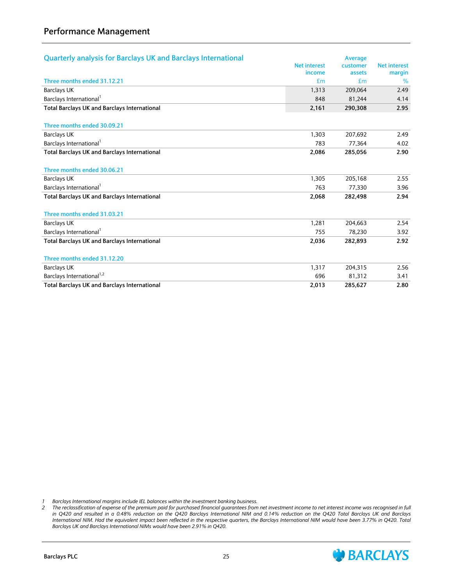| <b>Quarterly analysis for Barclays UK and Barclays International</b> | <b>Net interest</b><br>income | Average<br>customer<br>assets | <b>Net interest</b><br>margin |
|----------------------------------------------------------------------|-------------------------------|-------------------------------|-------------------------------|
| Three months ended 31.12.21                                          | £m                            | £m                            | %                             |
| <b>Barclays UK</b>                                                   | 1.313                         | 209,064                       | 2.49                          |
| Barclays International <sup>1</sup>                                  | 848                           | 81.244                        | 4.14                          |
| <b>Total Barclays UK and Barclays International</b>                  | 2,161                         | 290,308                       | 2.95                          |
| Three months ended 30.09.21                                          |                               |                               |                               |
| <b>Barclays UK</b>                                                   | 1,303                         | 207,692                       | 2.49                          |
| Barclays International                                               | 783                           | 77,364                        | 4.02                          |
| Total Barclays UK and Barclays International                         | 2,086                         | 285,056                       | 2.90                          |
| Three months ended 30.06.21                                          |                               |                               |                               |
| <b>Barclays UK</b>                                                   | 1,305                         | 205,168                       | 2.55                          |
| Barclays International <sup>1</sup>                                  | 763                           | 77,330                        | 3.96                          |
| <b>Total Barclays UK and Barclays International</b>                  | 2,068                         | 282,498                       | 2.94                          |
| Three months ended 31.03.21                                          |                               |                               |                               |
| <b>Barclays UK</b>                                                   | 1,281                         | 204,663                       | 2.54                          |
| Barclays International <sup>1</sup>                                  | 755                           | 78.230                        | 3.92                          |
| <b>Total Barclays UK and Barclays International</b>                  | 2,036                         | 282,893                       | 2.92                          |
| Three months ended 31.12.20                                          |                               |                               |                               |
| <b>Barclays UK</b>                                                   | 1,317                         | 204,315                       | 2.56                          |
| Barclays International <sup>1,2</sup>                                | 696                           | 81,312                        | 3.41                          |
| <b>Total Barclays UK and Barclays International</b>                  | 2,013                         | 285,627                       | 2.80                          |

*1 Barclays International margins include IEL balances within the investment banking business.*



*<sup>2</sup> The reclassification of expense of the premium paid for purchased financial guarantees from net investment income to net interest income was recognised in full in Q420 and resulted in a 0.48% reduction on the Q420 Barclays International NIM and 0.14% reduction on the Q420 Total Barclays UK and Barclays International NIM. Had the equivalent impact been reflected in the respective quarters, the Barclays International NIM would have been 3.77% in Q420. Total Barclays UK and Barclays International NIMs would have been 2.91% in Q420.*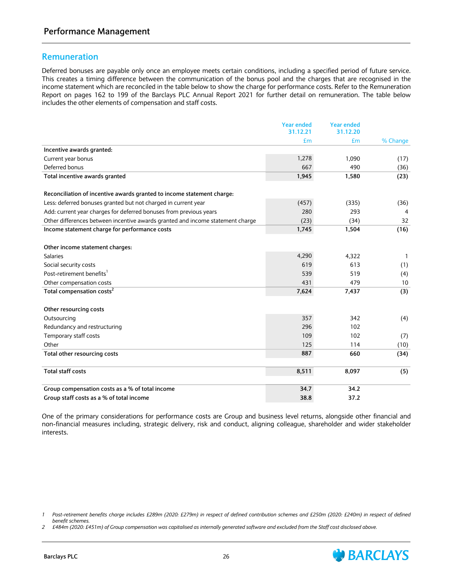#### **Remuneration**

Deferred bonuses are payable only once an employee meets certain conditions, including a specified period of future service. This creates a timing difference between the communication of the bonus pool and the charges that are recognised in the income statement which are reconciled in the table below to show the charge for performance costs. Refer to the Remuneration Report on pages 162 to 199 of the Barclays PLC Annual Report 2021 for further detail on remuneration. The table below includes the other elements of compensation and staff costs.

|                                                                                | <b>Year ended</b><br>31.12.21 | <b>Year ended</b><br>31.12.20 |          |
|--------------------------------------------------------------------------------|-------------------------------|-------------------------------|----------|
|                                                                                | £m                            | £m                            | % Change |
| Incentive awards granted:                                                      |                               |                               |          |
| Current year bonus                                                             | 1,278                         | 1,090                         | (17)     |
| Deferred bonus                                                                 | 667                           | 490                           | (36)     |
| Total incentive awards granted                                                 | 1,945                         | 1,580                         | (23)     |
| Reconciliation of incentive awards granted to income statement charge:         |                               |                               |          |
| Less: deferred bonuses granted but not charged in current year                 | (457)                         | (335)                         | (36)     |
| Add: current year charges for deferred bonuses from previous years             | 280                           | 293                           | 4        |
| Other differences between incentive awards granted and income statement charge | (23)                          | (34)                          | 32       |
| Income statement charge for performance costs                                  | 1,745                         | 1,504                         | (16)     |
|                                                                                |                               |                               |          |
| Other income statement charges:                                                |                               |                               |          |
| <b>Salaries</b>                                                                | 4,290                         | 4,322                         | -1       |
| Social security costs                                                          | 619                           | 613                           | (1)      |
| Post-retirement benefits <sup>1</sup>                                          | 539                           | 519                           | (4)      |
| Other compensation costs                                                       | 431                           | 479                           | 10       |
| Total compensation costs <sup>2</sup>                                          | 7,624                         | 7,437                         | (3)      |
| Other resourcing costs                                                         |                               |                               |          |
| Outsourcing                                                                    | 357                           | 342                           | (4)      |
| Redundancy and restructuring                                                   | 296                           | 102                           |          |
| Temporary staff costs                                                          | 109                           | 102                           | (7)      |
| Other                                                                          | 125                           | 114                           | (10)     |
| Total other resourcing costs                                                   | 887                           | 660                           | (34)     |
| <b>Total staff costs</b>                                                       | 8,511                         | 8,097                         | (5)      |
| Group compensation costs as a % of total income                                | 34.7                          | 34.2                          |          |
| Group staff costs as a % of total income                                       | 38.8                          | 37.2                          |          |

One of the primary considerations for performance costs are Group and business level returns, alongside other financial and non-financial measures including, strategic delivery, risk and conduct, aligning colleague, shareholder and wider stakeholder interests.



*<sup>1</sup> Post-retirement benefits charge includes £289m (2020: £279m) in respect of defined contribution schemes and £250m (2020: £240m) in respect of defined benefit schemes.*

*<sup>2</sup> £484m (2020: £451m) of Group compensation was capitalised as internally generated software and excluded from the Staff cost disclosed above.*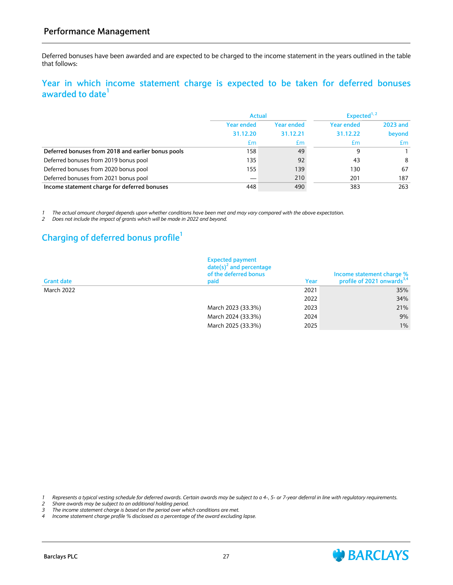<span id="page-28-0"></span>Deferred bonuses have been awarded and are expected to be charged to the income statement in the years outlined in the table that follows:

#### **Year in which income statement charge is expected to be taken for deferred bonuses awarded to date<sup>1</sup>**

|                                                    | <b>Actual</b>     |            | Expected $1,2$ |          |  |
|----------------------------------------------------|-------------------|------------|----------------|----------|--|
|                                                    | <b>Year ended</b> | Year ended | Year ended     | 2023 and |  |
|                                                    | 31.12.20          | 31.12.21   | 31.12.22       | beyond   |  |
|                                                    | £m                | £m         | £m             | £m       |  |
| Deferred bonuses from 2018 and earlier bonus pools | 158               | 49         | 9              |          |  |
| Deferred bonuses from 2019 bonus pool              | 135               | 92         | 43             | -8       |  |
| Deferred bonuses from 2020 bonus pool              | 155               | 139        | 130            | 67       |  |
| Deferred bonuses from 2021 bonus pool              |                   | 210        | 201            | 187      |  |
| Income statement charge for deferred bonuses       | 448               | 490        | 383            | 263      |  |

*1 The actual amount charged depends upon whether conditions have been met and may vary compared with the above expectation.*

*2 Does not include the impact of grants which will be made in 2022 and beyond.*

# **Charging of deferred bonus profile<sup>1</sup>**

| <b>Grant date</b> | <b>Expected payment</b><br>$date(s)^2$ and percentage<br>of the deferred bonus<br>paid | Year | Income statement charge %<br>profile of 2021 onwards <sup>3,4</sup> |
|-------------------|----------------------------------------------------------------------------------------|------|---------------------------------------------------------------------|
| <b>March 2022</b> |                                                                                        | 2021 | 35%                                                                 |
|                   |                                                                                        | 2022 | 34%                                                                 |
|                   | March 2023 (33.3%)                                                                     | 2023 | 21%                                                                 |
|                   | March 2024 (33.3%)                                                                     | 2024 | 9%                                                                  |
|                   | March 2025 (33.3%)                                                                     | 2025 | 1%                                                                  |

*1 Represents a typical vesting schedule for deferred awards. Certain awards may be subject to a 4-, 5- or 7-year deferral in line with regulatory requirements.*

*2 Share awards may be subject to an additional holding period.*

*3 The income statement charge is based on the period over which conditions are met.*

*4 Income statement charge profile % disclosed as a percentage of the award excluding lapse.*

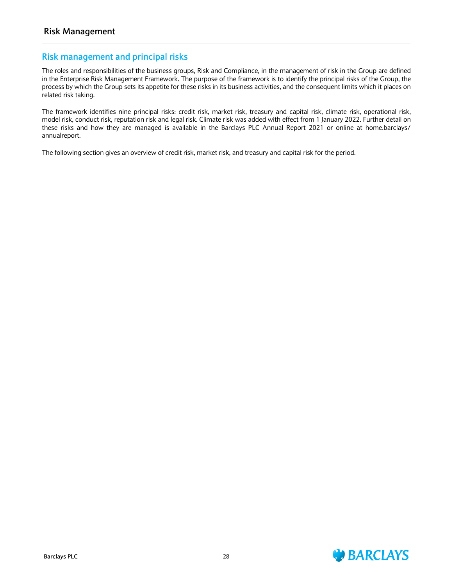#### <span id="page-29-0"></span>**Risk management and principal risks**

The roles and responsibilities of the business groups, Risk and Compliance, in the management of risk in the Group are defined in the Enterprise Risk Management Framework. The purpose of the framework is to identify the principal risks of the Group, the process by which the Group sets its appetite for these risks in its business activities, and the consequent limits which it places on related risk taking.

The framework identifies nine principal risks: credit risk, market risk, treasury and capital risk, climate risk, operational risk, model risk, conduct risk, reputation risk and legal risk. Climate risk was added with effect from 1 January 2022. Further detail on these risks and how they are managed is available in the Barclays PLC Annual Report 2021 or online at home.barclays/ annualreport.

The following section gives an overview of credit risk, market risk, and treasury and capital risk for the period.

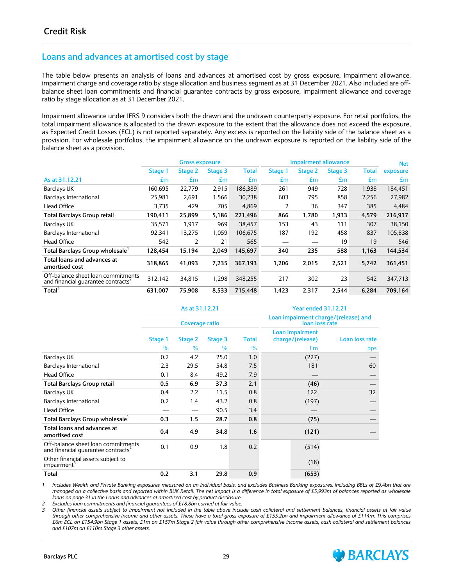## <span id="page-30-0"></span>**Loans and advances at amortised cost by stage**

The table below presents an analysis of loans and advances at amortised cost by gross exposure, impairment allowance, impairment charge and coverage ratio by stage allocation and business segment as at 31 December 2021. Also included are offbalance sheet loan commitments and financial guarantee contracts by gross exposure, impairment allowance and coverage ratio by stage allocation as at 31 December 2021.

Impairment allowance under IFRS 9 considers both the drawn and the undrawn counterparty exposure. For retail portfolios, the total impairment allowance is allocated to the drawn exposure to the extent that the allowance does not exceed the exposure, as Expected Credit Losses (ECL) is not reported separately. Any excess is reported on the liability side of the balance sheet as a provision. For wholesale portfolios, the impairment allowance on the undrawn exposure is reported on the liability side of the balance sheet as a provision.

|                                                                                      | <b>Gross exposure</b> |         |         |         | <b>Impairment allowance</b> | <b>Net</b> |         |              |          |
|--------------------------------------------------------------------------------------|-----------------------|---------|---------|---------|-----------------------------|------------|---------|--------------|----------|
|                                                                                      | Stage 1               | Stage 2 | Stage 3 | Total   | Stage 1                     | Stage 2    | Stage 3 | <b>Total</b> | exposure |
| As at 31.12.21                                                                       | £m                    | Em      | £m      | £m      | £m                          | £m         | £m      | Em           | Em       |
| <b>Barclays UK</b>                                                                   | 160,695               | 22.779  | 2,915   | 186,389 | 261                         | 949        | 728     | 1,938        | 184,451  |
| Barclays International                                                               | 25,981                | 2,691   | 1,566   | 30,238  | 603                         | 795        | 858     | 2,256        | 27,982   |
| <b>Head Office</b>                                                                   | 3,735                 | 429     | 705     | 4,869   | 2                           | 36         | 347     | 385          | 4,484    |
| <b>Total Barclays Group retail</b>                                                   | 190,411               | 25,899  | 5,186   | 221,496 | 866                         | 1,780      | 1,933   | 4,579        | 216,917  |
| <b>Barclays UK</b>                                                                   | 35,571                | 1,917   | 969     | 38,457  | 153                         | 43         | 111     | 307          | 38,150   |
| <b>Barclays International</b>                                                        | 92,341                | 13,275  | 1,059   | 106,675 | 187                         | 192        | 458     | 837          | 105,838  |
| <b>Head Office</b>                                                                   | 542                   | 2       | 21      | 565     |                             |            | 19      | 19           | 546      |
| Total Barclays Group wholesale <sup>1</sup>                                          | 128,454               | 15,194  | 2,049   | 145,697 | 340                         | 235        | 588     | 1,163        | 144,534  |
| Total loans and advances at<br>amortised cost                                        | 318,865               | 41,093  | 7,235   | 367,193 | 1,206                       | 2,015      | 2,521   | 5,742        | 361,451  |
| Off-balance sheet loan commitments<br>and financial quarantee contracts <sup>2</sup> | 312,142               | 34.815  | 1.298   | 348,255 | 217                         | 302        | 23      | 542          | 347,713  |
| Total <sup>3</sup>                                                                   | 631,007               | 75,908  | 8,533   | 715.448 | 1,423                       | 2,317      | 2,544   | 6,284        | 709,164  |

|                                                                                      |         | As at 31.12.21        |         |              | <b>Year ended 31.12.21</b>                             |                |  |  |
|--------------------------------------------------------------------------------------|---------|-----------------------|---------|--------------|--------------------------------------------------------|----------------|--|--|
|                                                                                      |         | <b>Coverage ratio</b> |         |              | Loan impairment charge/(release) and<br>loan loss rate |                |  |  |
|                                                                                      | Stage 1 | Stage 2               | Stage 3 | <b>Total</b> | Loan impairment<br>charge/(release)                    | Loan loss rate |  |  |
|                                                                                      | %       | $\%$                  | %       | %            | Em                                                     | bps            |  |  |
| <b>Barclays UK</b>                                                                   | 0.2     | 4.2                   | 25.0    | 1.0          | (227)                                                  |                |  |  |
| Barclays International                                                               | 2.3     | 29.5                  | 54.8    | 7.5          | 181                                                    | 60             |  |  |
| <b>Head Office</b>                                                                   | 0.1     | 8.4                   | 49.2    | 7.9          |                                                        |                |  |  |
| <b>Total Barclays Group retail</b>                                                   | 0.5     | 6.9                   | 37.3    | 2.1          | (46)                                                   |                |  |  |
| <b>Barclays UK</b>                                                                   | 0.4     | 2.2                   | 11.5    | 0.8          | 122                                                    | 32             |  |  |
| Barclays International                                                               | 0.2     | 1.4                   | 43.2    | 0.8          | (197)                                                  |                |  |  |
| <b>Head Office</b>                                                                   |         |                       | 90.5    | 3.4          |                                                        |                |  |  |
| Total Barclays Group wholesale                                                       | 0.3     | 1.5                   | 28.7    | 0.8          | (75)                                                   |                |  |  |
| Total loans and advances at<br>amortised cost                                        | 0.4     | 4.9                   | 34.8    | 1.6          | (121)                                                  |                |  |  |
| Off-balance sheet loan commitments<br>and financial guarantee contracts <sup>2</sup> | 0.1     | 0.9                   | 1.8     | 0.2          | (514)                                                  |                |  |  |
| Other financial assets subject to<br>impairment <sup>3</sup>                         |         |                       |         |              | (18)                                                   |                |  |  |
| Total                                                                                | 0.2     | 3.1                   | 29.8    | 0.9          | (653)                                                  |                |  |  |

1 Includes Wealth and Private Banking exposures measured on an individual basis, and excludes Business Banking exposures, including BBLs of £9.4bn that are *managed on a collective basis and reported within BUK Retail. The net impact is a difference in total exposure of £5,993m of balances reported as wholesale loans on page 31 in the Loans and advances at amortised cost by product disclosure.*

*2 Excludes loan commitments and financial guarantees of £18.8bn carried at fair value.*

*3 Other financial assets subject to impairment not included in the table above include cash collateral and settlement balances, financial assets at fair value through other comprehensive income and other assets. These have a total gross exposure of £155.2bn and impairment allowance of £114m. This comprises £6m ECL on £154.9bn Stage 1 assets, £1m on £157m Stage 2 fair value through other comprehensive income assets, cash collateral and settlement balances and £107m on £110m Stage 3 other assets.*



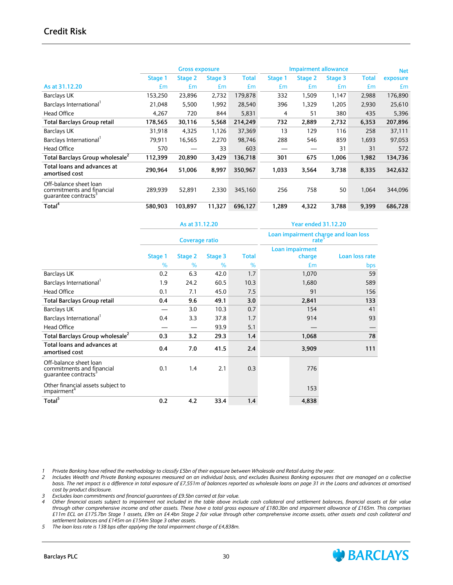## **Credit Risk**

|                                                                                         | <b>Gross exposure</b> |         |         |              |         | <b>Impairment allowance</b> |         |              |          |  |
|-----------------------------------------------------------------------------------------|-----------------------|---------|---------|--------------|---------|-----------------------------|---------|--------------|----------|--|
|                                                                                         | Stage 1               | Stage 2 | Stage 3 | <b>Total</b> | Stage 1 | Stage 2                     | Stage 3 | <b>Total</b> | exposure |  |
| As at 31.12.20                                                                          | Em                    | £m      | £m      | £m           | £m      | £m                          | £m      | £m           | £m       |  |
| <b>Barclays UK</b>                                                                      | 153,250               | 23,896  | 2,732   | 179,878      | 332     | 1,509                       | 1,147   | 2,988        | 176,890  |  |
| Barclays International                                                                  | 21,048                | 5,500   | 1,992   | 28,540       | 396     | 1,329                       | 1,205   | 2,930        | 25,610   |  |
| <b>Head Office</b>                                                                      | 4.267                 | 720     | 844     | 5,831        | 4       | 51                          | 380     | 435          | 5,396    |  |
| Total Barclays Group retail                                                             | 178,565               | 30,116  | 5,568   | 214,249      | 732     | 2,889                       | 2,732   | 6,353        | 207,896  |  |
| <b>Barclays UK</b>                                                                      | 31,918                | 4,325   | 1,126   | 37,369       | 13      | 129                         | 116     | 258          | 37,111   |  |
| Barclays International                                                                  | 79,911                | 16,565  | 2.270   | 98.746       | 288     | 546                         | 859     | 1,693        | 97,053   |  |
| <b>Head Office</b>                                                                      | 570                   |         | 33      | 603          |         |                             | 31      | 31           | 572      |  |
| Total Barclays Group wholesale <sup>2</sup>                                             | 112,399               | 20,890  | 3,429   | 136,718      | 301     | 675                         | 1,006   | 1,982        | 134,736  |  |
| Total loans and advances at<br>amortised cost                                           | 290,964               | 51,006  | 8,997   | 350,967      | 1,033   | 3,564                       | 3,738   | 8,335        | 342,632  |  |
| Off-balance sheet loan<br>commitments and financial<br>quarantee contracts <sup>3</sup> | 289,939               | 52,891  | 2,330   | 345,160      | 256     | 758                         | 50      | 1,064        | 344,096  |  |
| Total <sup>4</sup>                                                                      | 580.903               | 103,897 | 11.327  | 696,127      | 1,289   | 4,322                       | 3,788   | 9,399        | 686,728  |  |

|                                                                                         |         | As at 31.12.20        |         |              | <b>Year ended 31.12.20</b>                   |                |  |  |
|-----------------------------------------------------------------------------------------|---------|-----------------------|---------|--------------|----------------------------------------------|----------------|--|--|
|                                                                                         |         | <b>Coverage ratio</b> |         |              | Loan impairment charge and loan loss<br>rate |                |  |  |
|                                                                                         | Stage 1 | Stage 2               | Stage 3 | <b>Total</b> | Loan impairment<br>charge                    | Loan loss rate |  |  |
|                                                                                         | $\%$    | $\%$                  | $\%$    | %            | £m                                           | bps            |  |  |
| <b>Barclays UK</b>                                                                      | 0.2     | 6.3                   | 42.0    | 1.7          | 1,070                                        | 59             |  |  |
| Barclays International                                                                  | 1.9     | 24.2                  | 60.5    | 10.3         | 1,680                                        | 589            |  |  |
| <b>Head Office</b>                                                                      | 0.1     | 7.1                   | 45.0    | 7.5          | 91                                           | 156            |  |  |
| <b>Total Barclays Group retail</b>                                                      | 0.4     | 9.6                   | 49.1    | 3.0          | 2,841                                        | 133            |  |  |
| <b>Barclays UK</b>                                                                      |         | 3.0                   | 10.3    | 0.7          | 154                                          | 41             |  |  |
| Barclays International                                                                  | 0.4     | 3.3                   | 37.8    | 1.7          | 914                                          | 93             |  |  |
| <b>Head Office</b>                                                                      |         |                       | 93.9    | 5.1          |                                              |                |  |  |
| Total Barclays Group wholesale <sup>2</sup>                                             | 0.3     | 3.2                   | 29.3    | 1.4          | 1,068                                        | 78             |  |  |
| Total loans and advances at<br>amortised cost                                           | 0.4     | 7.0                   | 41.5    | 2.4          | 3,909                                        | 111            |  |  |
| Off-balance sheet loan<br>commitments and financial<br>quarantee contracts <sup>3</sup> | 0.1     | 1.4                   | 2.1     | 0.3          | 776                                          |                |  |  |
| Other financial assets subject to<br>impairment <sup>4</sup>                            |         |                       |         |              | 153                                          |                |  |  |
| Total <sup>5</sup>                                                                      | 0.2     | 4.2                   | 33.4    | 1.4          | 4,838                                        |                |  |  |

*1 Private Banking have refined the methodology to classify £5bn of their exposure between Wholesale and Retail during the year.*

*2 Includes Wealth and Private Banking exposures measured on an individual basis, and excludes Business Banking exposures that are managed on a collective basis. The net impact is a difference in total exposure of £7,551m of balances reported as wholesale loans on page 31 in the Loans and advances at amortised cost by product disclosure.*

*3 Excludes loan commitments and financial guarantees of £9.5bn carried at fair value.*

*4 Other financial assets subject to impairment not included in the table above include cash collateral and settlement balances, financial assets at fair value through other comprehensive income and other assets. These have a total gross exposure of £180.3bn and impairment allowance of £165m. This comprises £11m ECL on £175.7bn Stage 1 assets, £9m on £4.4bn Stage 2 fair value through other comprehensive income assets, other assets and cash collateral and settlement balances and £145m on £154m Stage 3 other assets.*

*5 The loan loss rate is 138 bps after applying the total impairment charge of £4,838m.*

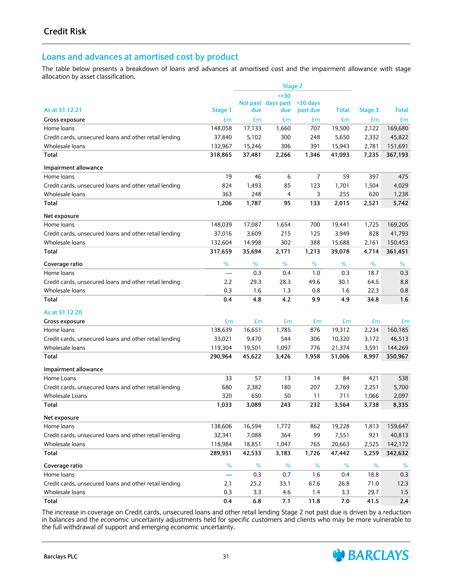## **Loans and advances at amortised cost by product**

The table below presents a breakdown of loans and advances at amortised cost and the impairment allowance with stage allocation by asset classification.

|                                                        |         |         | Stage 2            |                |              |         |              |
|--------------------------------------------------------|---------|---------|--------------------|----------------|--------------|---------|--------------|
|                                                        |         |         | $=30$              |                |              |         |              |
|                                                        |         |         | Not past days past | >30 days       |              |         |              |
| As at 31.12.21                                         | Stage 1 | due     | due                | past due       | <b>Total</b> | Stage 3 | <b>Total</b> |
| Gross exposure                                         | £m      | £m      | £m                 | £m             | £m           | £m      | £m           |
| Home loans                                             | 148,058 | 17,133  | 1,660              | 707            | 19,500       | 2,122   | 169,680      |
| Credit cards, unsecured loans and other retail lending | 37,840  | 5,102   | 300                | 248            | 5,650        | 2,332   | 45,822       |
| Wholesale loans                                        | 132,967 | 15,246  | 306                | 391            | 15,943       | 2,781   | 151,691      |
| Total                                                  | 318,865 | 37,481  | 2,266              | 1,346          | 41,093       | 7,235   | 367,193      |
| Impairment allowance                                   |         |         |                    |                |              |         |              |
| Home loans                                             | 19      | 46      | 6                  | $\overline{7}$ | 59           | 397     | 475          |
| Credit cards, unsecured loans and other retail lending | 824     | 1,493   | 85                 | 123            | 1,701        | 1,504   | 4,029        |
| Wholesale loans                                        | 363     | 248     | 4                  | 3              | 255          | 620     | 1,238        |
| Total                                                  | 1,206   | 1,787   | 95                 | 133            | 2,015        | 2,521   | 5,742        |
| Net exposure                                           |         |         |                    |                |              |         |              |
| Home loans                                             | 148,039 | 17,087  | 1,654              | 700            | 19,441       | 1,725   | 169,205      |
| Credit cards, unsecured loans and other retail lending | 37,016  | 3,609   | 215                | 125            | 3,949        | 828     | 41,793       |
| Wholesale loans                                        | 132,604 | 14,998  | 302                | 388            | 15,688       | 2,161   | 150,453      |
| Total                                                  | 317,659 | 35,694  | 2,171              | 1,213          | 39,078       | 4,714   | 361,451      |
| Coverage ratio                                         | %       | %       | %                  | %              | %            | %       | %            |
| Home loans                                             |         | 0.3     | 0.4                | 1.0            | 0.3          | 18.7    | 0.3          |
| Credit cards, unsecured loans and other retail lending | 2.2     | 29.3    | 28.3               | 49.6           | 30.1         | 64.5    | 8.8          |
| Wholesale loans                                        | 0.3     | 1.6     | 1.3                | 0.8            | 1.6          | 22.3    | 0.8          |
| Total                                                  | 0.4     | 4.8     | 4.2                | 9.9            | 4.9          | 34.8    | 1.6          |
| As at 31.12.20                                         |         |         |                    |                |              |         |              |
| Gross exposure                                         | £m      | £m      | £m                 | £m             | £m           | £m      | £m           |
| Home loans                                             | 138,639 | 16,651  | 1,785              | 876            | 19,312       | 2,234   | 160,185      |
| Credit cards, unsecured loans and other retail lending | 33,021  | 9,470   | 544                | 306            | 10,320       | 3,172   | 46,513       |
| Wholesale loans                                        | 119,304 | 19,501  | 1,097              | 776            | 21,374       | 3,591   | 144,269      |
| Total                                                  | 290,964 | 45,622  | 3,426              | 1,958          | 51,006       | 8,997   | 350,967      |
|                                                        |         |         |                    |                |              |         |              |
| Impairment allowance                                   |         |         |                    |                |              |         |              |
| Home Loans                                             | 33      | 57      | 13                 | 14             | 84           | 421     | 538          |
| Credit cards, unsecured loans and other retail lending | 680     | 2,382   | 180                | 207            | 2,769        | 2,251   | 5,700        |
| Wholesale Loans                                        | 320     | 650     | 50                 | 11             | 711          | 1,066   | 2,097        |
| Total                                                  | 1,033   | 3,089   | 243                | 232            | 3,564        | 3,738   | 8,335        |
| Net exposure                                           |         |         |                    |                |              |         |              |
| Home loans                                             | 138,606 | 16,594  | 1,772              | 862            | 19,228       | 1,813   | 159,647      |
| Credit cards, unsecured loans and other retail lending | 32,341  | 7,088   | 364                | 99             | 7,551        | 921     | 40,813       |
| Wholesale loans                                        | 118,984 | 18,851  | 1,047              | 765            | 20,663       | 2,525   | 142,172      |
| Total                                                  | 289,931 | 42,533  | 3,183              | 1,726          | 47,442       | 5,259   | 342,632      |
| Coverage ratio                                         | $\%$    | %       | $\%$               | $\%$           | $\%$         | $\%$    | %            |
| Home loans                                             |         | 0.3     | 0.7                | 1.6            | 0.4          | 18.8    | 0.3          |
| Credit cards, unsecured loans and other retail lending | 2.1     | 25.2    | 33.1               | 67.6           | 26.8         | 71.0    | 12.3         |
| Wholesale loans                                        | 0.3     | 3.3     | 4.6                | 1.4            | 3.3          | 29.7    | 1.5          |
| Total                                                  | 0.4     | $6.8\,$ | 7.1                | 11.8           | $7.0$        | 41.5    | 2.4          |

The increase in coverage on Credit cards, unsecured loans and other retail lending Stage 2 not past due is driven by a reduction in balances and the economic uncertainty adjustments held for specific customers and clients who may be more vulnerable to the full withdrawal of support and emerging economic uncertainty.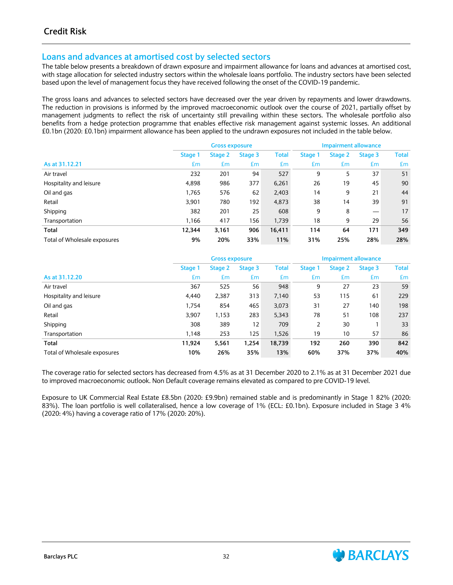## **Loans and advances at amortised cost by selected sectors**

The table below presents a breakdown of drawn exposure and impairment allowance for loans and advances at amortised cost, with stage allocation for selected industry sectors within the wholesale loans portfolio. The industry sectors have been selected based upon the level of management focus they have received following the onset of the COVID-19 pandemic.

The gross loans and advances to selected sectors have decreased over the year driven by repayments and lower drawdowns. The reduction in provisions is informed by the improved macroeconomic outlook over the course of 2021, partially offset by management judgments to reflect the risk of uncertainty still prevailing within these sectors. The wholesale portfolio also benefits from a hedge protection programme that enables effective risk management against systemic losses. An additional £0.1bn (2020: £0.1bn) impairment allowance has been applied to the undrawn exposures not included in the table below.

|                              |         | <b>Impairment allowance</b> |         |        |         |         |         |              |
|------------------------------|---------|-----------------------------|---------|--------|---------|---------|---------|--------------|
|                              | Stage 1 | Stage 2                     | Stage 3 | Total  | Stage 1 | Stage 2 | Stage 3 | <b>Total</b> |
| As at 31.12.21               | £m      | £m                          | £m      | Em     | Em      | Em      | £m      | £m           |
| Air travel                   | 232     | 201                         | 94      | 527    | 9       | 5       | 37      | 51           |
| Hospitality and leisure      | 4,898   | 986                         | 377     | 6,261  | 26      | 19      | 45      | 90           |
| Oil and gas                  | 1.765   | 576                         | 62      | 2,403  | 14      | 9       | 21      | 44           |
| Retail                       | 3,901   | 780                         | 192     | 4,873  | 38      | 14      | 39      | 91           |
| Shipping                     | 382     | 201                         | 25      | 608    | 9       | 8       |         | 17           |
| Transportation               | 1,166   | 417                         | 156     | 1,739  | 18      | 9       | 29      | 56           |
| Total                        | 12,344  | 3,161                       | 906     | 16,411 | 114     | 64      | 171     | 349          |
| Total of Wholesale exposures | 9%      | 20%                         | 33%     | 11%    | 31%     | 25%     | 28%     | 28%          |

|                              |         | <b>Impairment allowance</b> |         |              |         |         |         |              |
|------------------------------|---------|-----------------------------|---------|--------------|---------|---------|---------|--------------|
|                              | Stage 1 | Stage 2                     | Stage 3 | <b>Total</b> | Stage 1 | Stage 2 | Stage 3 | <b>Total</b> |
| As at 31.12.20               | £m      | £m                          | Em      | Em           | Em      | £m      | £m      | £m           |
| Air travel                   | 367     | 525                         | 56      | 948          | 9       | 27      | 23      | 59           |
| Hospitality and leisure      | 4.440   | 2,387                       | 313     | 7,140        | 53      | 115     | 61      | 229          |
| Oil and gas                  | 1,754   | 854                         | 465     | 3,073        | 31      | 27      | 140     | 198          |
| Retail                       | 3,907   | 1,153                       | 283     | 5,343        | 78      | 51      | 108     | 237          |
| Shipping                     | 308     | 389                         | 12      | 709          | 2       | 30      |         | 33           |
| Transportation               | 1.148   | 253                         | 125     | 1,526        | 19      | 10      | 57      | 86           |
| Total                        | 11,924  | 5,561                       | 1,254   | 18,739       | 192     | 260     | 390     | 842          |
| Total of Wholesale exposures | 10%     | 26%                         | 35%     | 13%          | 60%     | 37%     | 37%     | 40%          |

The coverage ratio for selected sectors has decreased from 4.5% as at 31 December 2020 to 2.1% as at 31 December 2021 due to improved macroeconomic outlook. Non Default coverage remains elevated as compared to pre COVID-19 level.

Exposure to UK Commercial Real Estate £8.5bn (2020: £9.9bn) remained stable and is predominantly in Stage 1 82% (2020: 83%). The loan portfolio is well collateralised, hence a low coverage of 1% (ECL: £0.1bn). Exposure included in Stage 3 4% (2020: 4%) having a coverage ratio of 17% (2020: 20%).

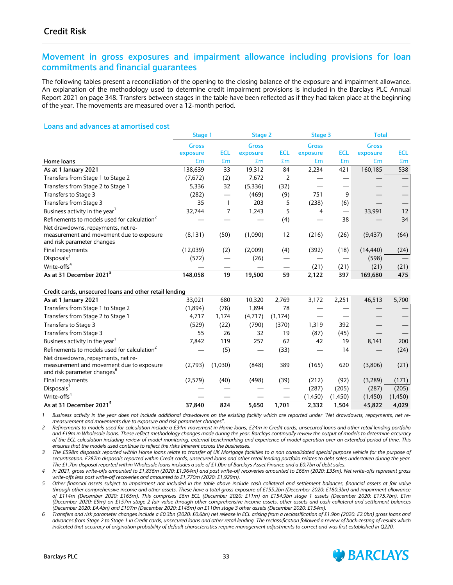# **Movement in gross exposures and impairment allowance including provisions for loan commitments and financial guarantees**

The following tables present a reconciliation of the opening to the closing balance of the exposure and impairment allowance. An explanation of the methodology used to determine credit impairment provisions is included in the Barclays PLC Annual Report 2021 on page 348. Transfers between stages in the table have been reflected as if they had taken place at the beginning of the year. The movements are measured over a 12-month period.

#### **Loans and advances at amortised cost**

|                                            | Stage 1      |            | Stage 2      |            | Stage 3      |            | <b>Total</b> |            |
|--------------------------------------------|--------------|------------|--------------|------------|--------------|------------|--------------|------------|
|                                            | <b>Gross</b> |            | <b>Gross</b> |            | <b>Gross</b> |            | <b>Gross</b> |            |
|                                            | exposure     | <b>ECL</b> | exposure     | <b>ECL</b> | exposure     | <b>ECL</b> | exposure     | <b>ECL</b> |
| Home loans                                 | £m           | £m         | £m           | £m         | Em           | £m         | £m           | £m         |
| As at 1 January 2021                       | 138,639      | 33         | 19,312       | 84         | 2,234        | 421        | 160,185      | 538        |
| Transfers from Stage 1 to Stage 2          | (7,672)      | (2)        | 7,672        |            |              |            |              |            |
| Transfers from Stage 2 to Stage 1          | 5,336        | 32         | (5,336)      | (32)       |              |            |              |            |
| Transfers to Stage 3                       | (282)        |            | (469)        | (9)        | 751          | 9          |              |            |
| Transfers from Stage 3                     | 35           |            | 203          | 5          | (238)        | (6)        |              |            |
| Business activity in the year              | 32,744       | 7          | 1,243        | 5          | 4            |            | 33,991       | 12         |
| Refinements to models used for calculation |              |            |              | (4)        |              | 38         |              | 34         |
| Net drawdowns, repayments, net re-         |              |            |              |            |              |            |              |            |
| measurement and movement due to exposure   | (8, 131)     | (50)       | (1,090)      | 12         | (216)        | (26)       | (9, 437)     | (64)       |
| and risk parameter changes                 |              |            |              |            |              |            |              |            |
| Final repayments                           | (12,039)     | (2)        | (2,009)      | (4)        | (392)        | (18)       | (14, 440)    | (24)       |
| Disposals <sup>3</sup>                     | (572)        |            | (26)         |            |              |            | (598)        |            |
| Write-offs <sup>4</sup>                    |              |            |              |            | (21)         | (21)       | (21)         | (21)       |
| As at 31 December 2021 <sup>5</sup>        | 148,058      | 19         | 19,500       | 59         | 2,122        | 397        | 169,680      | 475        |

**Credit cards, unsecured loans and other retail lending**

| Crean caras, ansecured loans and other retail lenging                                                                     |         |         |         |          |          |         |         |          |
|---------------------------------------------------------------------------------------------------------------------------|---------|---------|---------|----------|----------|---------|---------|----------|
| As at 1 January 2021                                                                                                      | 33.021  | 680     | 10,320  | 2.769    | 3,172    | 2,251   | 46,513  | 5,700    |
| Transfers from Stage 1 to Stage 2                                                                                         | (1,894) | (78)    | 1,894   | 78       |          |         |         |          |
| Transfers from Stage 2 to Stage 1                                                                                         | 4,717   | 1,174   | (4,717) | (1, 174) |          |         |         |          |
| Transfers to Stage 3                                                                                                      | (529)   | (22)    | (790)   | (370)    | 1,319    | 392     |         |          |
| Transfers from Stage 3                                                                                                    | 55      | 26      | 32      | 19       | (87)     | (45)    |         |          |
| Business activity in the year                                                                                             | 7,842   | 119     | 257     | 62       | 42       | 19      | 8,141   | 200      |
| Refinements to models used for calculation                                                                                |         | (5)     |         | (33)     |          | 14      |         | (24)     |
| Net drawdowns, repayments, net re-<br>measurement and movement due to exposure<br>and risk parameter changes <sup>o</sup> | (2,793) | (1,030) | (848)   | 389      | (165)    | 620     | (3,806) | (21)     |
| Final repayments                                                                                                          | (2,579) | (40)    | (498)   | (39)     | (212)    | (92)    | (3,289) | (171)    |
| Disposals <sup>3</sup>                                                                                                    |         |         |         |          | (287)    | (205)   | (287)   | (205)    |
| Write-offs <sup>4</sup>                                                                                                   |         |         |         |          | (1, 450) | (1,450) | (1,450) | (1, 450) |
| As at 31 December 2021 <sup>5</sup>                                                                                       | 37.840  | 824     | 5.650   | 1.701    | 2.332    | 1.504   | 45.822  | 4.029    |

*1 Business activity in the year does not include additional drawdowns on the existing facility which are reported under "Net drawdowns, repayments, net remeasurement and movements due to exposure and risk parameter changes".*

*2 Refinements to models used for calculation include a £34m movement in Home loans, £24m in Credit cards, unsecured loans and other retail lending portfolio and £19m in Wholesale loans. These reflect methodology changes made during the year. Barclays continually review the output of models to determine accuracy of the ECL calculation including review of model monitoring, external benchmarking and experience of model operation over an extended period of time. This ensures that the models used continue to reflect the risks inherent across the businesses.*

3 The £598m disposals reported within Home loans relate to transfer of UK Mortgage facilities to a non consolidated special purpose vehicle for the purpose of *securitisation. £287m disposals reported within Credit cards, unsecured loans and other retail lending portfolio relates to debt sales undertaken during the year. The £1.7bn disposal reported within Wholesale loans includes a sale of £1.0bn of Barclays Asset Finance and a £0.7bn of debt sales*.

*4 In 2021, gross write-offs amounted to £1,836m (2020: £1,964m) and post write-off recoveries amounted to £66m (2020: £35m). Net write-offs represent gross write-offs less post write-off recoveries and amounted to £1,770m (2020: £1,929m).*

*5 Other financial assets subject to impairment not included in the table above include cash collateral and settlement balances, financial assets at fair value through other comprehensive income and other assets. These have a total gross exposure of £155.2bn (December 2020: £180.3bn) and impairment allowance of £114m (December 2020: £165m). This comprises £6m ECL (December 2020: £11m) on £154.9bn stage 1 assets (December 2020: £175.7bn), £1m (December 2020: £9m) on £157m stage 2 fair value through other comprehensive income assets, other assets and cash collateral and settlement balances (December 2020: £4.4bn) and £107m (December 2020: £145m) on £110m stage 3 other assets (December 2020: £154m).*

*6 Transfers and risk parameter changes include a £0.3bn (2020: £0.6bn) net release in ECL arising from a reclassification of £1.9bn (2020: £2.0bn) gross loans and advances from Stage 2 to Stage 1 in Credit cards, unsecured loans and other retail lending. The reclassification followed a review of back-testing of results which indicated that accuracy of origination probability of default characteristics require management adjustments to correct and was first established in Q220.*

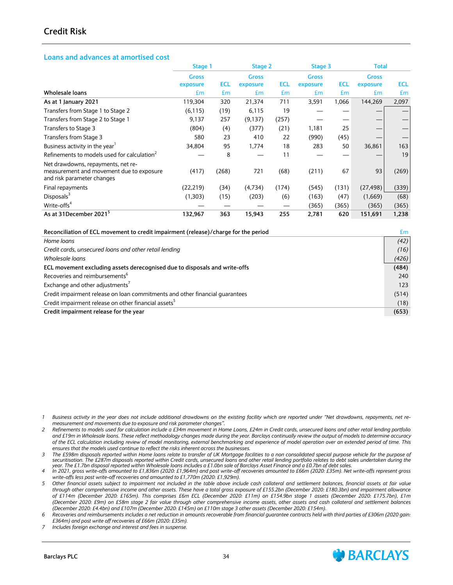# **Credit Risk**

#### **Loans and advances at amortised cost**

|                                                                                | Stage 1        |            | Stage 2        |            | Stage 3        | <b>Total</b> |                |                  |
|--------------------------------------------------------------------------------|----------------|------------|----------------|------------|----------------|--------------|----------------|------------------|
|                                                                                | <b>Gross</b>   | <b>ECL</b> | <b>Gross</b>   | <b>ECL</b> | <b>Gross</b>   | <b>ECL</b>   | <b>Gross</b>   |                  |
| Wholesale loans                                                                | exposure<br>£m | £m         | exposure<br>£m | £m         | exposure<br>£m | £m           | exposure<br>£m | <b>ECL</b><br>£m |
|                                                                                |                |            |                |            |                |              |                |                  |
| As at 1 January 2021                                                           | 119,304        | 320        | 21,374         | 711        | 3,591          | 1,066        | 144,269        | 2,097            |
| Transfers from Stage 1 to Stage 2                                              | (6, 115)       | (19)       | 6,115          | 19         |                |              |                |                  |
| Transfers from Stage 2 to Stage 1                                              | 9,137          | 257        | (9, 137)       | (257)      |                |              |                |                  |
| Transfers to Stage 3                                                           | (804)          | (4)        | (377)          | (21)       | 1,181          | 25           | –              |                  |
| Transfers from Stage 3                                                         | 580            | 23         | 410            | 22         | (990)          | (45)         | –              |                  |
| Business activity in the year                                                  | 34,804         | 95         | 1,774          | 18         | 283            | 50           | 36,861         | 163              |
| Refinements to models used for calculation                                     |                | 8          |                | 11         |                |              |                | 19               |
| Net drawdowns, repayments, net re-<br>measurement and movement due to exposure | (417)          | (268)      | 721            | (68)       | (211)          | 67           | 93             | (269)            |
| and risk parameter changes                                                     |                |            |                |            |                |              |                |                  |
| Final repayments                                                               | (22, 219)      | (34)       | (4,734)        | (174)      | (545)          | (131)        | (27, 498)      | (339)            |
| Disposals <sup>3</sup>                                                         | (1,303)        | (15)       | (203)          | (6)        | (163)          | (47)         | (1,669)        | (68)             |
| Write-offs <sup>4</sup>                                                        |                |            |                |            | (365)          | (365)        | (365)          | (365)            |
| As at 31December 2021 <sup>5</sup>                                             | 132,967        | 363        | 15,943         | 255        | 2,781          | 620          | 151,691        | 1,238            |

| Reconciliation of ECL movement to credit impairment (release)/charge for the period | £m    |
|-------------------------------------------------------------------------------------|-------|
| Home loans                                                                          | (42)  |
| Credit cards, unsecured loans and other retail lending                              | (16)  |
| Wholesale loans                                                                     | (426) |
| ECL movement excluding assets derecognised due to disposals and write-offs          | (484) |
| Recoveries and reimbursements <sup>6</sup>                                          | 240   |
| Exchange and other adjustments <sup>7</sup>                                         | 123   |
| Credit impairment release on loan commitments and other financial quarantees        | (514) |
| Credit impairment release on other financial assets <sup>5</sup>                    | (18)  |
| Credit impairment release for the year                                              | (653) |

*1 Business activity in the year does not include additional drawdowns on the existing facility which are reported under "Net drawdowns, repayments, net remeasurement and movements due to exposure and risk parameter changes".*

*2 Refinements to models used for calculation include a £34m movement in Home Loans, £24m in Credit cards, unsecured loans and other retail lending portfolio and £19m in Wholesale loans. These reflect methodology changes made during the year. Barclays continually review the output of models to determine accuracy of the ECL calculation including review of model monitoring, external benchmarking and experience of model operation over an extended period of time. This ensures that the models used continue to reflect the risks inherent across the businesses.*

3 The £598m disposals reported within Home loans relate to transfer of UK Mortgage facilities to a non consolidated special purpose vehicle for the purpose of *securitisation. The £287m disposals reported within Credit cards, unsecured loans and other retail lending portfolio relates to debt sales undertaken during the year. The £1.7bn disposal reported within Wholesale loans includes a £1.0bn sale of Barclays Asset Finance and a £0.7bn of debt sales.*

*4 In 2021, gross write-offs amounted to £1,836m (2020: £1,964m) and post write-off recoveries amounted to £66m (2020: £35m). Net write-offs represent gross write-offs less post write-off recoveries and amounted to £1,770m (2020: £1,929m).*

*5 Other financial assets subject to impairment not included in the table above include cash collateral and settlement balances, financial assets at fair value through other comprehensive income and other assets. These have a total gross exposure of £155.2bn (December 2020: £180.3bn) and impairment allowance of £114m (December 2020: £165m). This comprises £6m ECL (December 2020: £11m) on £154.9bn stage 1 assets (December 2020: £175.7bn), £1m (December 2020: £9m) on £58m stage 2 fair value through other comprehensive income assets, other assets and cash collateral and settlement balances (December 2020: £4.4bn) and £107m (December 2020: £145m) on £110m stage 3 other assets (December 2020: £154m).*

*6 Recoveries and reimbursements includes a net reduction in amounts recoverable from financial guarantee contracts held with third parties of £306m (2020 gain: £364m) and post write off recoveries of £66m (2020: £35m).*

*7 Includes foreign exchange and interest and fees in suspense.*

**Barclays PLC** 34

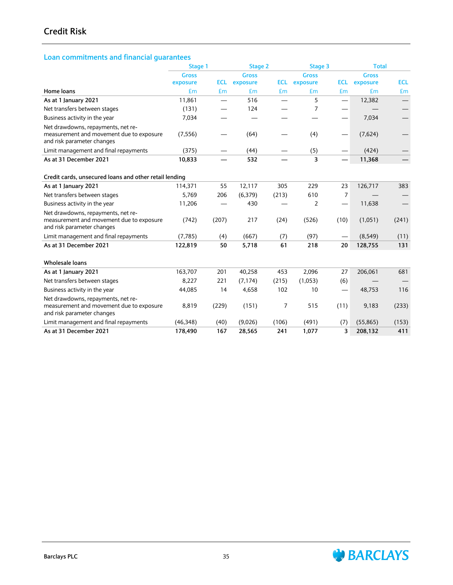# **Loan commitments and financial guarantees**

|                                                                                                              |              | Stage 1<br>Stage 2 |              | Stage 3    |                | <b>Total</b>             |              |            |
|--------------------------------------------------------------------------------------------------------------|--------------|--------------------|--------------|------------|----------------|--------------------------|--------------|------------|
|                                                                                                              | <b>Gross</b> |                    | <b>Gross</b> |            | <b>Gross</b>   |                          | <b>Gross</b> |            |
|                                                                                                              | exposure     | <b>ECL</b>         | exposure     | <b>ECL</b> | exposure       | <b>ECL</b>               | exposure     | <b>ECL</b> |
| Home loans                                                                                                   | £m           | £m                 | £m           | £m         | £m             | £m                       | £m           | Em         |
| As at 1 January 2021                                                                                         | 11,861       |                    | 516          |            | 5              |                          | 12,382       |            |
| Net transfers between stages                                                                                 | (131)        |                    | 124          |            | 7              |                          |              |            |
| Business activity in the year                                                                                | 7,034        |                    |              |            |                | —                        | 7,034        |            |
| Net drawdowns, repayments, net re-<br>measurement and movement due to exposure<br>and risk parameter changes | (7, 556)     |                    | (64)         |            | (4)            |                          | (7,624)      |            |
| Limit management and final repayments                                                                        | (375)        |                    | (44)         |            | (5)            |                          | (424)        |            |
| As at 31 December 2021                                                                                       | 10,833       |                    | 532          |            | 3              |                          | 11,368       |            |
| Credit cards, unsecured loans and other retail lending                                                       |              |                    |              |            |                |                          |              |            |
| As at 1 January 2021                                                                                         | 114,371      | 55                 | 12,117       | 305        | 229            | 23                       | 126,717      | 383        |
| Net transfers between stages                                                                                 | 5,769        | 206                | (6,379)      | (213)      | 610            | 7                        |              |            |
| Business activity in the year                                                                                | 11,206       |                    | 430          |            | $\overline{2}$ |                          | 11,638       |            |
| Net drawdowns, repayments, net re-<br>measurement and movement due to exposure<br>and risk parameter changes | (742)        | (207)              | 217          | (24)       | (526)          | (10)                     | (1,051)      | (241)      |
| Limit management and final repayments                                                                        | (7,785)      | (4)                | (667)        | (7)        | (97)           |                          | (8, 549)     | (11)       |
| As at 31 December 2021                                                                                       | 122,819      | 50                 | 5,718        | 61         | 218            | 20                       | 128,755      | 131        |
| Wholesale loans                                                                                              |              |                    |              |            |                |                          |              |            |
| As at 1 January 2021                                                                                         | 163,707      | 201                | 40,258       | 453        | 2,096          | 27                       | 206,061      | 681        |
| Net transfers between stages                                                                                 | 8,227        | 221                | (7, 174)     | (215)      | (1,053)        | (6)                      |              |            |
| Business activity in the year                                                                                | 44,085       | 14                 | 4,658        | 102        | 10             | $\overline{\phantom{0}}$ | 48,753       | 116        |
| Net drawdowns, repayments, net re-<br>measurement and movement due to exposure<br>and risk parameter changes | 8,819        | (229)              | (151)        | 7          | 515            | (11)                     | 9,183        | (233)      |
| Limit management and final repayments                                                                        | (46,348)     | (40)               | (9,026)      | (106)      | (491)          | (7)                      | (55,865)     | (153)      |
| As at 31 December 2021                                                                                       | 178,490      | 167                | 28,565       | 241        | 1.077          | 3                        | 208,132      | 411        |

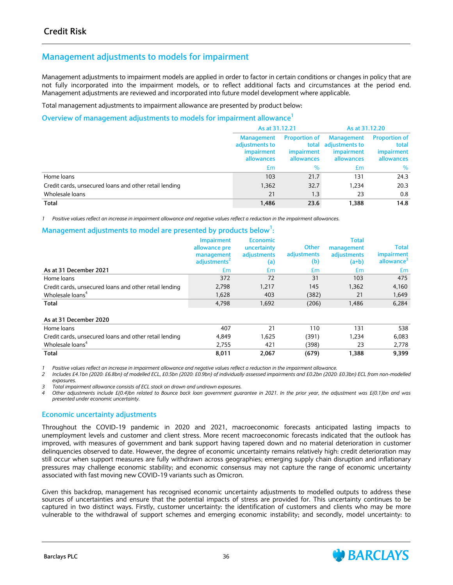# **Management adjustments to models for impairment**

Management adjustments to impairment models are applied in order to factor in certain conditions or changes in policy that are not fully incorporated into the impairment models, or to reflect additional facts and circumstances at the period end. Management adjustments are reviewed and incorporated into future model development where applicable.

Total management adjustments to impairment allowance are presented by product below:

#### **Overview of management adjustments to models for impairment allowance<sup>1</sup>**

|                                                        | As at 31.12.21                                           |                                                  | As at 31.12.20                                                 |                                                                  |  |
|--------------------------------------------------------|----------------------------------------------------------|--------------------------------------------------|----------------------------------------------------------------|------------------------------------------------------------------|--|
|                                                        | Management<br>adjustments to<br>impairment<br>allowances | <b>Proportion of</b><br>impairment<br>allowances | Management<br>total adjustments to<br>impairment<br>allowances | <b>Proportion of</b><br>total<br><i>impairment</i><br>allowances |  |
|                                                        | £m                                                       | $\%$                                             | £m                                                             | %                                                                |  |
| Home loans                                             | 103                                                      | 21.7                                             | 131                                                            | 24.3                                                             |  |
| Credit cards, unsecured loans and other retail lending | 1,362                                                    | 32.7                                             | 1.234                                                          | 20.3                                                             |  |
| Wholesale loans                                        | 21                                                       | 1.3                                              | 23                                                             | 0.8                                                              |  |
| Total                                                  | 1.486                                                    | 23.6                                             | 1.388                                                          | 14.8                                                             |  |

*1 Positive values reflect an increase in impairment allowance and negative values reflect a reduction in the impairment allowances.*

### **Management adjustments to model are presented by products below<sup>1</sup> :**

|                                                        | <b>Impairment</b><br>allowance pre<br>management<br>adjustments <sup>2</sup> | <b>Economic</b><br>uncertainty<br>adjustments<br>(a) | <b>Other</b><br>adjustments<br>(b) | <b>Total</b><br>management<br>adjustments<br>$(a+b)$ | <b>Total</b><br>impairment<br>allowance <sup>3</sup> |
|--------------------------------------------------------|------------------------------------------------------------------------------|------------------------------------------------------|------------------------------------|------------------------------------------------------|------------------------------------------------------|
| As at 31 December 2021                                 | £m                                                                           | £m                                                   | Em                                 | £m                                                   | £m                                                   |
| Home loans                                             | 372                                                                          | 72                                                   | 31                                 | 103                                                  | 475                                                  |
| Credit cards, unsecured loans and other retail lending | 2,798                                                                        | 1,217                                                | 145                                | 1,362                                                | 4,160                                                |
| Wholesale loans <sup>4</sup>                           | 1,628                                                                        | 403                                                  | (382)                              | 21                                                   | 1,649                                                |
| Total                                                  | 4.798                                                                        | 1,692                                                | (206)                              | 1,486                                                | 6,284                                                |
| As at 31 December 2020                                 |                                                                              |                                                      |                                    |                                                      |                                                      |
| Home loans                                             | 407                                                                          | 21                                                   | 110                                | 131                                                  | 538                                                  |
| Credit cards, unsecured loans and other retail lending | 4,849                                                                        | 1,625                                                | (391)                              | 1,234                                                | 6,083                                                |
| Wholesale loans <sup>4</sup>                           | 2,755                                                                        | 421                                                  | (398)                              | 23                                                   | 2,778                                                |
| Total                                                  | 8,011                                                                        | 2,067                                                | (679)                              | 1,388                                                | 9,399                                                |

*1 Positive values reflect an increase in impairment allowance and negative values reflect a reduction in the impairment allowance.*

*2 Includes £4.1bn (2020: £6.8bn) of modelled ECL, £0.5bn (2020: £0.9bn) of individually assessed impairments and £0.2bn (2020: £0.3bn) ECL from non-modelled exposures.* 

*3 Total impairment allowance consists of ECL stock on drawn and undrawn exposures.*

*4 Other adjustments include £(0.4)bn related to Bounce back loan government guarantee in 2021. In the prior year, the adjustment was £(0.1)bn and was presented under economic uncertainty.*

### **Economic uncertainty adjustments**

Throughout the COVID-19 pandemic in 2020 and 2021, macroeconomic forecasts anticipated lasting impacts to unemployment levels and customer and client stress. More recent macroeconomic forecasts indicated that the outlook has improved, with measures of government and bank support having tapered down and no material deterioration in customer delinquencies observed to date. However, the degree of economic uncertainty remains relatively high: credit deterioration may still occur when support measures are fully withdrawn across geographies; emerging supply chain disruption and inflationary pressures may challenge economic stability; and economic consensus may not capture the range of economic uncertainty associated with fast moving new COVID-19 variants such as Omicron.

Given this backdrop, management has recognised economic uncertainty adjustments to modelled outputs to address these sources of uncertainties and ensure that the potential impacts of stress are provided for. This uncertainty continues to be captured in two distinct ways. Firstly, customer uncertainty: the identification of customers and clients who may be more vulnerable to the withdrawal of support schemes and emerging economic instability; and secondly, model uncertainty: to

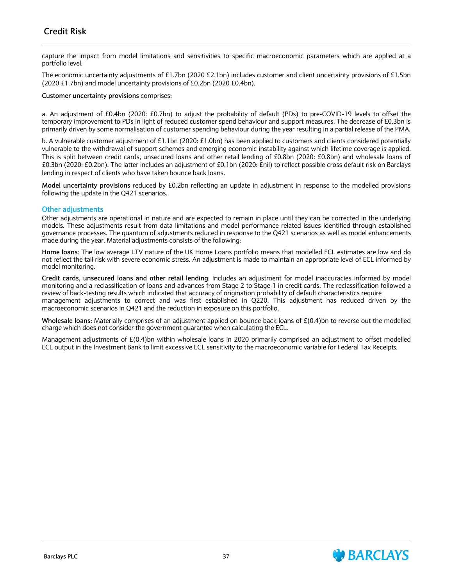capture the impact from model limitations and sensitivities to specific macroeconomic parameters which are applied at a portfolio level.

The economic uncertainty adjustments of £1.7bn (2020 £2.1bn) includes customer and client uncertainty provisions of £1.5bn (2020 £1.7bn) and model uncertainty provisions of £0.2bn (2020 £0.4bn).

**Customer uncertainty provisions** comprises:

a. An adjustment of £0.4bn (2020: £0.7bn) to adjust the probability of default (PDs) to pre-COVID-19 levels to offset the temporary improvement to PDs in light of reduced customer spend behaviour and support measures. The decrease of £0.3bn is primarily driven by some normalisation of customer spending behaviour during the year resulting in a partial release of the PMA.

b. A vulnerable customer adjustment of £1.1bn (2020: £1.0bn) has been applied to customers and clients considered potentially vulnerable to the withdrawal of support schemes and emerging economic instability against which lifetime coverage is applied. This is split between credit cards, unsecured loans and other retail lending of £0.8bn (2020: £0.8bn) and wholesale loans of £0.3bn (2020: £0.2bn). The latter includes an adjustment of £0.1bn (2020: £nil) to reflect possible cross default risk on Barclays lending in respect of clients who have taken bounce back loans.

**Model uncertainty provisions** reduced by £0.2bn reflecting an update in adjustment in response to the modelled provisions following the update in the Q421 scenarios.

### **Other adjustments**

Other adjustments are operational in nature and are expected to remain in place until they can be corrected in the underlying models. These adjustments result from data limitations and model performance related issues identified through established governance processes. The quantum of adjustments reduced in response to the Q421 scenarios as well as model enhancements made during the year. Material adjustments consists of the following:

**Home loans**: The low average LTV nature of the UK Home Loans portfolio means that modelled ECL estimates are low and do not reflect the tail risk with severe economic stress. An adjustment is made to maintain an appropriate level of ECL informed by model monitoring.

**Credit cards, unsecured loans and other retail lending**: Includes an adjustment for model inaccuracies informed by model monitoring and a reclassification of loans and advances from Stage 2 to Stage 1 in credit cards. The reclassification followed a review of back-testing results which indicated that accuracy of origination probability of default characteristics require management adjustments to correct and was first established in Q220. This adjustment has reduced driven by the macroeconomic scenarios in Q421 and the reduction in exposure on this portfolio.

**Wholesale loans:** Materially comprises of an adjustment applied on bounce back loans of £(0.4)bn to reverse out the modelled charge which does not consider the government guarantee when calculating the ECL.

Management adjustments of £(0.4)bn within wholesale loans in 2020 primarily comprised an adjustment to offset modelled ECL output in the Investment Bank to limit excessive ECL sensitivity to the macroeconomic variable for Federal Tax Receipts.

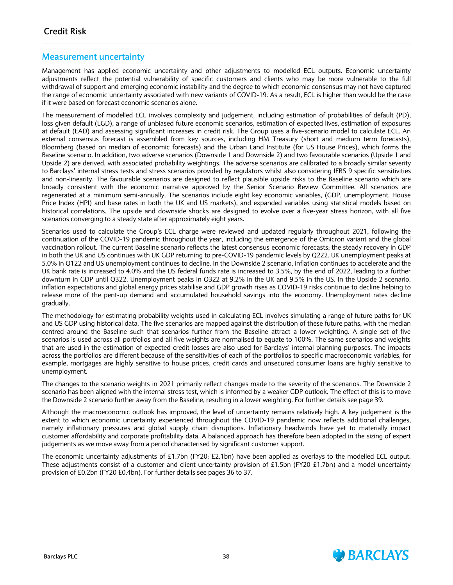## **Measurement uncertainty**

Management has applied economic uncertainty and other adjustments to modelled ECL outputs. Economic uncertainty adjustments reflect the potential vulnerability of specific customers and clients who may be more vulnerable to the full withdrawal of support and emerging economic instability and the degree to which economic consensus may not have captured the range of economic uncertainty associated with new variants of COVID-19. As a result, ECL is higher than would be the case if it were based on forecast economic scenarios alone.

The measurement of modelled ECL involves complexity and judgement, including estimation of probabilities of default (PD), loss given default (LGD), a range of unbiased future economic scenarios, estimation of expected lives, estimation of exposures at default (EAD) and assessing significant increases in credit risk. The Group uses a five-scenario model to calculate ECL. An external consensus forecast is assembled from key sources, including HM Treasury (short and medium term forecasts), Bloomberg (based on median of economic forecasts) and the Urban Land Institute (for US House Prices), which forms the Baseline scenario. In addition, two adverse scenarios (Downside 1 and Downside 2) and two favourable scenarios (Upside 1 and Upside 2) are derived, with associated probability weightings. The adverse scenarios are calibrated to a broadly similar severity to Barclays' internal stress tests and stress scenarios provided by regulators whilst also considering IFRS 9 specific sensitivities and non-linearity. The favourable scenarios are designed to reflect plausible upside risks to the Baseline scenario which are broadly consistent with the economic narrative approved by the Senior Scenario Review Committee. All scenarios are regenerated at a minimum semi-annually. The scenarios include eight key economic variables, (GDP, unemployment, House Price Index (HPI) and base rates in both the UK and US markets), and expanded variables using statistical models based on historical correlations. The upside and downside shocks are designed to evolve over a five-year stress horizon, with all five scenarios converging to a steady state after approximately eight years.

Scenarios used to calculate the Group's ECL charge were reviewed and updated regularly throughout 2021, following the continuation of the COVID-19 pandemic throughout the year, including the emergence of the Omicron variant and the global vaccination rollout. The current Baseline scenario reflects the latest consensus economic forecasts; the steady recovery in GDP in both the UK and US continues with UK GDP returning to pre-COVID-19 pandemic levels by Q222. UK unemployment peaks at 5.0% in Q122 and US unemployment continues to decline. In the Downside 2 scenario, inflation continues to accelerate and the UK bank rate is increased to 4.0% and the US federal funds rate is increased to 3.5%, by the end of 2022, leading to a further downturn in GDP until Q322. Unemployment peaks in Q322 at 9.2% in the UK and 9.5% in the US. In the Upside 2 scenario, inflation expectations and global energy prices stabilise and GDP growth rises as COVID-19 risks continue to decline helping to release more of the pent-up demand and accumulated household savings into the economy. Unemployment rates decline gradually.

The methodology for estimating probability weights used in calculating ECL involves simulating a range of future paths for UK and US GDP using historical data. The five scenarios are mapped against the distribution of these future paths, with the median centred around the Baseline such that scenarios further from the Baseline attract a lower weighting. A single set of five scenarios is used across all portfolios and all five weights are normalised to equate to 100%. The same scenarios and weights that are used in the estimation of expected credit losses are also used for Barclays' internal planning purposes. The impacts across the portfolios are different because of the sensitivities of each of the portfolios to specific macroeconomic variables, for example, mortgages are highly sensitive to house prices, credit cards and unsecured consumer loans are highly sensitive to unemployment.

The changes to the scenario weights in 2021 primarily reflect changes made to the severity of the scenarios. The Downside 2 scenario has been aligned with the internal stress test, which is informed by a weaker GDP outlook. The effect of this is to move the Downside 2 scenario further away from the Baseline, resulting in a lower weighting. For further details see page 39.

Although the macroeconomic outlook has improved, the level of uncertainty remains relatively high. A key judgement is the extent to which economic uncertainty experienced throughout the COVID-19 pandemic now reflects additional challenges, namely inflationary pressures and global supply chain disruptions. Inflationary headwinds have yet to materially impact customer affordability and corporate profitability data. A balanced approach has therefore been adopted in the sizing of expert judgements as we move away from a period characterised by significant customer support.

The economic uncertainty adjustments of £1.7bn (FY20: £2.1bn) have been applied as overlays to the modelled ECL output. These adjustments consist of a customer and client uncertainty provision of £1.5bn (FY20 £1.7bn) and a model uncertainty provision of £0.2bn (FY20 £0.4bn). For further details see pages 36 to 37.

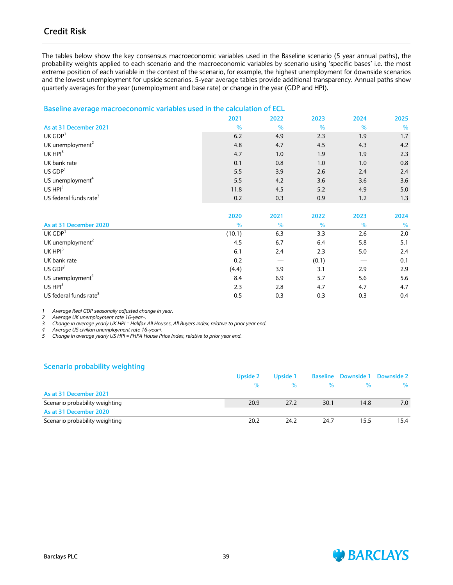The tables below show the key consensus macroeconomic variables used in the Baseline scenario (5 year annual paths), the probability weights applied to each scenario and the macroeconomic variables by scenario using 'specific bases' i.e. the most extreme position of each variable in the context of the scenario, for example, the highest unemployment for downside scenarios and the lowest unemployment for upside scenarios. 5-year average tables provide additional transparency. Annual paths show quarterly averages for the year (unemployment and base rate) or change in the year (GDP and HPI).

### **Baseline average macroeconomic variables used in the calculation of ECL**

|                                    | 2021 | 2022 | 2023 | 2024 | 2025 |
|------------------------------------|------|------|------|------|------|
| As at 31 December 2021             | %    | %    | %    | $\%$ | %    |
| $UK$ $GDP1$                        | 6.2  | 4.9  | 2.3  | 1.9  | 1.7  |
| UK unemployment $2$                | 4.8  | 4.7  | 4.5  | 4.3  | 4.2  |
| UK HPI <sup>3</sup>                | 4.7  | 1.0  | 1.9  | 1.9  | 2.3  |
| UK bank rate                       | 0.1  | 0.8  | 1.0  | 1.0  | 0.8  |
| $US$ $GDP1$                        | 5.5  | 3.9  | 2.6  | 2.4  | 2.4  |
| US unemployment <sup>4</sup>       | 5.5  | 4.2  | 3.6  | 3.6  | 3.6  |
| US HPI <sup>5</sup>                | 11.8 | 4.5  | 5.2  | 4.9  | 5.0  |
| US federal funds rate <sup>3</sup> | 0.2  | 0.3  | 0.9  | 1.2  | 1.3  |

|                                    | 2020   | 2021 | 2022  | 2023 | 2024 |
|------------------------------------|--------|------|-------|------|------|
| As at 31 December 2020             | $\%$   | %    | $\%$  | $\%$ | $\%$ |
| $UK$ $GDP1$                        | (10.1) | 6.3  | 3.3   | 2.6  | 2.0  |
| UK unemployment $2$                | 4.5    | 6.7  | 6.4   | 5.8  | 5.1  |
| UK HPI <sup>3</sup>                | 6.1    | 2.4  | 2.3   | 5.0  | 2.4  |
| UK bank rate                       | 0.2    |      | (0.1) |      | 0.1  |
| $US$ $GDP1$                        | (4.4)  | 3.9  | 3.1   | 2.9  | 2.9  |
| US unemployment <sup>4</sup>       | 8.4    | 6.9  | 5.7   | 5.6  | 5.6  |
| US HPI <sup>5</sup>                | 2.3    | 2.8  | 4.7   | 4.7  | 4.7  |
| US federal funds rate <sup>3</sup> | 0.5    | 0.3  | 0.3   | 0.3  | 0.4  |

*1 Average Real GDP seasonally adjusted change in year.*

*2 Average UK unemployment rate 16-year+.*

*3 Change in average yearly UK HPI = Halifax All Houses, All Buyers index, relative to prior year end.*

*4 Average US civilian unemployment rate 16-year+.*

*5 Change in average yearly US HPI = FHFA House Price Index, relative to prior year end.*

### **Scenario probability weighting**

|                                | Upside 2 | Upside 1 |      | Baseline Downside 1 Downside 2 |      |
|--------------------------------|----------|----------|------|--------------------------------|------|
|                                |          |          |      |                                | %    |
| As at 31 December 2021         |          |          |      |                                |      |
| Scenario probability weighting | 20.9     | 27.2     | 30.1 | 14.8                           | 7.0  |
| As at 31 December 2020         |          |          |      |                                |      |
| Scenario probability weighting | 20.2     | 24.2     | 24.7 | 15.5                           | 15.4 |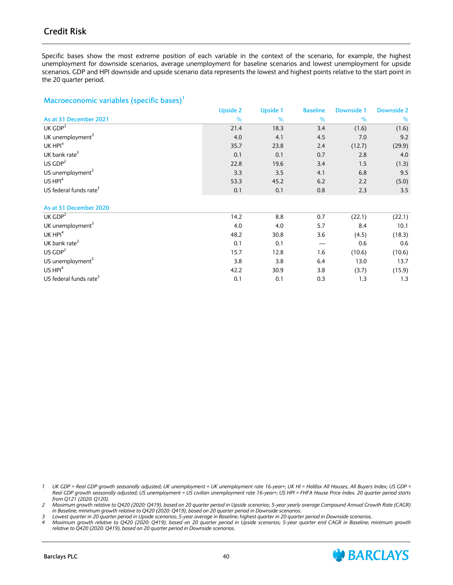Specific bases show the most extreme position of each variable in the context of the scenario, for example, the highest unemployment for downside scenarios, average unemployment for baseline scenarios and lowest unemployment for upside scenarios. GDP and HPI downside and upside scenario data represents the lowest and highest points relative to the start point in the 20 quarter period.

### **Macroeconomic variables (specific bases)<sup>1</sup>**

|                                    | <b>Upside 2</b> | <b>Upside 1</b> | <b>Baseline</b> | <b>Downside 1</b> | <b>Downside 2</b> |
|------------------------------------|-----------------|-----------------|-----------------|-------------------|-------------------|
| As at 31 December 2021             | %               | %               | %               | %                 | %                 |
| $UK$ $GDP2$                        | 21.4            | 18.3            | 3.4             | (1.6)             | (1.6)             |
| UK unemployment <sup>3</sup>       | 4.0             | 4.1             | 4.5             | 7.0               | 9.2               |
| UK HPI <sup>4</sup>                | 35.7            | 23.8            | 2.4             | (12.7)            | (29.9)            |
| UK bank rate <sup>3</sup>          | 0.1             | 0.1             | 0.7             | 2.8               | 4.0               |
| $US$ $GDP2$                        | 22.8            | 19.6            | 3.4             | 1.5               | (1.3)             |
| US unemployment <sup>3</sup>       | 3.3             | 3.5             | 4.1             | 6.8               | 9.5               |
| US HPI <sup>4</sup>                | 53.3            | 45.2            | 6.2             | 2.2               | (5.0)             |
| US federal funds rate <sup>3</sup> | 0.1             | 0.1             | 0.8             | 2.3               | 3.5               |
|                                    |                 |                 |                 |                   |                   |
| As at 31 December 2020             |                 |                 |                 |                   |                   |
| UK $GDP2$                          | 14.2            | 8.8             | 0.7             | (22.1)            | (22.1)            |
| UK unemployment <sup>3</sup>       | 4.0             | 4.0             | 5.7             | 8.4               | 10.1              |
| UK HPI <sup>4</sup>                | 48.2            | 30.8            | 3.6             | (4.5)             | (18.3)            |
| UK bank rate <sup>3</sup>          | 0.1             | 0.1             |                 | 0.6               | 0.6               |
| $US$ $GDP2$                        | 15.7            | 12.8            | 1.6             | (10.6)            | (10.6)            |
| US unemployment <sup>3</sup>       | 3.8             | 3.8             | 6.4             | 13.0              | 13.7              |
| US HPI <sup>4</sup>                | 42.2            | 30.9            | 3.8             | (3.7)             | (15.9)            |
| US federal funds rate <sup>3</sup> | 0.1             | 0.1             | 0.3             | 1.3               | 1.3               |

*1 UK GDP = Real GDP growth seasonally adjusted; UK unemployment = UK unemployment rate 16-year+; UK HI = Halifax All Houses, All Buyers Index; US GDP = Real GDP growth seasonally adjusted; US unemployment = US civilian unemployment rate 16-year+; US HPI = FHFA House Price Index. 20 quarter period starts from Q121 (2020: Q120).*

*2 Maximum growth relative to Q420 (2020: Q419), based on 20 quarter period in Upside scenarios; 5-year yearly average Compound Annual Growth Rate (CAGR) in Baseline; minimum growth relative to Q420 (2020: Q419), based on 20 quarter period in Downside scenarios.*

*3 Lowest quarter in 20 quarter period in Upside scenarios; 5-year average in Baseline; highest quarter in 20 quarter period in Downside scenarios.* 

*4 Maximum growth relative to Q420 (2020: Q419), based on 20 quarter period in Upside scenarios; 5-year quarter end CAGR in Baseline; minimum growth relative to Q420 (2020: Q419), based on 20 quarter period in Downside scenarios.*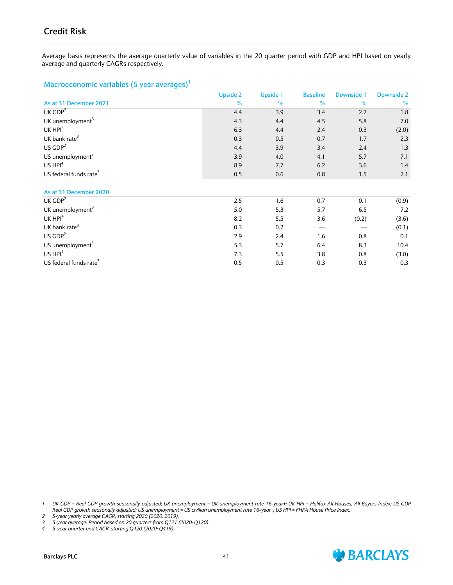Average basis represents the average quarterly value of variables in the 20 quarter period with GDP and HPI based on yearly average and quarterly CAGRs respectively.

### **Macroeconomic variables (5 year averages)<sup>1</sup>**

|                                    | <b>Upside 2</b> | <b>Upside 1</b> | <b>Baseline</b> | <b>Downside 1</b> | <b>Downside 2</b> |
|------------------------------------|-----------------|-----------------|-----------------|-------------------|-------------------|
| As at 31 December 2021             | %               | %               | %               | %                 | %                 |
| UK $GDP2$                          | 4.4             | 3.9             | 3.4             | 2.7               | 1.8               |
| UK unemployment <sup>3</sup>       | 4.3             | 4.4             | 4.5             | 5.8               | 7.0               |
| UK HPI <sup>4</sup>                | 6.3             | 4.4             | 2.4             | 0.3               | (2.0)             |
| UK bank rate <sup>3</sup>          | 0.3             | 0.5             | 0.7             | 1.7               | 2.3               |
| $US$ $GDP2$                        | 4.4             | 3.9             | 3.4             | 2.4               | 1.3               |
| US unemployment <sup>3</sup>       | 3.9             | 4.0             | 4.1             | 5.7               | 7.1               |
| US HPI <sup>4</sup>                | 8.9             | 7.7             | 6.2             | 3.6               | 1.4               |
| US federal funds rate <sup>3</sup> | 0.5             | 0.6             | 0.8             | 1.5               | 2.1               |
| As at 31 December 2020             |                 |                 |                 |                   |                   |
| UK $GDP2$                          | 2.5             | 1.6             | 0.7             | 0.1               | (0.9)             |
| UK unemployment <sup>3</sup>       | 5.0             | 5.3             | 5.7             | 6.5               | 7.2               |
| UK HPI <sup>4</sup>                | 8.2             | 5.5             | 3.6             | (0.2)             | (3.6)             |
| UK bank rate <sup>3</sup>          | 0.3             | 0.2             |                 |                   | (0.1)             |
| $US$ $GDP2$                        | 2.9             | 2.4             | 1.6             | 0.8               | 0.1               |
| US unemployment <sup>3</sup>       | 5.3             | 5.7             | 6.4             | 8.3               | 10.4              |
| US HPI <sup>4</sup>                | 7.3             | 5.5             | 3.8             | 0.8               | (3.0)             |
| US federal funds rate <sup>3</sup> | 0.5             | 0.5             | 0.3             | 0.3               | 0.3               |

*1 UK GDP = Real GDP growth seasonally adjusted; UK unemployment = UK unemployment rate 16-year+; UK HPI = Halifax All Houses, All Buyers Index; US GDP Real GDP growth seasonally adjusted; US unemployment = US civilian unemployment rate 16-year+; US HPI = FHFA House Price Index.* 

*2 5-year yearly average CAGR, starting 2020 (2020: 2019).*

*3 5-year average. Period based on 20 quarters from Q121 (2020: Q120). 4 5-year quarter end CAGR, starting Q420 (2020: Q419).*

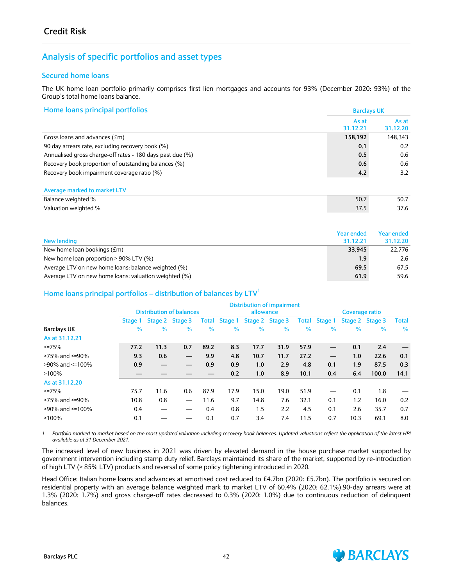# **Analysis of specific portfolios and asset types**

## **Secured home loans**

The UK home loan portfolio primarily comprises first lien mortgages and accounts for 93% (December 2020: 93%) of the Group's total home loans balance.

#### **Home loans principal portfolios Barclays UK Barclays UK Barclays UK**

|                                                           | As at<br>31.12.21 | As at<br>31.12.20 |
|-----------------------------------------------------------|-------------------|-------------------|
| Gross loans and advances (£m)                             | 158,192           | 148,343           |
| 90 day arrears rate, excluding recovery book (%)          | 0.1               | 0.2               |
| Annualised gross charge-off rates - 180 days past due (%) | 0.5               | 0.6               |
| Recovery book proportion of outstanding balances (%)      | 0.6               | 0.6               |
| Recovery book impairment coverage ratio (%)               | 4.2               | 3.2               |
| Average marked to market LTV                              |                   |                   |
| Balance weighted %                                        | 50.7              | 50.7              |
| Valuation weighted %                                      | 37.5              | 37.6              |

|                                                       | <b>Year ended</b> | Year ended |
|-------------------------------------------------------|-------------------|------------|
| New lending                                           | 31.12.21          | 31.12.20   |
| New home loan bookings (£m)                           | 33.945            | 22.776     |
| New home loan proportion > 90% LTV (%)                | 1.9 <sup>°</sup>  | 2.6        |
| Average LTV on new home loans: balance weighted (%)   | 69.5              | 67.5       |
| Average LTV on new home loans: valuation weighted (%) | 61.9              | 59.6       |

#### **Home loans principal portfolios – distribution of balances by LTV<sup>1</sup>**

|                          | <b>Distribution of impairment</b> |      |                                 |      |                               |           |      |      |                |      |                 |              |
|--------------------------|-----------------------------------|------|---------------------------------|------|-------------------------------|-----------|------|------|----------------|------|-----------------|--------------|
|                          |                                   |      | <b>Distribution of balances</b> |      |                               | allowance |      |      | Coverage ratio |      |                 |              |
|                          | Stage 1                           |      | Stage 2 Stage 3                 |      | Total Stage 1 Stage 2 Stage 3 |           |      |      | Total Stage 1  |      | Stage 2 Stage 3 | <b>Total</b> |
| <b>Barclays UK</b>       | %                                 | %    | %                               | $\%$ | $\%$                          | %         | $\%$ | $\%$ | %              | %    | %               | %            |
| As at 31.12.21           |                                   |      |                                 |      |                               |           |      |      |                |      |                 |              |
| $\leq$ 75%               | 77.2                              | 11.3 | 0.7                             | 89.2 | 8.3                           | 17.7      | 31.9 | 57.9 |                | 0.1  | 2.4             |              |
| $>75\%$ and $\leq 90\%$  | 9.3                               | 0.6  |                                 | 9.9  | 4.8                           | 10.7      | 11.7 | 27.2 |                | 1.0  | 22.6            | 0.1          |
| $>90\%$ and $\leq 100\%$ | 0.9                               |      | —                               | 0.9  | 0.9                           | 1.0       | 2.9  | 4.8  | 0.1            | 1.9  | 87.5            | 0.3          |
| $>100\%$                 |                                   |      |                                 |      | 0.2                           | 1.0       | 8.9  | 10.1 | 0.4            | 6.4  | 100.0           | 14.1         |
| As at 31.12.20           |                                   |      |                                 |      |                               |           |      |      |                |      |                 |              |
| $<=75%$                  | 75.7                              | 11.6 | 0.6                             | 87.9 | 17.9                          | 15.0      | 19.0 | 51.9 |                | 0.1  | 1.8             |              |
| $>75\%$ and $\leq 90\%$  | 10.8                              | 0.8  |                                 | 11.6 | 9.7                           | 14.8      | 7.6  | 32.1 | 0.1            | 1.2  | 16.0            | 0.2          |
| $>90\%$ and $\leq 100\%$ | 0.4                               |      | —                               | 0.4  | 0.8                           | 1.5       | 2.2  | 4.5  | 0.1            | 2.6  | 35.7            | 0.7          |
| $>100\%$                 | 0.1                               |      |                                 | 0.1  | 0.7                           | 3.4       | 7.4  | 11.5 | 0.7            | 10.3 | 69.1            | 8.0          |

*1 Portfolio marked to market based on the most updated valuation including recovery book balances. Updated valuations reflect the application of the latest HPI available as at 31 December 2021.*

The increased level of new business in 2021 was driven by elevated demand in the house purchase market supported by government intervention including stamp duty relief. Barclays maintained its share of the market, supported by re-introduction of high LTV (> 85% LTV) products and reversal of some policy tightening introduced in 2020.

Head Office: Italian home loans and advances at amortised cost reduced to £4.7bn (2020: £5.7bn). The portfolio is secured on residential property with an average balance weighted mark to market LTV of 60.4% (2020: 62.1%).90-day arrears were at 1.3% (2020: 1.7%) and gross charge-off rates decreased to 0.3% (2020: 1.0%) due to continuous reduction of delinquent balances.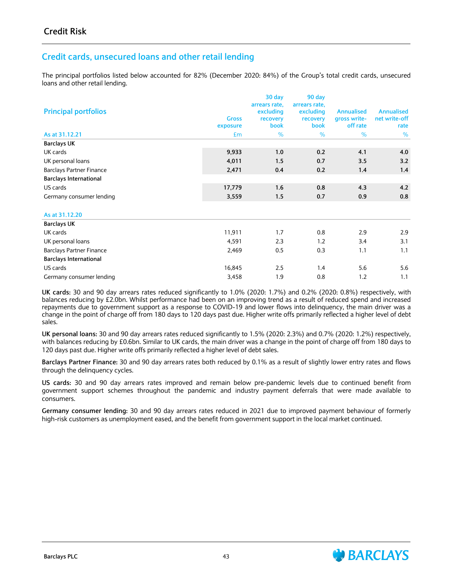# **Credit cards, unsecured loans and other retail lending**

The principal portfolios listed below accounted for 82% (December 2020: 84%) of the Group's total credit cards, unsecured loans and other retail lending.

| <b>Principal portfolios</b>     | <b>Gross</b><br>exposure | 30 day<br>arrears rate.<br>excluding<br>recovery<br>book | 90 day<br>arrears rate,<br>excluding<br>recovery<br>book | <b>Annualised</b><br>gross write-<br>off rate | <b>Annualised</b><br>net write-off<br>rate |
|---------------------------------|--------------------------|----------------------------------------------------------|----------------------------------------------------------|-----------------------------------------------|--------------------------------------------|
| As at 31.12.21                  | £m                       | %                                                        | %                                                        | %                                             | %                                          |
| <b>Barclays UK</b>              |                          |                                                          |                                                          |                                               |                                            |
| UK cards                        | 9,933                    | 1.0                                                      | 0.2                                                      | 4.1                                           | 4.0                                        |
| UK personal loans               | 4,011                    | 1.5                                                      | 0.7                                                      | 3.5                                           | 3.2                                        |
| <b>Barclays Partner Finance</b> | 2,471                    | 0.4                                                      | 0.2                                                      | 1.4                                           | 1.4                                        |
| <b>Barclays International</b>   |                          |                                                          |                                                          |                                               |                                            |
| US cards                        | 17,779                   | 1.6                                                      | 0.8                                                      | 4.3                                           | 4.2                                        |
| Germany consumer lending        | 3,559                    | 1.5                                                      | 0.7                                                      | 0.9                                           | 0.8                                        |
| As at 31.12.20                  |                          |                                                          |                                                          |                                               |                                            |
| <b>Barclays UK</b>              |                          |                                                          |                                                          |                                               |                                            |
| UK cards                        | 11,911                   | 1,7                                                      | 0.8                                                      | 2.9                                           | 2.9                                        |
| UK personal loans               | 4,591                    | 2.3                                                      | 1.2                                                      | 3.4                                           | 3.1                                        |
| <b>Barclays Partner Finance</b> | 2,469                    | 0.5                                                      | 0.3                                                      | 1.1                                           | 1.1                                        |
| <b>Barclays International</b>   |                          |                                                          |                                                          |                                               |                                            |
| US cards                        | 16,845                   | 2.5                                                      | 1.4                                                      | 5.6                                           | 5.6                                        |
| Germany consumer lending        | 3,458                    | 1.9                                                      | 0.8                                                      | 1.2                                           | 1.1                                        |

**UK cards:** 30 and 90 day arrears rates reduced significantly to 1.0% (2020: 1.7%) and 0.2% (2020: 0.8%) respectively, with balances reducing by £2.0bn. Whilst performance had been on an improving trend as a result of reduced spend and increased repayments due to government support as a response to COVID-19 and lower flows into delinquency, the main driver was a change in the point of charge off from 180 days to 120 days past due. Higher write offs primarily reflected a higher level of debt sales.

**UK personal loans:** 30 and 90 day arrears rates reduced significantly to 1.5% (2020: 2.3%) and 0.7% (2020: 1.2%) respectively, with balances reducing by £0.6bn. Similar to UK cards, the main driver was a change in the point of charge off from 180 days to 120 days past due. Higher write offs primarily reflected a higher level of debt sales.

**Barclays Partner Finance:** 30 and 90 day arrears rates both reduced by 0.1% as a result of slightly lower entry rates and flows through the delinquency cycles.

**US cards:** 30 and 90 day arrears rates improved and remain below pre-pandemic levels due to continued benefit from government support schemes throughout the pandemic and industry payment deferrals that were made available to consumers.

**Germany consumer lending:** 30 and 90 day arrears rates reduced in 2021 due to improved payment behaviour of formerly high-risk customers as unemployment eased, and the benefit from government support in the local market continued.

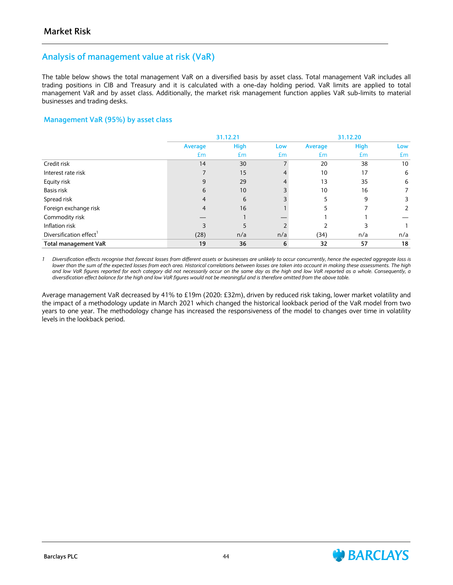## **Analysis of management value at risk (VaR)**

The table below shows the total management VaR on a diversified basis by asset class. Total management VaR includes all trading positions in CIB and Treasury and it is calculated with a one-day holding period. VaR limits are applied to total management VaR and by asset class. Additionally, the market risk management function applies VaR sub-limits to material businesses and trading desks.

### **Management VaR (95%) by asset class**

|                                     |                          | 31.12.21    |     |         | 31.12.20    |     |  |
|-------------------------------------|--------------------------|-------------|-----|---------|-------------|-----|--|
|                                     | Average                  | <b>High</b> | Low | Average | <b>High</b> | Low |  |
|                                     | £m                       | £m          | £m  | Em      | £m          | £m  |  |
| Credit risk                         | 14                       | 30          |     | 20      | 38          | 10  |  |
| Interest rate risk                  |                          | 15          |     | 10      | 17          | 6   |  |
| Equity risk                         | 9                        | 29          |     | 13      | 35          | 6   |  |
| Basis risk                          | 6                        | 10          |     | 10      | 16          |     |  |
| Spread risk                         | 4                        | 6           |     |         | 9           | 3   |  |
| Foreign exchange risk               | 4                        | 16          |     | 5       |             | 2   |  |
| Commodity risk                      |                          |             |     |         |             |     |  |
| Inflation risk                      | $\overline{\mathcal{L}}$ | 5           |     |         |             |     |  |
| Diversification effect <sup>1</sup> | (28)                     | n/a         | n/a | (34)    | n/a         | n/a |  |
| Total management VaR                | 19                       | 36          | 6   | 32      | 57          | 18  |  |

*1 Diversification effects recognise that forecast losses from different assets or businesses are unlikely to occur concurrently, hence the expected aggregate loss is lower than the sum of the expected losses from each area. Historical correlations between losses are taken into account in making these assessments. The high and low VaR figures reported for each category did not necessarily occur on the same day as the high and low VaR reported as a whole. Consequently, a diversification effect balance for the high and low VaR figures would not be meaningful and is therefore omitted from the above table.*

Average management VaR decreased by 41% to £19m (2020: £32m), driven by reduced risk taking, lower market volatility and the impact of a methodology update in March 2021 which changed the historical lookback period of the VaR model from two years to one year. The methodology change has increased the responsiveness of the model to changes over time in volatility levels in the lookback period.

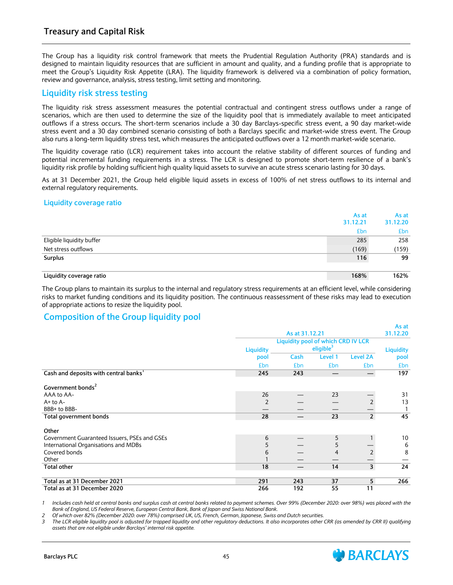The Group has a liquidity risk control framework that meets the Prudential Regulation Authority (PRA) standards and is designed to maintain liquidity resources that are sufficient in amount and quality, and a funding profile that is appropriate to meet the Group's Liquidity Risk Appetite (LRA). The liquidity framework is delivered via a combination of policy formation, review and governance, analysis, stress testing, limit setting and monitoring.

## **Liquidity risk stress testing**

The liquidity risk stress assessment measures the potential contractual and contingent stress outflows under a range of scenarios, which are then used to determine the size of the liquidity pool that is immediately available to meet anticipated outflows if a stress occurs. The short-term scenarios include a 30 day Barclays-specific stress event, a 90 day market-wide stress event and a 30 day combined scenario consisting of both a Barclays specific and market-wide stress event. The Group also runs a long-term liquidity stress test, which measures the anticipated outflows over a 12 month market-wide scenario.

The liquidity coverage ratio (LCR) requirement takes into account the relative stability of different sources of funding and potential incremental funding requirements in a stress. The LCR is designed to promote short-term resilience of a bank's liquidity risk profile by holding sufficient high quality liquid assets to survive an acute stress scenario lasting for 30 days.

As at 31 December 2021, the Group held eligible liquid assets in excess of 100% of net stress outflows to its internal and external regulatory requirements.

#### **Liquidity coverage ratio**

|                           | As at<br>31.12.21 | As at<br>31.12.20 |
|---------------------------|-------------------|-------------------|
|                           | £bn               | £bn               |
| Eligible liquidity buffer | 285               | 258               |
| Net stress outflows       | (169)             | (159)             |
| <b>Surplus</b>            | 116               | 99                |
|                           |                   |                   |
| Liquidity coverage ratio  | 168%              | 162%              |

The Group plans to maintain its surplus to the internal and regulatory stress requirements at an efficient level, while considering risks to market funding conditions and its liquidity position. The continuous reassessment of these risks may lead to execution of appropriate actions to resize the liquidity pool.

## **Composition of the Group liquidity pool**

|                                              |                  |                                                             |         |                 | As at                    |  |  |  |
|----------------------------------------------|------------------|-------------------------------------------------------------|---------|-----------------|--------------------------|--|--|--|
|                                              |                  | As at 31.12.21                                              |         |                 |                          |  |  |  |
|                                              | <b>Liquidity</b> | Liquidity pool of which CRD IV LCR<br>eligible <sup>3</sup> |         |                 |                          |  |  |  |
|                                              | pool             | Cash                                                        | Level 1 | <b>Level 2A</b> | <b>Liquidity</b><br>pool |  |  |  |
|                                              | £bn              | £bn                                                         | £bn     | £bn             | <b>£bn</b>               |  |  |  |
| Cash and deposits with central banks'        | 245              | 243                                                         |         |                 | 197                      |  |  |  |
| Government bonds <sup>2</sup>                |                  |                                                             |         |                 |                          |  |  |  |
| AAA to AA-                                   | 26               |                                                             | 23      |                 | 31                       |  |  |  |
| $A+$ to $A-$                                 | $\overline{2}$   |                                                             |         |                 | 13                       |  |  |  |
| BBB+ to BBB-                                 |                  |                                                             |         |                 |                          |  |  |  |
| Total government bonds                       | 28               |                                                             | 23      | $\overline{2}$  | 45                       |  |  |  |
| Other                                        |                  |                                                             |         |                 |                          |  |  |  |
| Government Guaranteed Issuers, PSEs and GSEs | 6                |                                                             | 5       |                 | 10                       |  |  |  |
| International Organisations and MDBs         | 5                |                                                             | 5       |                 | 6                        |  |  |  |
| Covered bonds                                | 6                |                                                             | 4       |                 | 8                        |  |  |  |
| Other                                        |                  |                                                             |         |                 |                          |  |  |  |
| <b>Total other</b>                           | 18               |                                                             | 14      | 3               | 24                       |  |  |  |
| Total as at 31 December 2021                 | 291              | 243                                                         | 37      | 5               | 266                      |  |  |  |
| Total as at 31 December 2020                 | 266              | 192                                                         | 55      | 11              |                          |  |  |  |

*1 Includes cash held at central banks and surplus cash at central banks related to payment schemes. Over 99% (December 2020: over 98%) was placed with the Bank of England, US Federal Reserve, European Central Bank, Bank of Japan and Swiss National Bank.*

*2 Of which over 82% (December 2020: over 78%) comprised UK, US, French, German, Japanese, Swiss and Dutch securities.*

*3 The LCR eligible liquidity pool is adjusted for trapped liquidity and other regulatory deductions. It also incorporates other CRR (as amended by CRR II) qualifying assets that are not eligible under Barclays' internal risk appetite.*

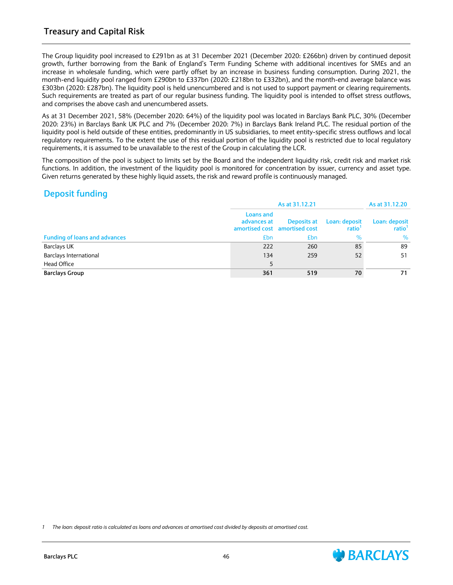## **Treasury and Capital Risk**

The Group liquidity pool increased to £291bn as at 31 December 2021 (December 2020: £266bn) driven by continued deposit growth, further borrowing from the Bank of England's Term Funding Scheme with additional incentives for SMEs and an increase in wholesale funding, which were partly offset by an increase in business funding consumption. During 2021, the month-end liquidity pool ranged from £290bn to £337bn (2020: £218bn to £332bn), and the month-end average balance was £303bn (2020: £287bn). The liquidity pool is held unencumbered and is not used to support payment or clearing requirements. Such requirements are treated as part of our regular business funding. The liquidity pool is intended to offset stress outflows, and comprises the above cash and unencumbered assets.

As at 31 December 2021, 58% (December 2020: 64%) of the liquidity pool was located in Barclays Bank PLC, 30% (December 2020: 23%) in Barclays Bank UK PLC and 7% (December 2020: 7%) in Barclays Bank Ireland PLC. The residual portion of the liquidity pool is held outside of these entities, predominantly in US subsidiaries, to meet entity-specific stress outflows and local regulatory requirements. To the extent the use of this residual portion of the liquidity pool is restricted due to local regulatory requirements, it is assumed to be unavailable to the rest of the Group in calculating the LCR.

The composition of the pool is subject to limits set by the Board and the independent liquidity risk, credit risk and market risk functions. In addition, the investment of the liquidity pool is monitored for concentration by issuer, currency and asset type. Given returns generated by these highly liquid assets, the risk and reward profile is continuously managed.

## **Deposit funding**

|                                      |                          | As at 31.12.20                                      |                        |                        |
|--------------------------------------|--------------------------|-----------------------------------------------------|------------------------|------------------------|
|                                      | Loans and<br>advances at | <b>Deposits at</b><br>amortised cost amortised cost | Loan: deposit<br>ratio | Loan: deposit<br>ratio |
| <b>Funding of loans and advances</b> | £bn                      | £bn                                                 | $\%$                   | $\%$                   |
| <b>Barclays UK</b>                   | 222                      | 260                                                 | 85                     | 89                     |
| Barclays International               | 134                      | 259                                                 | 52                     | 51                     |
| Head Office                          | 5                        |                                                     |                        |                        |
| <b>Barclays Group</b>                | 361                      | 519                                                 | 70                     | 71                     |

*1 The loan: deposit ratio is calculated as loans and advances at amortised cost divided by deposits at amortised cost.*



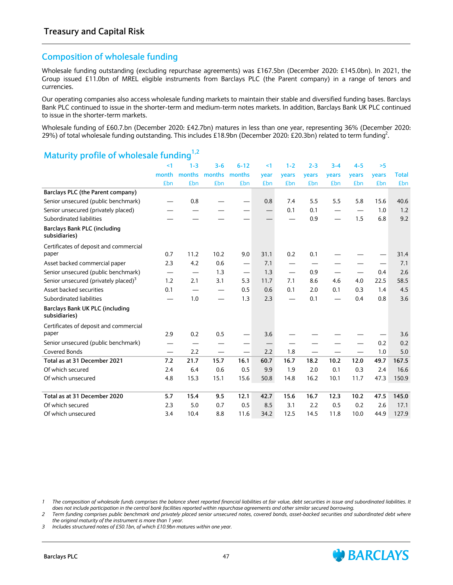## **Composition of wholesale funding**

Wholesale funding outstanding (excluding repurchase agreements) was £167.5bn (December 2020: £145.0bn). In 2021, the Group issued £11.0bn of MREL eligible instruments from Barclays PLC (the Parent company) in a range of tenors and currencies.

Our operating companies also access wholesale funding markets to maintain their stable and diversified funding bases. Barclays Bank PLC continued to issue in the shorter-term and medium-term notes markets. In addition, Barclays Bank UK PLC continued to issue in the shorter-term markets.

Wholesale funding of £60.7.bn (December 2020: £42.7bn) matures in less than one year, representing 36% (December 2020: 29%) of total wholesale funding outstanding. This includes £18.9bn (December 2020: £20.3bn) related to term funding<sup>2</sup>.

# **Maturity profile of wholesale funding1,2**

|                                                      | $1$                            | $1 - 3$                  | $3 - 6$ | $6 - 12$                 | < 1  | $1 - 2$                  | $2 - 3$ | $3 - 4$           | $4 - 5$                  | >5                       |              |
|------------------------------------------------------|--------------------------------|--------------------------|---------|--------------------------|------|--------------------------|---------|-------------------|--------------------------|--------------------------|--------------|
|                                                      | month                          | months                   | months  | months                   | year | years                    | years   | years             | years                    | years                    | <b>Total</b> |
|                                                      | £bn                            | £bn                      | £bn     | £bn                      | £bn  | £bn                      | £bn     | £bn               | £bn                      | £bn                      | £bn          |
| Barclays PLC (the Parent company)                    |                                |                          |         |                          |      |                          |         |                   |                          |                          |              |
| Senior unsecured (public benchmark)                  | —                              | 0.8                      |         | $\overline{\phantom{0}}$ | 0.8  | 7.4                      | 5.5     | 5.5               | 5.8                      | 15.6                     | 40.6         |
| Senior unsecured (privately placed)                  |                                |                          |         |                          |      | 0.1                      | 0.1     | $\hspace{0.05cm}$ | $\overline{\phantom{0}}$ | 1.0                      | 1.2          |
| Subordinated liabilities                             |                                |                          |         |                          |      |                          | 0.9     | $\qquad \qquad$   | 1.5                      | 6.8                      | 9.2          |
| <b>Barclays Bank PLC (including</b><br>subsidiaries) |                                |                          |         |                          |      |                          |         |                   |                          |                          |              |
| Certificates of deposit and commercial               |                                |                          |         |                          |      |                          |         |                   |                          |                          |              |
| paper                                                | 0.7                            | 11.2                     | 10.2    | 9.0                      | 31.1 | 0.2                      | 0.1     |                   |                          |                          | 31.4         |
| Asset backed commercial paper                        | 2.3                            | 4.2                      | 0.6     | $\qquad \qquad$          | 7.1  |                          |         |                   |                          | $\overline{\phantom{m}}$ | 7.1          |
| Senior unsecured (public benchmark)                  | $\qquad \qquad \longleftarrow$ | $\overline{\phantom{0}}$ | 1.3     |                          | 1.3  | $\overline{\phantom{m}}$ | 0.9     | —                 |                          | 0.4                      | 2.6          |
| Senior unsecured (privately placed) <sup>3</sup>     | 1.2                            | 2.1                      | 3.1     | 5.3                      | 11.7 | 7.1                      | 8.6     | 4.6               | 4.0                      | 22.5                     | 58.5         |
| Asset backed securities                              | 0.1                            |                          |         | 0.5                      | 0.6  | 0.1                      | 2.0     | 0.1               | 0.3                      | 1.4                      | 4.5          |
| Subordinated liabilities                             |                                | 1.0                      |         | 1.3                      | 2.3  |                          | 0.1     |                   | 0.4                      | 0.8                      | 3.6          |
| Barclays Bank UK PLC (including<br>subsidiaries)     |                                |                          |         |                          |      |                          |         |                   |                          |                          |              |
| Certificates of deposit and commercial               |                                |                          |         |                          |      |                          |         |                   |                          |                          |              |
| paper                                                | 2.9                            | 0.2                      | 0.5     |                          | 3.6  |                          |         |                   |                          |                          | 3.6          |
| Senior unsecured (public benchmark)                  |                                |                          |         |                          |      |                          |         |                   |                          | 0.2                      | 0.2          |
| Covered Bonds                                        | $\hspace{0.05cm}$              | 2.2                      |         | $\overline{\phantom{0}}$ | 2.2  | 1.8                      |         |                   |                          | 1.0                      | 5.0          |
| Total as at 31 December 2021                         | 7.2                            | 21.7                     | 15.7    | 16.1                     | 60.7 | 16.7                     | 18.2    | 10.2              | 12.0                     | 49.7                     | 167.5        |
| Of which secured                                     | 2.4                            | 6.4                      | 0.6     | 0.5                      | 9.9  | 1.9                      | 2.0     | 0.1               | 0.3                      | 2.4                      | 16.6         |
| Of which unsecured                                   | 4.8                            | 15.3                     | 15.1    | 15.6                     | 50.8 | 14.8                     | 16.2    | 10.1              | 11.7                     | 47.3                     | 150.9        |
| Total as at 31 December 2020                         | 5.7                            | 15.4                     | 9.5     | 12.1                     | 42.7 | 15.6                     | 16.7    | 12.3              | 10.2                     | 47.5                     | 145.0        |
| Of which secured                                     | 2.3                            | 5.0                      | 0.7     | 0.5                      | 8.5  | 3.1                      | 2.2     | 0.5               | 0.2                      | 2.6                      | 17.1         |
| Of which unsecured                                   | 3.4                            | 10.4                     | 8.8     | 11.6                     | 34.2 | 12.5                     | 14.5    | 11.8              | 10.0                     | 44.9                     | 127.9        |

*1 The composition of wholesale funds comprises the balance sheet reported financial liabilities at fair value, debt securities in issue and subordinated liabilities. It does not include participation in the central bank facilities reported within repurchase agreements and other similar secured borrowing.*

*2 Term funding comprises public benchmark and privately placed senior unsecured notes, covered bonds, asset-backed securities and subordinated debt where the original maturity of the instrument is more than 1 year.*

*3 Includes structured notes of £50.1bn, of which £10.9bn matures within one year.*

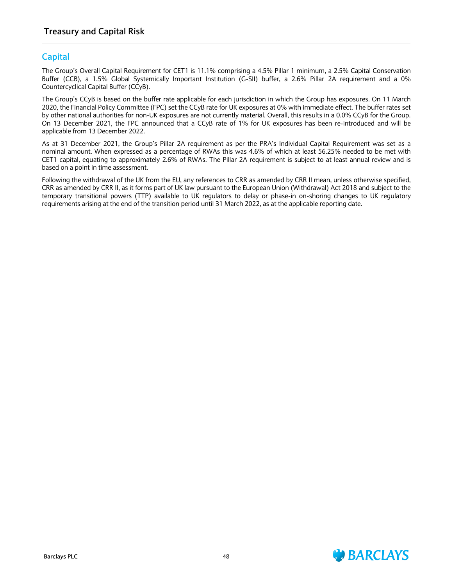# **Capital**

The Group's Overall Capital Requirement for CET1 is 11.1% comprising a 4.5% Pillar 1 minimum, a 2.5% Capital Conservation Buffer (CCB), a 1.5% Global Systemically Important Institution (G-SII) buffer, a 2.6% Pillar 2A requirement and a 0% Countercyclical Capital Buffer (CCyB).

The Group's CCyB is based on the buffer rate applicable for each jurisdiction in which the Group has exposures. On 11 March 2020, the Financial Policy Committee (FPC) set the CCyB rate for UK exposures at 0% with immediate effect. The buffer rates set by other national authorities for non-UK exposures are not currently material. Overall, this results in a 0.0% CCyB for the Group. On 13 December 2021, the FPC announced that a CCyB rate of 1% for UK exposures has been re-introduced and will be applicable from 13 December 2022.

As at 31 December 2021, the Group's Pillar 2A requirement as per the PRA's Individual Capital Requirement was set as a nominal amount. When expressed as a percentage of RWAs this was 4.6% of which at least 56.25% needed to be met with CET1 capital, equating to approximately 2.6% of RWAs. The Pillar 2A requirement is subject to at least annual review and is based on a point in time assessment.

Following the withdrawal of the UK from the EU, any references to CRR as amended by CRR II mean, unless otherwise specified, CRR as amended by CRR II, as it forms part of UK law pursuant to the European Union (Withdrawal) Act 2018 and subject to the temporary transitional powers (TTP) available to UK regulators to delay or phase-in on-shoring changes to UK regulatory requirements arising at the end of the transition period until 31 March 2022, as at the applicable reporting date.

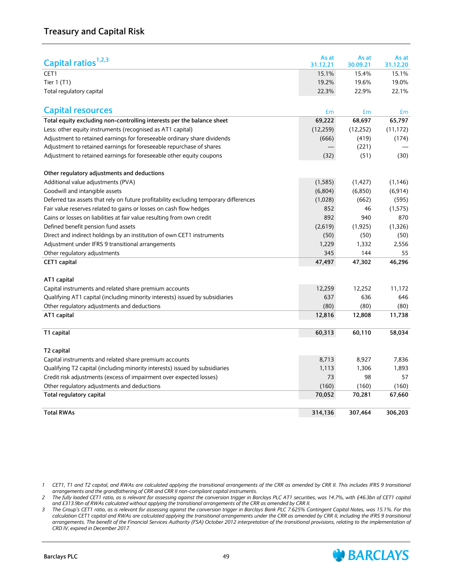| Capital ratios <sup>1,2,3</sup>                                                       | As at<br>31.12.21 | As at<br>30.09.21 | As at<br>31.12.20 |
|---------------------------------------------------------------------------------------|-------------------|-------------------|-------------------|
| CET1                                                                                  | 15.1%             | 15.4%             | 15.1%             |
| Tier $1(T1)$                                                                          | 19.2%             | 19.6%             | 19.0%             |
| Total regulatory capital                                                              | 22.3%             | 22.9%             | 22.1%             |
|                                                                                       |                   |                   |                   |
| <b>Capital resources</b>                                                              | £m                | £m                | £m                |
| Total equity excluding non-controlling interests per the balance sheet                | 69,222            | 68,697            | 65,797            |
| Less: other equity instruments (recognised as AT1 capital)                            | (12, 259)         | (12, 252)         | (11, 172)         |
| Adjustment to retained earnings for foreseeable ordinary share dividends              | (666)             | (419)             | (174)             |
| Adjustment to retained earnings for foreseeable repurchase of shares                  |                   | (221)             |                   |
| Adjustment to retained earnings for foreseeable other equity coupons                  | (32)              | (51)              | (30)              |
| Other regulatory adjustments and deductions                                           |                   |                   |                   |
| Additional value adjustments (PVA)                                                    | (1,585)           | (1, 427)          | (1, 146)          |
| Goodwill and intangible assets                                                        | (6,804)           | (6,850)           | (6, 914)          |
| Deferred tax assets that rely on future profitability excluding temporary differences | (1,028)           | (662)             | (595)             |
| Fair value reserves related to gains or losses on cash flow hedges                    | 852               | 46                | (1, 575)          |
| Gains or losses on liabilities at fair value resulting from own credit                | 892               | 940               | 870               |
| Defined benefit pension fund assets                                                   | (2,619)           | (1, 925)          | (1,326)           |
| Direct and indirect holdings by an institution of own CET1 instruments                | (50)              | (50)              | (50)              |
| Adjustment under IFRS 9 transitional arrangements                                     | 1,229             | 1,332             | 2,556             |
| Other regulatory adjustments                                                          | 345               | 144               | 55                |
| CET1 capital                                                                          | 47,497            | 47,302            | 46,296            |
|                                                                                       |                   |                   |                   |
| AT1 capital                                                                           | 12,259            | 12,252            | 11,172            |
| Capital instruments and related share premium accounts                                |                   |                   |                   |
| Qualifying AT1 capital (including minority interests) issued by subsidiaries          | 637               | 636               | 646               |
| Other regulatory adjustments and deductions                                           | (80)              | (80)              | (80)              |
| AT1 capital                                                                           | 12,816            | 12,808            | 11,738            |
| T1 capital                                                                            | 60,313            | 60,110            | 58,034            |
| T <sub>2</sub> capital                                                                |                   |                   |                   |
| Capital instruments and related share premium accounts                                | 8,713             | 8,927             | 7,836             |
| Qualifying T2 capital (including minority interests) issued by subsidiaries           | 1,113             | 1,306             | 1,893             |
| Credit risk adjustments (excess of impairment over expected losses)                   | 73                | 98                | 57                |
| Other regulatory adjustments and deductions                                           | (160)             | (160)             | (160)             |
| Total regulatory capital                                                              | 70,052            | 70,281            | 67,660            |
| <b>Total RWAs</b>                                                                     | 314,136           | 307.464           | 306,203           |

*1 CET1, T1 and T2 capital, and RWAs are calculated applying the transitional arrangements of the CRR as amended by CRR II. This includes IFRS 9 transitional arrangements and the grandfathering of CRR and CRR II non-compliant capital instruments.* 

*2 The fully loaded CET1 ratio, as is relevant for assessing against the conversion trigger in Barclays PLC AT1 securities, was 14.7%, with £46.3bn of CET1 capital and £313.9bn of RWAs calculated without applying the transitional arrangements of the CRR as amended by CRR II.*

*3 The Group's CET1 ratio, as is relevant for assessing against the conversion trigger in Barclays Bank PLC 7.625% Contingent Capital Notes, was 15.1%. For this*  calculation CET1 capital and RWAs are calculated applying the transitional arrangements under the CRR as amended by CRR II, including the IFRS 9 transitional *arrangements. The benefit of the Financial Services Authority (FSA) October 2012 interpretation of the transitional provisions, relating to the implementation of CRD IV, expired in December 2017.*

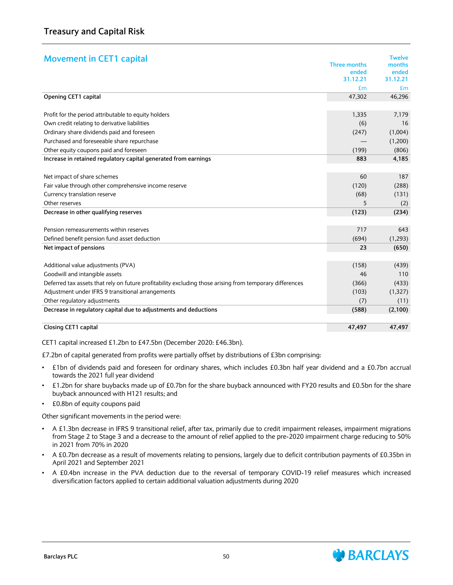| <b>Movement in CET1 capital</b>                                                                          |                     | <b>Twelve</b> |
|----------------------------------------------------------------------------------------------------------|---------------------|---------------|
|                                                                                                          | <b>Three months</b> | months        |
|                                                                                                          | ended               | ended         |
|                                                                                                          | 31.12.21            | 31.12.21      |
|                                                                                                          | £m                  | £m<br>46.296  |
| Opening CET1 capital                                                                                     | 47.302              |               |
| Profit for the period attributable to equity holders                                                     | 1,335               | 7,179         |
| Own credit relating to derivative liabilities                                                            | (6)                 | 16            |
| Ordinary share dividends paid and foreseen                                                               | (247)               | (1,004)       |
| Purchased and foreseeable share repurchase                                                               |                     | (1,200)       |
| Other equity coupons paid and foreseen                                                                   | (199)               | (806)         |
| Increase in retained regulatory capital generated from earnings                                          | 883                 | 4,185         |
|                                                                                                          |                     |               |
| Net impact of share schemes                                                                              | 60                  | 187           |
| Fair value through other comprehensive income reserve                                                    | (120)               | (288)         |
| Currency translation reserve                                                                             | (68)                | (131)         |
| Other reserves                                                                                           | 5                   | (2)           |
| Decrease in other qualifying reserves                                                                    | (123)               | (234)         |
|                                                                                                          |                     |               |
| Pension remeasurements within reserves                                                                   | 717                 | 643           |
| Defined benefit pension fund asset deduction                                                             | (694)               | (1,293)       |
| Net impact of pensions                                                                                   | 23                  | (650)         |
| Additional value adjustments (PVA)                                                                       | (158)               | (439)         |
| Goodwill and intangible assets                                                                           | 46                  | 110           |
| Deferred tax assets that rely on future profitability excluding those arising from temporary differences | (366)               | (433)         |
| Adjustment under IFRS 9 transitional arrangements                                                        | (103)               | (1, 327)      |
| Other regulatory adjustments                                                                             | (7)                 | (11)          |
| Decrease in regulatory capital due to adjustments and deductions                                         | (588)               | (2,100)       |
| Closing CET1 capital                                                                                     | 47,497              | 47,497        |
|                                                                                                          |                     |               |

CET1 capital increased £1.2bn to £47.5bn (December 2020: £46.3bn).

£7.2bn of capital generated from profits were partially offset by distributions of £3bn comprising:

- £1bn of dividends paid and foreseen for ordinary shares, which includes £0.3bn half year dividend and a £0.7bn accrual towards the 2021 full year dividend
- £1.2bn for share buybacks made up of £0.7bn for the share buyback announced with FY20 results and £0.5bn for the share buyback announced with H121 results; and
- £0.8bn of equity coupons paid

Other significant movements in the period were:

- A £1.3bn decrease in IFRS 9 transitional relief, after tax, primarily due to credit impairment releases, impairment migrations from Stage 2 to Stage 3 and a decrease to the amount of relief applied to the pre-2020 impairment charge reducing to 50% in 2021 from 70% in 2020
- A £0.7bn decrease as a result of movements relating to pensions, largely due to deficit contribution payments of £0.35bn in April 2021 and September 2021
- A £0.4bn increase in the PVA deduction due to the reversal of temporary COVID-19 relief measures which increased diversification factors applied to certain additional valuation adjustments during 2020

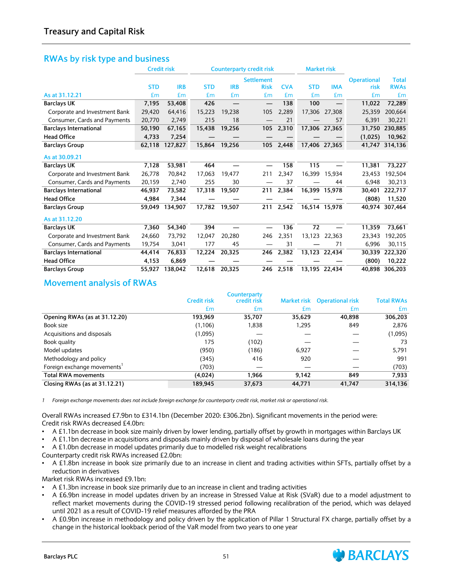## **RWAs by risk type and business**

|                               |            | <b>Credit risk</b> |            |            | <b>Counterparty credit risk</b> |            | <b>Market risk</b> |               |                    |                |
|-------------------------------|------------|--------------------|------------|------------|---------------------------------|------------|--------------------|---------------|--------------------|----------------|
|                               |            |                    |            |            | <b>Settlement</b>               |            |                    |               | <b>Operational</b> | <b>Total</b>   |
|                               | <b>STD</b> | <b>IRB</b>         | <b>STD</b> | <b>IRB</b> | <b>Risk</b>                     | <b>CVA</b> | <b>STD</b>         | <b>IMA</b>    | risk               | <b>RWAs</b>    |
| As at 31.12.21                | £m         | Em                 | £m         | £m         | £m                              | £m         | £m                 | £m            | £m                 | £m             |
| <b>Barclays UK</b>            | 7,195      | 53,408             | 426        |            |                                 | 138        | 100                |               | 11,022             | 72,289         |
| Corporate and Investment Bank | 29,420     | 64,416             | 15,223     | 19,238     | 105                             | 2.289      | 17,306             | 27,308        | 25,359             | 200,664        |
| Consumer, Cards and Payments  | 20,770     | 2,749              | 215        | 18         |                                 | 21         |                    | 57            | 6,391              | 30,221         |
| <b>Barclays International</b> | 50,190     | 67,165             | 15,438     | 19,256     | 105                             | 2,310      | 17,306             | 27,365        | 31,750             | 230,885        |
| <b>Head Office</b>            | 4,733      | 7.254              |            |            |                                 |            |                    |               | (1,025)            | 10,962         |
| <b>Barclays Group</b>         | 62,118     | 127,827            | 15,864     | 19,256     | 105                             | 2,448      |                    | 17,406 27,365 |                    | 41,747 314,136 |
| As at 30.09.21                |            |                    |            |            |                                 |            |                    |               |                    |                |
| <b>Barclays UK</b>            | 7,128      | 53,981             | 464        |            |                                 | 158        | 115                |               | 11,381             | 73,227         |
| Corporate and Investment Bank | 26,778     | 70,842             | 17,063     | 19,477     | 211                             | 2,347      | 16,399             | 15,934        | 23.453             | 192,504        |
| Consumer, Cards and Payments  | 20,159     | 2,740              | 255        | 30         |                                 | 37         |                    | 44            | 6,948              | 30,213         |
| <b>Barclays International</b> | 46,937     | 73,582             | 17,318     | 19,507     | 211                             | 2,384      | 16.399             | 15,978        | 30.401             | 222,717        |
| <b>Head Office</b>            | 4,984      | 7,344              |            |            |                                 |            |                    |               | (808)              | 11,520         |
| <b>Barclays Group</b>         | 59,049     | 134,907            | 17,782     | 19,507     | 211                             | 2,542      |                    | 16,514 15,978 |                    | 40,974 307,464 |
| As at 31.12.20                |            |                    |            |            |                                 |            |                    |               |                    |                |
| <b>Barclays UK</b>            | 7,360      | 54,340             | 394        |            |                                 | 136        | 72                 |               | 11,359             | 73,661         |
| Corporate and Investment Bank | 24,660     | 73,792             | 12,047     | 20,280     | 246                             | 2,351      | 13,123             | 22,363        | 23,343             | 192,205        |
| Consumer, Cards and Payments  | 19,754     | 3,041              | 177        | 45         |                                 | 31         |                    | 71            | 6,996              | 30,115         |
| <b>Barclays International</b> | 44,414     | 76,833             | 12,224     | 20,325     | 246                             | 2,382      |                    | 13,123 22,434 | 30,339             | 222,320        |
| <b>Head Office</b>            | 4,153      | 6,869              |            |            |                                 |            |                    |               | (800)              | 10,222         |
| <b>Barclays Group</b>         | 55,927     | 138,042            | 12,618     | 20,325     | 246                             | 2,518      |                    | 13,195 22,434 | 40,898             | 306,203        |

## **Movement analysis of RWAs**

|                               | <b>Credit risk</b> | <b>Counterparty</b><br>credit risk |        | Market risk Operational risk | <b>Total RWAs</b> |
|-------------------------------|--------------------|------------------------------------|--------|------------------------------|-------------------|
|                               | £m                 | £m                                 | £m     | £m                           | £m                |
| Opening RWAs (as at 31.12.20) | 193,969            | 35,707                             | 35,629 | 40,898                       | 306,203           |
| Book size                     | (1, 106)           | 1,838                              | 1,295  | 849                          | 2,876             |
| Acquisitions and disposals    | (1,095)            |                                    |        |                              | (1,095)           |
| Book quality                  | 175                | (102)                              |        |                              | 73                |
| Model updates                 | (950)              | (186)                              | 6.927  |                              | 5,791             |
| Methodology and policy        | (345)              | 416                                | 920    |                              | 991               |
| Foreign exchange movements'   | (703)              |                                    |        |                              | (703)             |
| <b>Total RWA movements</b>    | (4,024)            | 1.966                              | 9,142  | 849                          | 7,933             |
| Closing RWAs (as at 31.12.21) | 189,945            | 37,673                             | 44.771 | 41.747                       | 314.136           |

*1 Foreign exchange movements does not include foreign exchange for counterparty credit risk, market risk or operational risk.*

Overall RWAs increased £7.9bn to £314.1bn (December 2020: £306.2bn). Significant movements in the period were: Credit risk RWAs decreased £4.0bn:

- A £1.1bn decrease in book size mainly driven by lower lending, partially offset by growth in mortgages within Barclays UK
- A £1.1bn decrease in acquisitions and disposals mainly driven by disposal of wholesale loans during the year
- A £1.0bn decrease in model updates primarily due to modelled risk weight recalibrations

Counterparty credit risk RWAs increased £2.0bn:

• A £1.8bn increase in book size primarily due to an increase in client and trading activities within SFTs, partially offset by a reduction in derivatives

Market risk RWAs increased £9.1bn:

- A £1.3bn increase in book size primarily due to an increase in client and trading activities
- A £6.9bn increase in model updates driven by an increase in Stressed Value at Risk (SVaR) due to a model adjustment to reflect market movements during the COVID-19 stressed period following recalibration of the period, which was delayed until 2021 as a result of COVID-19 relief measures afforded by the PRA
- A £0.9bn increase in methodology and policy driven by the application of Pillar 1 Structural FX charge, partially offset by a change in the historical lookback period of the VaR model from two years to one year

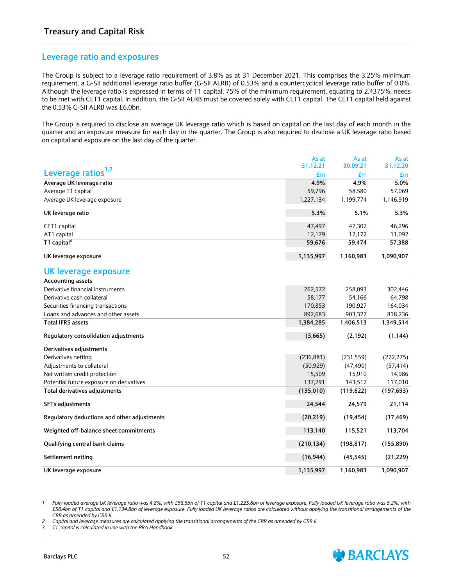## **Leverage ratio and exposures**

The Group is subject to a leverage ratio requirement of 3.8% as at 31 December 2021. This comprises the 3.25% minimum requirement, a G-SII additional leverage ratio buffer (G-SII ALRB) of 0.53% and a countercyclical leverage ratio buffer of 0.0%. Although the leverage ratio is expressed in terms of T1 capital, 75% of the minimum requirement, equating to 2.4375%, needs to be met with CET1 capital. In addition, the G-SII ALRB must be covered solely with CET1 capital. The CET1 capital held against the 0.53% G-SII ALRB was £6.0bn.

The Group is required to disclose an average UK leverage ratio which is based on capital on the last day of each month in the quarter and an exposure measure for each day in the quarter. The Group is also required to disclose a UK leverage ratio based on capital and exposure on the last day of the quarter.

|                                             | As at      | As at      | As at      |
|---------------------------------------------|------------|------------|------------|
|                                             | 31.12.21   | 30.09.21   | 31.12.20   |
| Leverage ratios <sup>1,2</sup>              | £m         | £m         | £m         |
| Average UK leverage ratio                   | 4.9%       | 4.9%       | 5.0%       |
| Average T1 capital <sup>3</sup>             | 59,796     | 58,580     | 57,069     |
| Average UK leverage exposure                | 1,227,134  | 1,199,774  | 1,146,919  |
| UK leverage ratio                           | 5.3%       | 5.1%       | 5.3%       |
| CET1 capital                                | 47,497     | 47,302     | 46,296     |
| AT1 capital                                 | 12,179     | 12,172     | 11,092     |
| T1 capital $3$                              | 59,676     | 59,474     | 57,388     |
| UK leverage exposure                        | 1,135,997  | 1,160,983  | 1,090,907  |
| UK leverage exposure                        |            |            |            |
| <b>Accounting assets</b>                    |            |            |            |
| Derivative financial instruments            | 262,572    | 258,093    | 302,446    |
| Derivative cash collateral                  | 58,177     | 54,166     | 64,798     |
| Securities financing transactions           | 170,853    | 190,927    | 164,034    |
| Loans and advances and other assets         | 892,683    | 903,327    | 818,236    |
| <b>Total IFRS assets</b>                    | 1,384,285  | 1,406,513  | 1,349,514  |
| Regulatory consolidation adjustments        | (3,665)    | (2, 192)   | (1, 144)   |
| Derivatives adjustments                     |            |            |            |
| Derivatives netting                         | (236, 881) | (231, 559) | (272, 275) |
| Adjustments to collateral                   | (50, 929)  | (47, 490)  | (57, 414)  |
| Net written credit protection               | 15,509     | 15,910     | 14,986     |
| Potential future exposure on derivatives    | 137,291    | 143,517    | 117,010    |
| Total derivatives adjustments               | (135,010)  | (119, 622) | (197, 693) |
| <b>SFTs adjustments</b>                     | 24,544     | 24,579     | 21,114     |
| Regulatory deductions and other adjustments | (20, 219)  | (19, 454)  | (17, 469)  |
| Weighted off-balance sheet commitments      | 113,140    | 115,521    | 113,704    |
| Qualifying central bank claims              | (210, 134) | (198, 817) | (155, 890) |
| Settlement netting                          | (16, 944)  | (45, 545)  | (21, 229)  |
| UK leverage exposure                        | 1,135,997  | 1,160,983  | 1,090,907  |

1 Fully loaded average UK leverage ratio was 4.8%, with £58.5bn of T1 capital and £1,225.8bn of leverage exposure. Fully loaded UK leverage ratio was 5.2%, with *£58.4bn of T1 capital and £1,134.8bn of leverage exposure. Fully loaded UK leverage ratios are calculated without applying the transitional arrangements of the CRR as amended by CRR II.* 

*2 Capital and leverage measures are calculated applying the transitional arrangements of the CRR as amended by CRR II.*

*3 T1 capital is calculated in line with the PRA Handbook.*

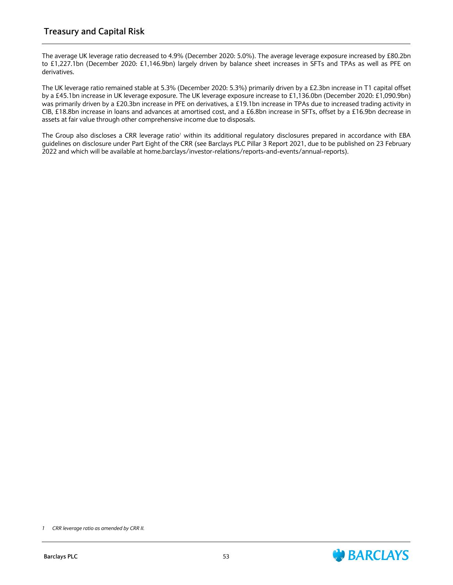## **Treasury and Capital Risk**

The average UK leverage ratio decreased to 4.9% (December 2020: 5.0%). The average leverage exposure increased by £80.2bn to £1,227.1bn (December 2020: £1,146.9bn) largely driven by balance sheet increases in SFTs and TPAs as well as PFE on derivatives.

The UK leverage ratio remained stable at 5.3% (December 2020: 5.3%) primarily driven by a £2.3bn increase in T1 capital offset by a £45.1bn increase in UK leverage exposure. The UK leverage exposure increase to £1,136.0bn (December 2020: £1,090.9bn) was primarily driven by a £20.3bn increase in PFE on derivatives, a £19.1bn increase in TPAs due to increased trading activity in CIB, £18.8bn increase in loans and advances at amortised cost, and a £6.8bn increase in SFTs, offset by a £16.9bn decrease in assets at fair value through other comprehensive income due to disposals.

The Group also discloses a CRR leverage ratio<sup>;</sup> within its additional regulatory disclosures prepared in accordance with EBA guidelines on disclosure under Part Eight of the CRR (see Barclays PLC Pillar 3 Report 2021, due to be published on 23 February 2022 and which will be available at home.barclays/investor-relations/reports-and-events/annual-reports).



*<sup>1</sup> CRR leverage ratio as amended by CRR II.*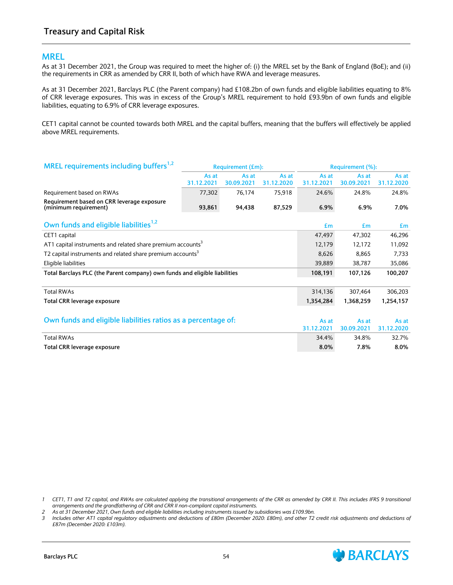### **MREL**

As at 31 December 2021, the Group was required to meet the higher of: (i) the MREL set by the Bank of England (BoE); and (ii) the requirements in CRR as amended by CRR II, both of which have RWA and leverage measures.

As at 31 December 2021, Barclays PLC (the Parent company) had £108.2bn of own funds and eligible liabilities equating to 8% of CRR leverage exposures. This was in excess of the Group's MREL requirement to hold £93.9bn of own funds and eligible liabilities, equating to 6.9% of CRR leverage exposures.

CET1 capital cannot be counted towards both MREL and the capital buffers, meaning that the buffers will effectively be applied above MREL requirements.

| MREL requirements including buffers <sup>1,2</sup>                         |            | <b>Requirement (£m):</b> |                  |            | Requirement (%): |            |  |
|----------------------------------------------------------------------------|------------|--------------------------|------------------|------------|------------------|------------|--|
|                                                                            | As at      | As at                    | As at            | As at      | As at            | As at      |  |
|                                                                            | 31.12.2021 | 30.09.2021               | 31.12.2020       | 31.12.2021 | 30.09.2021       | 31.12.2020 |  |
| Requirement based on RWAs                                                  | 77,302     | 76,174                   | 75,918           | 24.6%      | 24.8%            | 24.8%      |  |
| Requirement based on CRR leverage exposure                                 |            |                          |                  |            |                  |            |  |
| (minimum requirement)                                                      | 93,861     | 94,438                   | 87,529           | 6.9%       | 6.9%             | 7.0%       |  |
| Own funds and eligible liabilities <sup>1,2</sup>                          |            |                          |                  | £m         | £m               | £m         |  |
|                                                                            |            |                          |                  | 47,497     | 47,302           | 46,296     |  |
| CET1 capital                                                               |            |                          |                  |            |                  |            |  |
| AT1 capital instruments and related share premium accounts <sup>3</sup>    |            |                          |                  | 12,179     | 12,172           | 11,092     |  |
| T2 capital instruments and related share premium accounts <sup>3</sup>     |            |                          |                  | 8,626      | 8,865            | 7,733      |  |
| Eligible liabilities                                                       |            |                          | 39,889<br>38,787 |            |                  |            |  |
| Total Barclays PLC (the Parent company) own funds and eligible liabilities |            |                          |                  | 108,191    | 107,126          | 100,207    |  |
|                                                                            |            |                          |                  |            |                  |            |  |
| <b>Total RWAs</b>                                                          |            |                          |                  | 314,136    | 307,464          | 306,203    |  |
| Total CRR leverage exposure                                                |            |                          |                  | 1,354,284  | 1,368,259        | 1,254,157  |  |
|                                                                            |            |                          |                  |            |                  |            |  |
| Own funds and eligible liabilities ratios as a percentage of:              |            |                          |                  | As at      | As at            | As at      |  |
|                                                                            |            |                          |                  | 31.12.2021 | 30.09.2021       | 31.12.2020 |  |
| <b>Total RWAs</b>                                                          |            |                          |                  | 34.4%      | 34.8%            | 32.7%      |  |
| Total CRR leverage exposure                                                |            |                          |                  | 8.0%       | 7.8%             | 8.0%       |  |

*1 CET1, T1 and T2 capital, and RWAs are calculated applying the transitional arrangements of the CRR as amended by CRR II. This includes IFRS 9 transitional arrangements and the grandfathering of CRR and CRR II non-compliant capital instruments.*

*2 As at 31 December 2021, Own funds and eligible liabilities including instruments issued by subsidiaries was £109.9bn.* 

*<sup>3</sup> Includes other AT1 capital regulatory adjustments and deductions of £80m (December 2020: £80m), and other T2 credit risk adjustments and deductions of £87m (December 2020: £103m).*

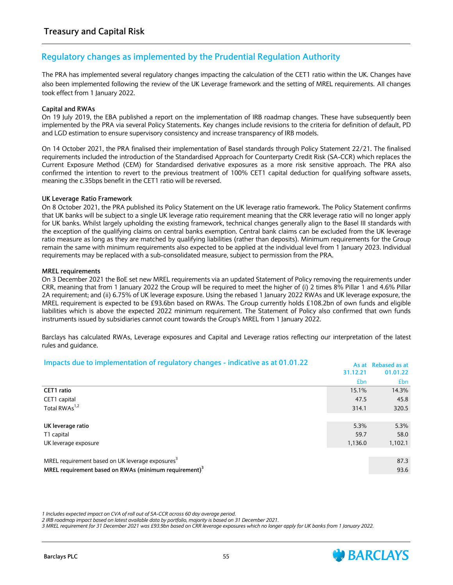## **Regulatory changes as implemented by the Prudential Regulation Authority**

The PRA has implemented several regulatory changes impacting the calculation of the CET1 ratio within the UK. Changes have also been implemented following the review of the UK Leverage framework and the setting of MREL requirements. All changes took effect from 1 January 2022.

#### **Capital and RWAs**

On 19 July 2019, the EBA published a report on the implementation of IRB roadmap changes. These have subsequently been implemented by the PRA via several Policy Statements. Key changes include revisions to the criteria for definition of default, PD and LGD estimation to ensure supervisory consistency and increase transparency of IRB models.

On 14 October 2021, the PRA finalised their implementation of Basel standards through Policy Statement 22/21. The finalised requirements included the introduction of the Standardised Approach for Counterparty Credit Risk (SA-CCR) which replaces the Current Exposure Method (CEM) for Standardised derivative exposures as a more risk sensitive approach. The PRA also confirmed the intention to revert to the previous treatment of 100% CET1 capital deduction for qualifying software assets, meaning the c.35bps benefit in the CET1 ratio will be reversed.

#### **UK Leverage Ratio Framework**

On 8 October 2021, the PRA published its Policy Statement on the UK leverage ratio framework. The Policy Statement confirms that UK banks will be subject to a single UK leverage ratio requirement meaning that the CRR leverage ratio will no longer apply for UK banks. Whilst largely upholding the existing framework, technical changes generally align to the Basel III standards with the exception of the qualifying claims on central banks exemption. Central bank claims can be excluded from the UK leverage ratio measure as long as they are matched by qualifying liabilities (rather than deposits). Minimum requirements for the Group remain the same with minimum requirements also expected to be applied at the individual level from 1 January 2023. Individual requirements may be replaced with a sub-consolidated measure, subject to permission from the PRA.

#### **MREL requirements**

On 3 December 2021 the BoE set new MREL requirements via an updated Statement of Policy removing the requirements under CRR, meaning that from 1 January 2022 the Group will be required to meet the higher of (i) 2 times 8% Pillar 1 and 4.6% Pillar 2A requirement; and (ii) 6.75% of UK leverage exposure. Using the rebased 1 January 2022 RWAs and UK leverage exposure, the MREL requirement is expected to be £93.6bn based on RWAs. The Group currently holds £108.2bn of own funds and eligible liabilities which is above the expected 2022 minimum requirement. The Statement of Policy also confirmed that own funds instruments issued by subsidiaries cannot count towards the Group's MREL from 1 January 2022.

Barclays has calculated RWAs, Leverage exposures and Capital and Leverage ratios reflecting our interpretation of the latest rules and guidance.

| Impacts due to implementation of regulatory changes - indicative as at 01.01.22 | As at<br>31.12.21 | <b>Rebased as at</b><br>01.01.22 |
|---------------------------------------------------------------------------------|-------------------|----------------------------------|
|                                                                                 | £bn               | <b>£bn</b>                       |
| CET1 ratio                                                                      | 15.1%             | 14.3%                            |
| CET1 capital                                                                    | 47.5              | 45.8                             |
| Total RWAs <sup>1,2</sup>                                                       | 314.1             | 320.5                            |
|                                                                                 |                   |                                  |
| UK leverage ratio                                                               | 5.3%              | 5.3%                             |
| T1 capital                                                                      | 59.7              | 58.0                             |
| UK leverage exposure                                                            | 1,136.0           | 1,102.1                          |
|                                                                                 |                   |                                  |
| MREL requirement based on UK leverage exposures <sup>3</sup>                    |                   | 87.3                             |
| MREL requirement based on RWAs (minimum requirement) <sup>3</sup>               |                   | 93.6                             |

*1 Includes expected impact on CVA of roll out of SA-CCR across 60 day average period.*

*2 IRB roadmap impact based on latest available data by portfolio, majority is based on 31 December 2021.*

*3 MREL requirement for 31 December 2021 was £93.9bn based on CRR leverage exposures which no longer apply for UK banks from 1 January 2022.*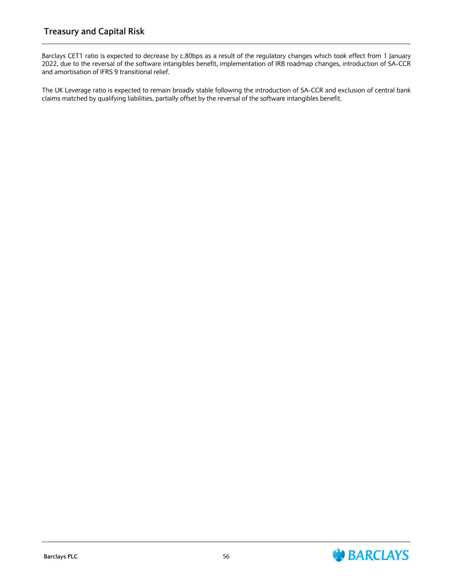Barclays CET1 ratio is expected to decrease by c.80bps as a result of the regulatory changes which took effect from 1 January 2022, due to the reversal of the software intangibles benefit, implementation of IRB roadmap changes, introduction of SA-CCR and amortisation of IFRS 9 transitional relief.

The UK Leverage ratio is expected to remain broadly stable following the introduction of SA-CCR and exclusion of central bank claims matched by qualifying liabilities, partially offset by the reversal of the software intangibles benefit.

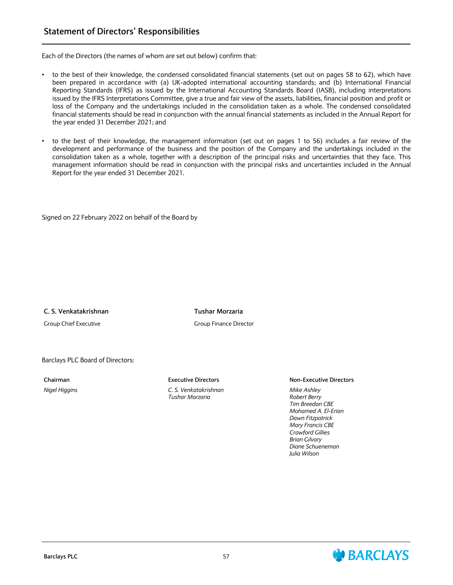## **Statement of Directors' Responsibilities**

Each of the Directors (the names of whom are set out below) confirm that:

- to the best of their knowledge, the condensed consolidated financial statements (set out on pages 58 to 62), which have been prepared in accordance with (a) UK-adopted international accounting standards; and (b) International Financial Reporting Standards (IFRS) as issued by the International Accounting Standards Board (IASB), including interpretations issued by the IFRS Interpretations Committee, give a true and fair view of the assets, liabilities, financial position and profit or loss of the Company and the undertakings included in the consolidation taken as a whole. The condensed consolidated financial statements should be read in conjunction with the annual financial statements as included in the Annual Report for the year ended 31 December 2021; and
- to the best of their knowledge, the management information (set out on pages 1 to 56) includes a fair review of the development and performance of the business and the position of the Company and the undertakings included in the consolidation taken as a whole, together with a description of the principal risks and uncertainties that they face. This management information should be read in conjunction with the principal risks and uncertainties included in the Annual Report for the year ended 31 December 2021.

Signed on 22 February 2022 on behalf of the Board by

**C. S. Venkatakrishnan Tushar Morzaria**

Group Chief Executive Group Finance Director

Barclays PLC Board of Directors:

*Nigel Higgins C. S. Venkatakrishnan Tushar Morzaria*

**Chairman Executive Directors Non-Executive Directors**

*Mike Ashley Robert Berry Tim Breedon CBE Mohamed A. El-Erian Dawn Fitzpatrick Mary Francis CBE Crawford Gillies Brian Gilvary Diane Schueneman Julia Wilson*

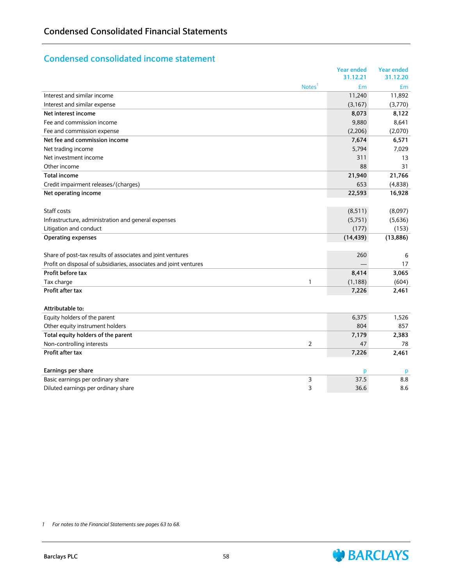# **Condensed consolidated income statement**

|                                                                   |                    | <b>Year ended</b> | <b>Year ended</b> |
|-------------------------------------------------------------------|--------------------|-------------------|-------------------|
|                                                                   |                    | 31.12.21          | 31.12.20          |
|                                                                   | Notes <sup>1</sup> | f <sub>m</sub>    | £m                |
| Interest and similar income                                       |                    | 11,240            | 11,892            |
| Interest and similar expense                                      |                    | (3, 167)          | (3,770)           |
| Net interest income                                               |                    | 8,073             | 8,122             |
| Fee and commission income                                         |                    | 9,880             | 8,641             |
| Fee and commission expense                                        |                    | (2,206)           | (2,070)           |
| Net fee and commission income                                     |                    | 7,674             | 6,571             |
| Net trading income                                                |                    | 5,794             | 7,029             |
| Net investment income                                             |                    | 311               | 13                |
| Other income                                                      |                    | 88                | 31                |
| <b>Total income</b>                                               |                    | 21,940            | 21,766            |
| Credit impairment releases/(charges)                              |                    | 653               | (4,838)           |
| Net operating income                                              |                    | 22,593            | 16,928            |
|                                                                   |                    |                   |                   |
| Staff costs                                                       |                    | (8,511)           | (8,097)           |
| Infrastructure, administration and general expenses               |                    | (5,751)           | (5,636)           |
| Litigation and conduct                                            |                    | (177)             | (153)             |
| <b>Operating expenses</b>                                         |                    | (14, 439)         | (13,886)          |
|                                                                   |                    |                   |                   |
| Share of post-tax results of associates and joint ventures        |                    | 260               | 6                 |
| Profit on disposal of subsidiaries, associates and joint ventures |                    |                   | 17                |
| Profit before tax                                                 |                    | 8,414             | 3,065             |
| Tax charge                                                        | $\mathbf{1}$       | (1, 188)          | (604)             |
| Profit after tax                                                  |                    | 7,226             | 2,461             |
|                                                                   |                    |                   |                   |
| Attributable to:                                                  |                    |                   |                   |
| Equity holders of the parent                                      |                    | 6,375             | 1,526             |
| Other equity instrument holders                                   |                    | 804               | 857               |
| Total equity holders of the parent                                |                    | 7,179             | 2,383             |
| Non-controlling interests                                         | $\overline{2}$     | 47                | 78                |
| Profit after tax                                                  |                    | 7,226             | 2,461             |
|                                                                   |                    |                   |                   |
| Earnings per share                                                |                    | p                 | p                 |
| Basic earnings per ordinary share                                 | 3                  | 37.5              | 8.8               |
| Diluted earnings per ordinary share                               | 3                  | 36.6              | 8.6               |
|                                                                   |                    |                   |                   |

*1 For notes to the Financial Statements see pages 63 to 68.*

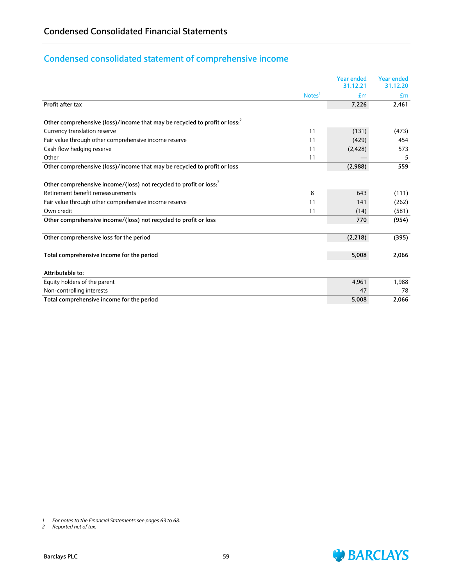# **Condensed consolidated statement of comprehensive income**

|                                                                           |                    | <b>Year ended</b><br>31.12.21 | <b>Year ended</b><br>31.12.20 |
|---------------------------------------------------------------------------|--------------------|-------------------------------|-------------------------------|
|                                                                           | Notes <sup>'</sup> | Em                            | £m                            |
| Profit after tax                                                          |                    | 7,226                         | 2,461                         |
| Other comprehensive (loss)/income that may be recycled to profit or loss: |                    |                               |                               |
| Currency translation reserve                                              | 11                 | (131)                         | (473)                         |
| Fair value through other comprehensive income reserve                     | 11                 | (429)                         | 454                           |
| Cash flow hedging reserve                                                 | 11                 | (2, 428)                      | 573                           |
| Other                                                                     | 11                 |                               | 5                             |
| Other comprehensive (loss)/income that may be recycled to profit or loss  |                    | (2,988)                       | 559                           |
| Other comprehensive income/(loss) not recycled to profit or loss:         |                    |                               |                               |
| Retirement benefit remeasurements                                         | 8                  | 643                           | (111)                         |
| Fair value through other comprehensive income reserve                     | 11                 | 141                           | (262)                         |
| Own credit                                                                | 11                 | (14)                          | (581)                         |
| Other comprehensive income/(loss) not recycled to profit or loss          |                    | 770                           | (954)                         |
| Other comprehensive loss for the period                                   |                    | (2, 218)                      | (395)                         |
| Total comprehensive income for the period                                 |                    | 5,008                         | 2,066                         |
| Attributable to:                                                          |                    |                               |                               |
| Equity holders of the parent                                              |                    | 4,961                         | 1,988                         |
| Non-controlling interests                                                 |                    | 47                            | 78                            |
| Total comprehensive income for the period                                 |                    | 5.008                         | 2,066                         |

*1 For notes to the Financial Statements see pages 63 to 68.*

*2 Reported net of tax.*

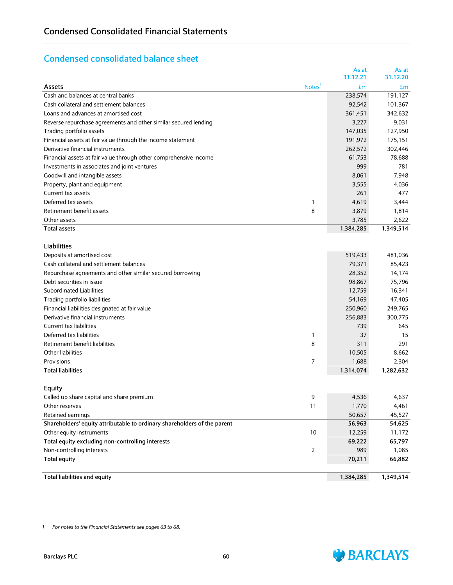# **Condensed consolidated balance sheet**

|                                                                          |                    | As at     | As at     |
|--------------------------------------------------------------------------|--------------------|-----------|-----------|
|                                                                          |                    | 31.12.21  | 31.12.20  |
| Assets                                                                   | Notes <sup>'</sup> | £m        | £m        |
| Cash and balances at central banks                                       |                    | 238,574   | 191,127   |
| Cash collateral and settlement balances                                  |                    | 92,542    | 101,367   |
| Loans and advances at amortised cost                                     |                    | 361,451   | 342,632   |
| Reverse repurchase agreements and other similar secured lending          |                    | 3,227     | 9,031     |
| Trading portfolio assets                                                 |                    | 147,035   | 127,950   |
| Financial assets at fair value through the income statement              |                    | 191,972   | 175,151   |
| Derivative financial instruments                                         |                    | 262,572   | 302,446   |
| Financial assets at fair value through other comprehensive income        |                    | 61,753    | 78,688    |
| Investments in associates and joint ventures                             |                    | 999       | 781       |
| Goodwill and intangible assets                                           |                    | 8,061     | 7,948     |
| Property, plant and equipment                                            |                    | 3,555     | 4,036     |
| Current tax assets                                                       |                    | 261       | 477       |
| Deferred tax assets                                                      | 1                  | 4,619     | 3,444     |
| Retirement benefit assets                                                | 8                  | 3,879     | 1,814     |
| Other assets                                                             |                    | 3,785     | 2.622     |
| <b>Total assets</b>                                                      |                    | 1,384,285 | 1,349,514 |
|                                                                          |                    |           |           |
| Liabilities                                                              |                    |           |           |
| Deposits at amortised cost                                               |                    | 519,433   | 481,036   |
| Cash collateral and settlement balances                                  |                    | 79,371    | 85,423    |
| Repurchase agreements and other similar secured borrowing                |                    | 28,352    | 14,174    |
| Debt securities in issue                                                 |                    | 98,867    | 75,796    |
| <b>Subordinated Liabilities</b>                                          |                    | 12,759    | 16,341    |
| Trading portfolio liabilities                                            |                    | 54,169    | 47,405    |
| Financial liabilities designated at fair value                           |                    | 250,960   | 249,765   |
| Derivative financial instruments                                         |                    | 256,883   | 300,775   |
| Current tax liabilities                                                  |                    | 739       | 645       |
| Deferred tax liabilities                                                 | 1                  | 37        | 15        |
| Retirement benefit liabilities                                           | 8                  | 311       | 291       |
| Other liabilities                                                        |                    | 10,505    | 8,662     |
| Provisions                                                               | 7                  | 1,688     | 2,304     |
| <b>Total liabilities</b>                                                 |                    | 1,314,074 | 1,282,632 |
|                                                                          |                    |           |           |
| <b>Equity</b>                                                            |                    |           |           |
| Called up share capital and share premium                                | 9                  | 4,536     | 4,637     |
| Other reserves                                                           | 11                 | 1,770     | 4,461     |
| Retained earnings                                                        |                    | 50,657    | 45,527    |
| Shareholders' equity attributable to ordinary shareholders of the parent |                    | 56,963    | 54,625    |
| Other equity instruments                                                 | 10                 | 12,259    | 11,172    |
| Total equity excluding non-controlling interests                         |                    | 69,222    | 65,797    |
| Non-controlling interests                                                | 2                  | 989       | 1,085     |
| <b>Total equity</b>                                                      |                    | 70,211    | 66,882    |
|                                                                          |                    |           |           |
| Total liabilities and equity                                             |                    | 1,384,285 | 1,349,514 |

*1 For notes to the Financial Statements see pages 63 to 68.*

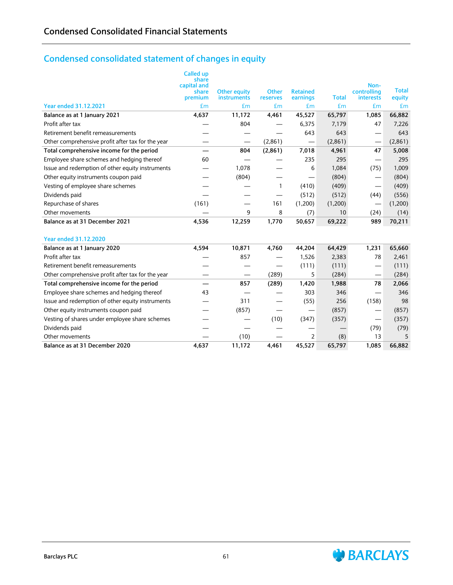# **Condensed consolidated statement of changes in equity**

|                                                   | <b>Called up</b><br>share<br>capital and<br>share<br>premium | <b>Other equity</b><br>instruments | <b>Other</b><br>reserves | <b>Retained</b><br>earnings | <b>Total</b> | Non-<br>controlling<br><b>interests</b> | <b>Total</b><br>equity |
|---------------------------------------------------|--------------------------------------------------------------|------------------------------------|--------------------------|-----------------------------|--------------|-----------------------------------------|------------------------|
| <b>Year ended 31.12.2021</b>                      | £m                                                           | £m                                 | £m                       | £m                          | £m           | £m                                      | £m                     |
| Balance as at 1 January 2021                      | 4,637                                                        | 11,172                             | 4,461                    | 45,527                      | 65,797       | 1,085                                   | 66,882                 |
| Profit after tax                                  |                                                              | 804                                |                          | 6,375                       | 7,179        | 47                                      | 7,226                  |
| Retirement benefit remeasurements                 |                                                              |                                    |                          | 643                         | 643          |                                         | 643                    |
| Other comprehensive profit after tax for the year |                                                              |                                    | (2,861)                  |                             | (2,861)      | $\overline{\phantom{0}}$                | (2,861)                |
| Total comprehensive income for the period         |                                                              | 804                                | (2,861)                  | 7,018                       | 4,961        | 47                                      | 5,008                  |
| Employee share schemes and hedging thereof        | 60                                                           |                                    |                          | 235                         | 295          | $\overline{\phantom{0}}$                | 295                    |
| Issue and redemption of other equity instruments  |                                                              | 1.078                              |                          | 6                           | 1,084        | (75)                                    | 1,009                  |
| Other equity instruments coupon paid              |                                                              | (804)                              |                          |                             | (804)        |                                         | (804)                  |
| Vesting of employee share schemes                 |                                                              |                                    | 1                        | (410)                       | (409)        |                                         | (409)                  |
| Dividends paid                                    |                                                              |                                    |                          | (512)                       | (512)        | (44)                                    | (556)                  |
| Repurchase of shares                              | (161)                                                        |                                    | 161                      | (1,200)                     | (1,200)      | —                                       | (1,200)                |
| Other movements                                   |                                                              | 9                                  | 8                        | (7)                         | 10           | (24)                                    | (14)                   |
| Balance as at 31 December 2021                    | 4,536                                                        | 12,259                             | 1,770                    | 50,657                      | 69,222       | 989                                     | 70,211                 |
| <b>Year ended 31.12.2020</b>                      |                                                              |                                    |                          |                             |              |                                         |                        |
| Balance as at 1 January 2020                      | 4,594                                                        | 10,871                             | 4,760                    | 44,204                      | 64,429       | 1,231                                   | 65,660                 |
| Profit after tax                                  |                                                              | 857                                |                          | 1,526                       | 2,383        | 78                                      | 2,461                  |
| Retirement benefit remeasurements                 |                                                              |                                    |                          | (111)                       | (111)        | —                                       | (111)                  |
| Other comprehensive profit after tax for the year |                                                              | $\overline{\phantom{0}}$           | (289)                    | 5                           | (284)        |                                         | (284)                  |
| Total comprehensive income for the period         |                                                              | 857                                | (289)                    | 1,420                       | 1,988        | 78                                      | 2,066                  |
| Employee share schemes and hedging thereof        | 43                                                           |                                    |                          | 303                         | 346          |                                         | 346                    |
| Issue and redemption of other equity instruments  |                                                              | 311                                |                          | (55)                        | 256          | (158)                                   | 98                     |
| Other equity instruments coupon paid              |                                                              | (857)                              |                          |                             | (857)        | —                                       | (857)                  |
| Vesting of shares under employee share schemes    |                                                              |                                    | (10)                     | (347)                       | (357)        | $\overline{\phantom{0}}$                | (357)                  |
| Dividends paid                                    |                                                              |                                    |                          |                             |              | (79)                                    | (79)                   |
| Other movements                                   |                                                              | (10)                               |                          | $\overline{2}$              | (8)          | 13                                      | 5                      |
| Balance as at 31 December 2020                    | 4,637                                                        | 11,172                             | 4,461                    | 45,527                      | 65,797       | 1,085                                   | 66,882                 |

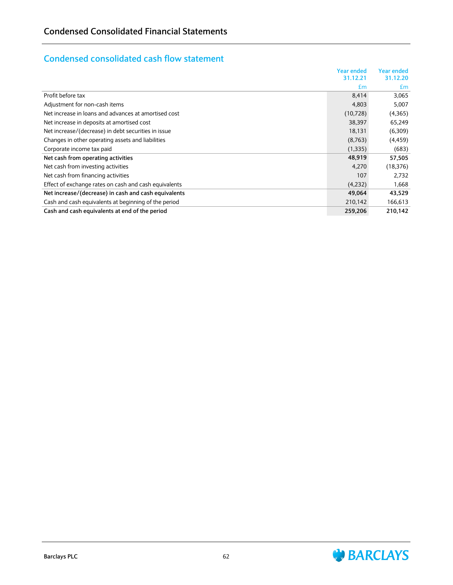# **Condensed consolidated cash flow statement**

|                                                       | <b>Year ended</b> | Year ended |
|-------------------------------------------------------|-------------------|------------|
|                                                       | 31.12.21          | 31.12.20   |
|                                                       | £m                | £m         |
| Profit before tax                                     | 8,414             | 3,065      |
| Adjustment for non-cash items                         | 4,803             | 5,007      |
| Net increase in loans and advances at amortised cost  | (10, 728)         | (4,365)    |
| Net increase in deposits at amortised cost            | 38,397            | 65,249     |
| Net increase/(decrease) in debt securities in issue   | 18,131            | (6,309)    |
| Changes in other operating assets and liabilities     | (8,763)           | (4, 459)   |
| Corporate income tax paid                             | (1, 335)          | (683)      |
| Net cash from operating activities                    | 48,919            | 57,505     |
| Net cash from investing activities                    | 4,270             | (18, 376)  |
| Net cash from financing activities                    | 107               | 2,732      |
| Effect of exchange rates on cash and cash equivalents | (4,232)           | 1,668      |
| Net increase/(decrease) in cash and cash equivalents  | 49,064            | 43,529     |
| Cash and cash equivalents at beginning of the period  | 210,142           | 166,613    |
| Cash and cash equivalents at end of the period        | 259,206           | 210,142    |

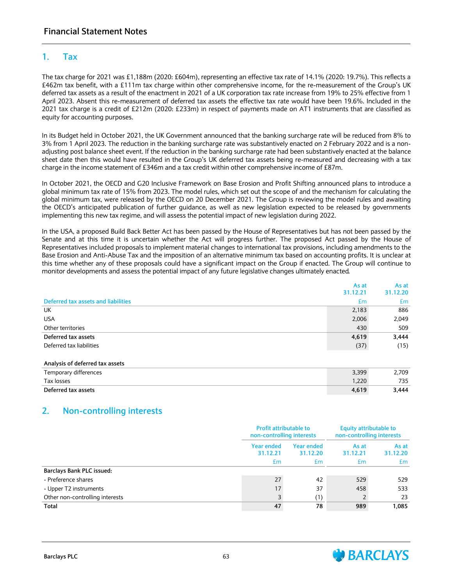## **1. Tax**

The tax charge for 2021 was £1,188m (2020: £604m), representing an effective tax rate of 14.1% (2020: 19.7%). This reflects a £462m tax benefit, with a £111m tax charge within other comprehensive income, for the re-measurement of the Group's UK deferred tax assets as a result of the enactment in 2021 of a UK corporation tax rate increase from 19% to 25% effective from 1 April 2023. Absent this re-measurement of deferred tax assets the effective tax rate would have been 19.6%. Included in the 2021 tax charge is a credit of £212m (2020: £233m) in respect of payments made on AT1 instruments that are classified as equity for accounting purposes.

In its Budget held in October 2021, the UK Government announced that the banking surcharge rate will be reduced from 8% to 3% from 1 April 2023. The reduction in the banking surcharge rate was substantively enacted on 2 February 2022 and is a nonadjusting post balance sheet event. If the reduction in the banking surcharge rate had been substantively enacted at the balance sheet date then this would have resulted in the Group's UK deferred tax assets being re-measured and decreasing with a tax charge in the income statement of £346m and a tax credit within other comprehensive income of £87m.

In October 2021, the OECD and G20 Inclusive Framework on Base Erosion and Profit Shifting announced plans to introduce a global minimum tax rate of 15% from 2023. The model rules, which set out the scope of and the mechanism for calculating the global minimum tax, were released by the OECD on 20 December 2021. The Group is reviewing the model rules and awaiting the OECD's anticipated publication of further guidance, as well as new legislation expected to be released by governments implementing this new tax regime, and will assess the potential impact of new legislation during 2022.

In the USA, a proposed Build Back Better Act has been passed by the House of Representatives but has not been passed by the Senate and at this time it is uncertain whether the Act will progress further. The proposed Act passed by the House of Representatives included proposals to implement material changes to international tax provisions, including amendments to the Base Erosion and Anti-Abuse Tax and the imposition of an alternative minimum tax based on accounting profits. It is unclear at this time whether any of these proposals could have a significant impact on the Group if enacted. The Group will continue to monitor developments and assess the potential impact of any future legislative changes ultimately enacted*.* 

|                                     | As at    | As at    |
|-------------------------------------|----------|----------|
|                                     | 31.12.21 | 31.12.20 |
| Deferred tax assets and liabilities | £m       | £m       |
| UK                                  | 2,183    | 886      |
| <b>USA</b>                          | 2,006    | 2,049    |
| Other territories                   | 430      | 509      |
| Deferred tax assets                 | 4,619    | 3,444    |
| Deferred tax liabilities            | (37)     | (15)     |
| Analysis of deferred tax assets     |          |          |
| Temporary differences               | 3,399    | 2,709    |
| Tax losses                          | 1,220    | 735      |
| Deferred tax assets                 | 4,619    | 3.444    |

## **2. Non-controlling interests**

|                                 | <b>Profit attributable to</b><br>non-controlling interests |                        | <b>Equity attributable to</b><br>non-controlling interests |                   |
|---------------------------------|------------------------------------------------------------|------------------------|------------------------------------------------------------|-------------------|
|                                 | Year ended<br>31.12.21                                     | Year ended<br>31.12.20 | As at<br>31.12.21                                          | As at<br>31.12.20 |
|                                 | £m                                                         | £m                     | £m                                                         | £m                |
| Barclays Bank PLC issued:       |                                                            |                        |                                                            |                   |
| - Preference shares             | 27                                                         | 42                     | 529                                                        | 529               |
| - Upper T2 instruments          | 17                                                         | 37                     | 458                                                        | 533               |
| Other non-controlling interests | 3                                                          | (1)                    |                                                            | 23                |
| Total                           | 47                                                         | 78                     | 989                                                        | 1.085             |

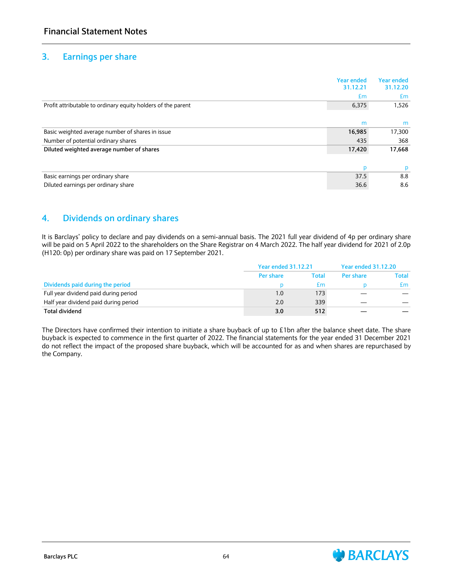## **3. Earnings per share**

|                                                              | <b>Year ended</b><br>31.12.21 | Year ended<br>31.12.20 |
|--------------------------------------------------------------|-------------------------------|------------------------|
|                                                              | £m                            | £m                     |
| Profit attributable to ordinary equity holders of the parent | 6,375                         | 1,526                  |
|                                                              |                               |                        |
|                                                              | m                             | m                      |
| Basic weighted average number of shares in issue             | 16,985                        | 17,300                 |
| Number of potential ordinary shares                          | 435                           | 368                    |
| Diluted weighted average number of shares                    | 17,420                        | 17,668                 |
|                                                              |                               |                        |
|                                                              |                               | p                      |
| Basic earnings per ordinary share                            | 37.5                          | 8.8                    |
| Diluted earnings per ordinary share                          | 36.6                          | 8.6                    |
|                                                              |                               |                        |

# **4. Dividends on ordinary shares**

It is Barclays' policy to declare and pay dividends on a semi-annual basis. The 2021 full year dividend of 4p per ordinary share will be paid on 5 April 2022 to the shareholders on the Share Registrar on 4 March 2022. The half year dividend for 2021 of 2.0p (H120: 0p) per ordinary share was paid on 17 September 2021.

|                                       | <b>Year ended 31.12.21</b> |                         | <b>Year ended 31.12.20</b> |              |
|---------------------------------------|----------------------------|-------------------------|----------------------------|--------------|
|                                       | Per share                  | Total                   | Per share                  | <b>Total</b> |
| Dividends paid during the period      |                            | <b><i><u>tm</u></i></b> |                            | £m           |
| Full year dividend paid during period | 1.0                        | 173                     |                            |              |
| Half year dividend paid during period | 2.0                        | 339                     |                            |              |
| <b>Total dividend</b>                 | 3.0                        | 512                     |                            |              |

The Directors have confirmed their intention to initiate a share buyback of up to £1bn after the balance sheet date. The share buyback is expected to commence in the first quarter of 2022. The financial statements for the year ended 31 December 2021 do not reflect the impact of the proposed share buyback, which will be accounted for as and when shares are repurchased by the Company.

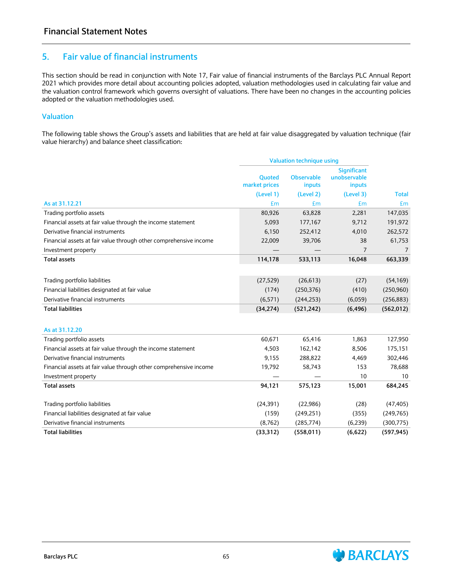## **5. Fair value of financial instruments**

This section should be read in conjunction with Note 17, Fair value of financial instruments of the Barclays PLC Annual Report 2021 which provides more detail about accounting policies adopted, valuation methodologies used in calculating fair value and the valuation control framework which governs oversight of valuations. There have been no changes in the accounting policies adopted or the valuation methodologies used.

### **Valuation**

The following table shows the Group's assets and liabilities that are held at fair value disaggregated by valuation technique (fair value hierarchy) and balance sheet classification:

|                                                                   |                                | <b>Valuation technique using</b> |                                              |              |  |
|-------------------------------------------------------------------|--------------------------------|----------------------------------|----------------------------------------------|--------------|--|
|                                                                   | <b>Ouoted</b><br>market prices | <b>Observable</b><br>inputs      | <b>Significant</b><br>unobservable<br>inputs |              |  |
|                                                                   | (Level 1)                      | (Level 2)                        | (Level 3)                                    | <b>Total</b> |  |
| As at 31.12.21                                                    | £m                             | £m                               | £m                                           | £m           |  |
| Trading portfolio assets                                          | 80,926                         | 63,828                           | 2,281                                        | 147,035      |  |
| Financial assets at fair value through the income statement       | 5.093                          | 177,167                          | 9,712                                        | 191,972      |  |
| Derivative financial instruments                                  | 6,150                          | 252,412                          | 4,010                                        | 262,572      |  |
| Financial assets at fair value through other comprehensive income | 22,009                         | 39,706                           | 38                                           | 61,753       |  |
| Investment property                                               |                                |                                  | $\overline{7}$                               | 7            |  |
| <b>Total assets</b>                                               | 114,178                        | 533,113                          | 16,048                                       | 663,339      |  |
|                                                                   |                                |                                  |                                              |              |  |
| Trading portfolio liabilities                                     | (27, 529)                      | (26, 613)                        | (27)                                         | (54, 169)    |  |
| Financial liabilities designated at fair value                    | (174)                          | (250, 376)                       | (410)                                        | (250,960)    |  |
| Derivative financial instruments                                  | (6, 571)                       | (244, 253)                       | (6,059)                                      | (256, 883)   |  |
| <b>Total liabilities</b>                                          | (34, 274)                      | (521, 242)                       | (6, 496)                                     | (562, 012)   |  |
|                                                                   |                                |                                  |                                              |              |  |
| As at 31.12.20                                                    |                                |                                  |                                              |              |  |
| Trading portfolio assets                                          | 60,671                         | 65,416                           | 1,863                                        | 127,950      |  |
| Financial assets at fair value through the income statement       | 4,503                          | 162,142                          | 8,506                                        | 175,151      |  |
| Derivative financial instruments                                  | 9,155                          | 288,822                          | 4,469                                        | 302,446      |  |
| Financial assets at fair value through other comprehensive income | 19,792                         | 58,743                           | 153                                          | 78,688       |  |
| Investment property                                               |                                |                                  | 10                                           | 10           |  |
| <b>Total assets</b>                                               | 94,121                         | 575,123                          | 15,001                                       | 684,245      |  |
|                                                                   |                                |                                  |                                              |              |  |
| Trading portfolio liabilities                                     | (24, 391)                      | (22,986)                         | (28)                                         | (47, 405)    |  |
| Financial liabilities designated at fair value                    | (159)                          | (249, 251)                       | (355)                                        | (249, 765)   |  |
| Derivative financial instruments                                  | (8, 762)                       | (285, 774)                       | (6,239)                                      | (300, 775)   |  |
| <b>Total liabilities</b>                                          | (33,312)                       | (558, 011)                       | (6,622)                                      | (597, 945)   |  |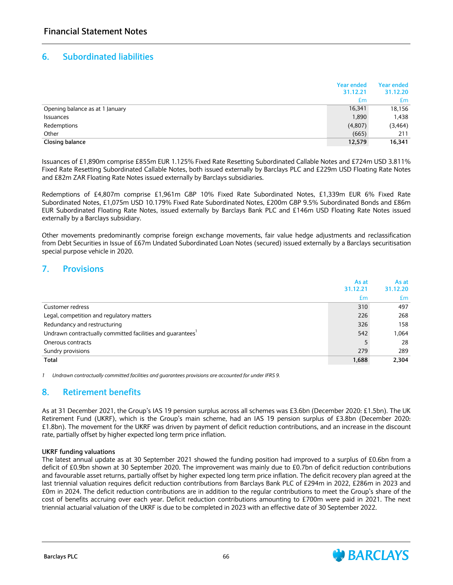## **6. Subordinated liabilities**

|                                 | <b>Year ended</b><br>31.12.21 | <b>Year ended</b><br>31.12.20 |
|---------------------------------|-------------------------------|-------------------------------|
|                                 | £m                            | £m                            |
| Opening balance as at 1 January | 16,341                        | 18,156                        |
| Issuances                       | 1,890                         | 1,438                         |
| Redemptions                     | (4,807)                       | (3, 464)                      |
| Other                           | (665)                         | 211                           |
| Closing balance                 | 12,579                        | 16.341                        |

Issuances of £1,890m comprise £855m EUR 1.125% Fixed Rate Resetting Subordinated Callable Notes and £724m USD 3.811% Fixed Rate Resetting Subordinated Callable Notes, both issued externally by Barclays PLC and £229m USD Floating Rate Notes and £82m ZAR Floating Rate Notes issued externally by Barclays subsidiaries.

Redemptions of £4,807m comprise £1,961m GBP 10% Fixed Rate Subordinated Notes, £1,339m EUR 6% Fixed Rate Subordinated Notes, £1,075m USD 10.179% Fixed Rate Subordinated Notes, £200m GBP 9.5% Subordinated Bonds and £86m EUR Subordinated Floating Rate Notes, issued externally by Barclays Bank PLC and £146m USD Floating Rate Notes issued externally by a Barclays subsidiary.

Other movements predominantly comprise foreign exchange movements, fair value hedge adjustments and reclassification from Debt Securities in Issue of £67m Undated Subordinated Loan Notes (secured) issued externally by a Barclays securitisation special purpose vehicle in 2020.

## **7. Provisions**

|                                                                        | As at    | As at    |
|------------------------------------------------------------------------|----------|----------|
|                                                                        | 31.12.21 | 31.12.20 |
|                                                                        | £m       | £m       |
| Customer redress                                                       | 310      | 497      |
| Legal, competition and regulatory matters                              | 226      | 268      |
| Redundancy and restructuring                                           | 326      | 158      |
| Undrawn contractually committed facilities and guarantees <sup>1</sup> | 542      | 1,064    |
| Onerous contracts                                                      | 5        | 28       |
| Sundry provisions                                                      | 279      | 289      |
| Total                                                                  | 1,688    | 2,304    |

*1 Undrawn contractually committed facilities and guarantees provisions are accounted for under IFRS 9.*

## **8. Retirement benefits**

As at 31 December 2021, the Group's IAS 19 pension surplus across all schemes was £3.6bn (December 2020: £1.5bn). The UK Retirement Fund (UKRF), which is the Group's main scheme, had an IAS 19 pension surplus of £3.8bn (December 2020: £1.8bn). The movement for the UKRF was driven by payment of deficit reduction contributions, and an increase in the discount rate, partially offset by higher expected long term price inflation.

#### **UKRF funding valuations**

The latest annual update as at 30 September 2021 showed the funding position had improved to a surplus of £0.6bn from a deficit of £0.9bn shown at 30 September 2020. The improvement was mainly due to £0.7bn of deficit reduction contributions and favourable asset returns, partially offset by higher expected long term price inflation. The deficit recovery plan agreed at the last triennial valuation requires deficit reduction contributions from Barclays Bank PLC of £294m in 2022, £286m in 2023 and £0m in 2024. The deficit reduction contributions are in addition to the regular contributions to meet the Group's share of the cost of benefits accruing over each year. Deficit reduction contributions amounting to £700m were paid in 2021. The next triennial actuarial valuation of the UKRF is due to be completed in 2023 with an effective date of 30 September 2022.



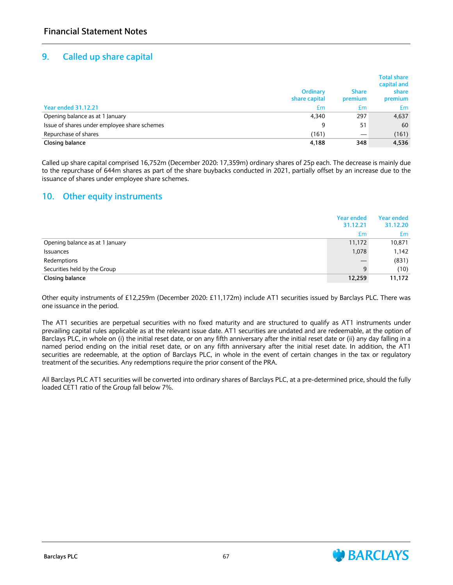## **9. Called up share capital**

|                                              | Ordinary<br>share capital | <b>Share</b><br>premium | <b>Total share</b><br>capital and<br>share<br>premium |
|----------------------------------------------|---------------------------|-------------------------|-------------------------------------------------------|
| <b>Year ended 31.12.21</b>                   | £m                        | £m                      | £m                                                    |
| Opening balance as at 1 January              | 4.340                     | 297                     | 4,637                                                 |
| Issue of shares under employee share schemes | 9                         | 51                      | 60                                                    |
| Repurchase of shares                         | (161)                     |                         | (161)                                                 |
| Closing balance                              | 4,188                     | 348                     | 4,536                                                 |

Called up share capital comprised 16,752m (December 2020: 17,359m) ordinary shares of 25p each. The decrease is mainly due to the repurchase of 644m shares as part of the share buybacks conducted in 2021, partially offset by an increase due to the issuance of shares under employee share schemes.

## **10. Other equity instruments**

|                                 | <b>Year ended</b><br>31.12.21 | Year ended<br>31.12.20 |
|---------------------------------|-------------------------------|------------------------|
|                                 | £m                            | £m                     |
| Opening balance as at 1 January | 11,172                        | 10,871                 |
| Issuances                       | 1,078                         | 1,142                  |
| Redemptions                     |                               | (831)                  |
| Securities held by the Group    | 9                             | (10)                   |
| Closing balance                 | 12,259                        | 11,172                 |

Other equity instruments of £12,259m (December 2020: £11,172m) include AT1 securities issued by Barclays PLC. There was one issuance in the period.

The AT1 securities are perpetual securities with no fixed maturity and are structured to qualify as AT1 instruments under prevailing capital rules applicable as at the relevant issue date. AT1 securities are undated and are redeemable, at the option of Barclays PLC, in whole on (i) the initial reset date, or on any fifth anniversary after the initial reset date or (ii) any day falling in a named period ending on the initial reset date, or on any fifth anniversary after the initial reset date. In addition, the AT1 securities are redeemable, at the option of Barclays PLC, in whole in the event of certain changes in the tax or regulatory treatment of the securities. Any redemptions require the prior consent of the PRA.

All Barclays PLC AT1 securities will be converted into ordinary shares of Barclays PLC, at a pre-determined price, should the fully loaded CET1 ratio of the Group fall below 7%.

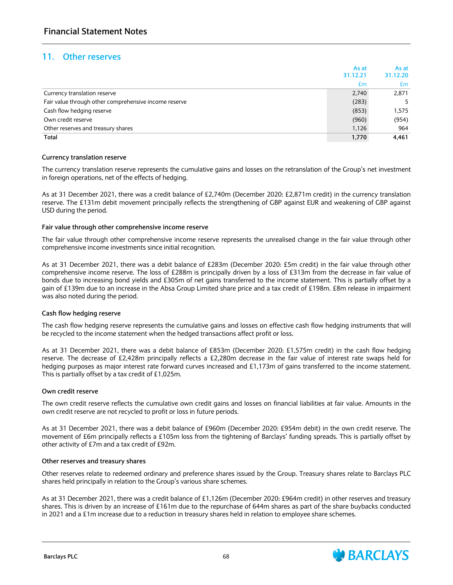## **11. Other reserves**

|                                                       | As at<br>31.12.21 |       |
|-------------------------------------------------------|-------------------|-------|
|                                                       |                   |       |
|                                                       | £m                | Em    |
| Currency translation reserve                          | 2,740             | 2,871 |
| Fair value through other comprehensive income reserve | (283)             | 5.    |
| Cash flow hedging reserve                             | (853)             | 1,575 |
| Own credit reserve                                    | (960)             | (954) |
| Other reserves and treasury shares                    | 1,126             | 964   |
| Total                                                 | 1,770             | 4,461 |

#### **Currency translation reserve**

The currency translation reserve represents the cumulative gains and losses on the retranslation of the Group's net investment in foreign operations, net of the effects of hedging.

As at 31 December 2021, there was a credit balance of £2,740m (December 2020: £2,871m credit) in the currency translation reserve. The £131m debit movement principally reflects the strengthening of GBP against EUR and weakening of GBP against USD during the period.

#### **Fair value through other comprehensive income reserve**

The fair value through other comprehensive income reserve represents the unrealised change in the fair value through other comprehensive income investments since initial recognition.

As at 31 December 2021, there was a debit balance of £283m (December 2020: £5m credit) in the fair value through other comprehensive income reserve. The loss of £288m is principally driven by a loss of £313m from the decrease in fair value of bonds due to increasing bond yields and £305m of net gains transferred to the income statement. This is partially offset by a gain of £139m due to an increase in the Absa Group Limited share price and a tax credit of £198m. £8m release in impairment was also noted during the period.

#### **Cash flow hedging reserve**

The cash flow hedging reserve represents the cumulative gains and losses on effective cash flow hedging instruments that will be recycled to the income statement when the hedged transactions affect profit or loss.

As at 31 December 2021, there was a debit balance of £853m (December 2020: £1,575m credit) in the cash flow hedging reserve. The decrease of £2,428m principally reflects a £2,280m decrease in the fair value of interest rate swaps held for hedging purposes as major interest rate forward curves increased and £1,173m of gains transferred to the income statement. This is partially offset by a tax credit of £1,025m.

#### **Own credit reserve**

The own credit reserve reflects the cumulative own credit gains and losses on financial liabilities at fair value. Amounts in the own credit reserve are not recycled to profit or loss in future periods.

As at 31 December 2021, there was a debit balance of £960m (December 2020: £954m debit) in the own credit reserve. The movement of £6m principally reflects a £105m loss from the tightening of Barclays' funding spreads. This is partially offset by other activity of £7m and a tax credit of £92m.

#### **Other reserves and treasury shares**

Other reserves relate to redeemed ordinary and preference shares issued by the Group. Treasury shares relate to Barclays PLC shares held principally in relation to the Group's various share schemes.

As at 31 December 2021, there was a credit balance of £1,126m (December 2020: £964m credit) in other reserves and treasury shares. This is driven by an increase of £161m due to the repurchase of 644m shares as part of the share buybacks conducted in 2021 and a £1m increase due to a reduction in treasury shares held in relation to employee share schemes.



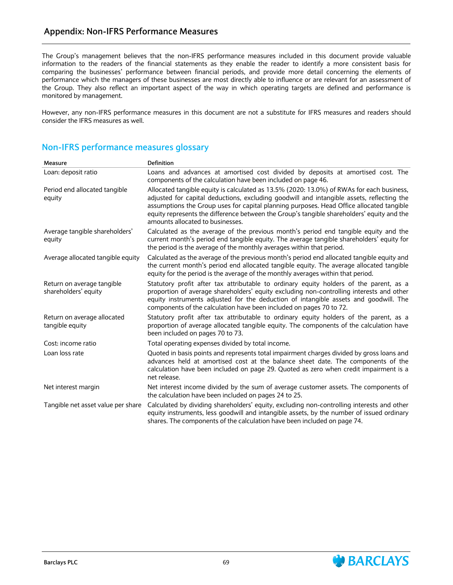## **Appendix: Non-IFRS Performance Measures**

The Group's management believes that the non-IFRS performance measures included in this document provide valuable information to the readers of the financial statements as they enable the reader to identify a more consistent basis for comparing the businesses' performance between financial periods, and provide more detail concerning the elements of performance which the managers of these businesses are most directly able to influence or are relevant for an assessment of the Group. They also reflect an important aspect of the way in which operating targets are defined and performance is monitored by management.

However, any non-IFRS performance measures in this document are not a substitute for IFRS measures and readers should consider the IFRS measures as well.

# **Non-IFRS performance measures glossary**

| Measure                                            | <b>Definition</b>                                                                                                                                                                                                                                                                                                                                                                                                    |
|----------------------------------------------------|----------------------------------------------------------------------------------------------------------------------------------------------------------------------------------------------------------------------------------------------------------------------------------------------------------------------------------------------------------------------------------------------------------------------|
| Loan: deposit ratio                                | Loans and advances at amortised cost divided by deposits at amortised cost. The<br>components of the calculation have been included on page 46.                                                                                                                                                                                                                                                                      |
| Period end allocated tangible<br>equity            | Allocated tangible equity is calculated as 13.5% (2020: 13.0%) of RWAs for each business,<br>adjusted for capital deductions, excluding goodwill and intangible assets, reflecting the<br>assumptions the Group uses for capital planning purposes. Head Office allocated tangible<br>equity represents the difference between the Group's tangible shareholders' equity and the<br>amounts allocated to businesses. |
| Average tangible shareholders'<br>equity           | Calculated as the average of the previous month's period end tangible equity and the<br>current month's period end tangible equity. The average tangible shareholders' equity for<br>the period is the average of the monthly averages within that period.                                                                                                                                                           |
| Average allocated tangible equity                  | Calculated as the average of the previous month's period end allocated tangible equity and<br>the current month's period end allocated tangible equity. The average allocated tangible<br>equity for the period is the average of the monthly averages within that period.                                                                                                                                           |
| Return on average tangible<br>shareholders' equity | Statutory profit after tax attributable to ordinary equity holders of the parent, as a<br>proportion of average shareholders' equity excluding non-controlling interests and other<br>equity instruments adjusted for the deduction of intangible assets and goodwill. The<br>components of the calculation have been included on pages 70 to 72.                                                                    |
| Return on average allocated<br>tangible equity     | Statutory profit after tax attributable to ordinary equity holders of the parent, as a<br>proportion of average allocated tangible equity. The components of the calculation have<br>been included on pages 70 to 73.                                                                                                                                                                                                |
| Cost: income ratio                                 | Total operating expenses divided by total income.                                                                                                                                                                                                                                                                                                                                                                    |
| Loan loss rate                                     | Quoted in basis points and represents total impairment charges divided by gross loans and<br>advances held at amortised cost at the balance sheet date. The components of the<br>calculation have been included on page 29. Quoted as zero when credit impairment is a<br>net release.                                                                                                                               |
| Net interest margin                                | Net interest income divided by the sum of average customer assets. The components of<br>the calculation have been included on pages 24 to 25.                                                                                                                                                                                                                                                                        |
| Tangible net asset value per share                 | Calculated by dividing shareholders' equity, excluding non-controlling interests and other<br>equity instruments, less goodwill and intangible assets, by the number of issued ordinary<br>shares. The components of the calculation have been included on page 74.                                                                                                                                                  |

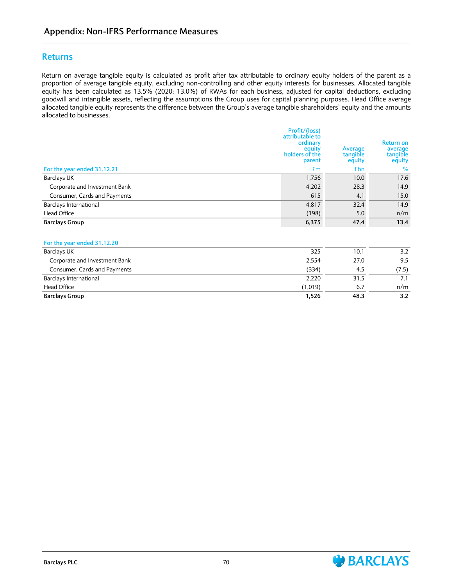## **Returns**

Return on average tangible equity is calculated as profit after tax attributable to ordinary equity holders of the parent as a proportion of average tangible equity, excluding non-controlling and other equity interests for businesses. Allocated tangible equity has been calculated as 13.5% (2020: 13.0%) of RWAs for each business, adjusted for capital deductions, excluding goodwill and intangible assets, reflecting the assumptions the Group uses for capital planning purposes. Head Office average allocated tangible equity represents the difference between the Group's average tangible shareholders' equity and the amounts allocated to businesses.

|                               | Profit/(loss)<br>attributable to<br>ordinary<br>equity<br>holders of the<br>parent | Average<br>tangible<br>equity | <b>Return on</b><br>average<br>tangible<br>equity |
|-------------------------------|------------------------------------------------------------------------------------|-------------------------------|---------------------------------------------------|
| For the year ended 31.12.21   | £m                                                                                 | £bn                           | %                                                 |
| <b>Barclays UK</b>            | 1,756                                                                              | 10.0                          | 17.6                                              |
| Corporate and Investment Bank | 4,202                                                                              | 28.3                          | 14.9                                              |
| Consumer, Cards and Payments  | 615                                                                                | 4.1                           | 15.0                                              |
| Barclays International        | 4,817                                                                              | 32.4                          | 14.9                                              |
| <b>Head Office</b>            | (198)                                                                              | 5.0                           | n/m                                               |
| <b>Barclays Group</b>         | 6,375                                                                              | 47.4                          | 13.4                                              |

### **For the year ended 31.12.20** Barclays UK 325 10.1 3.2 September 2014 12:38:39 10.1 3.2 September 2014 12:38:39 10.1 3.2 September 2014 13:3 Corporate and Investment Bank 2,554 27.0 9.5 Consumer, Cards and Payments (334) 4.5 (7.5) Barclays International 2,220 31.5 7.1 Head Office (1,019) 6.7 n/m **Barclays Group 1,526 48.3 3.2**

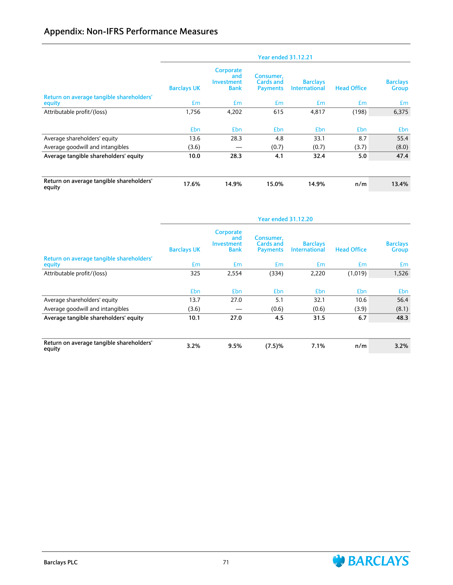|                                                    |                    |                                                      | <b>Year ended 31.12.21</b>                       |                                         |                    |                          |
|----------------------------------------------------|--------------------|------------------------------------------------------|--------------------------------------------------|-----------------------------------------|--------------------|--------------------------|
|                                                    | <b>Barclays UK</b> | Corporate<br>and<br><b>Investment</b><br><b>Bank</b> | Consumer,<br><b>Cards and</b><br><b>Payments</b> | <b>Barclays</b><br><b>International</b> | <b>Head Office</b> | <b>Barclays</b><br>Group |
| Return on average tangible shareholders'<br>equity | £m                 | Em                                                   | £m                                               | £m                                      | Em                 | £m                       |
| Attributable profit/(loss)                         | 1.756              | 4,202                                                | 615                                              | 4,817                                   | (198)              | 6,375                    |
|                                                    | <b>£</b> bn        | £ <sub>bn</sub>                                      | £bn                                              | <b>£bn</b>                              | <b>£bn</b>         | £bn                      |
| Average shareholders' equity                       | 13.6               | 28.3                                                 | 4.8                                              | 33.1                                    | 8.7                | 55.4                     |
| Average goodwill and intangibles                   | (3.6)              |                                                      | (0.7)                                            | (0.7)                                   | (3.7)              | (8.0)                    |
| Average tangible shareholders' equity              | 10.0               | 28.3                                                 | 4.1                                              | 32.4                                    | 5.0                | 47.4                     |
| Return on average tangible shareholders'<br>equity | 17.6%              | 14.9%                                                | 15.0%                                            | 14.9%                                   | n/m                | 13.4%                    |

|                                                    | <b>Barclays UK</b> | Corporate<br>and<br><b>Investment</b><br><b>Bank</b> | Consumer,<br><b>Cards and</b><br><b>Payments</b> | <b>Barclays</b><br><b>International</b> | <b>Head Office</b> | <b>Barclays</b><br><b>Group</b> |
|----------------------------------------------------|--------------------|------------------------------------------------------|--------------------------------------------------|-----------------------------------------|--------------------|---------------------------------|
| Return on average tangible shareholders'<br>equity | Em                 | £m                                                   | £m                                               | £m                                      | £m                 | £m                              |
| Attributable profit/(loss)                         | 325                | 2,554                                                | (334)                                            | 2,220                                   | (1,019)            | 1,526                           |
|                                                    | £bn                | £bn                                                  | <b>£bn</b>                                       | <b>£bn</b>                              | £bn                | <b>£bn</b>                      |
| Average shareholders' equity                       | 13.7               | 27.0                                                 | 5.1                                              | 32.1                                    | 10.6               | 56.4                            |
| Average goodwill and intangibles                   | (3.6)              |                                                      | (0.6)                                            | (0.6)                                   | (3.9)              | (8.1)                           |
| Average tangible shareholders' equity              | 10.1               | 27.0                                                 | 4.5                                              | 31.5                                    | 6.7                | 48.3                            |
| Return on average tangible shareholders'<br>equity | 3.2%               | 9.5%                                                 | (7.5)%                                           | 7.1%                                    | n/m                | 3.2%                            |

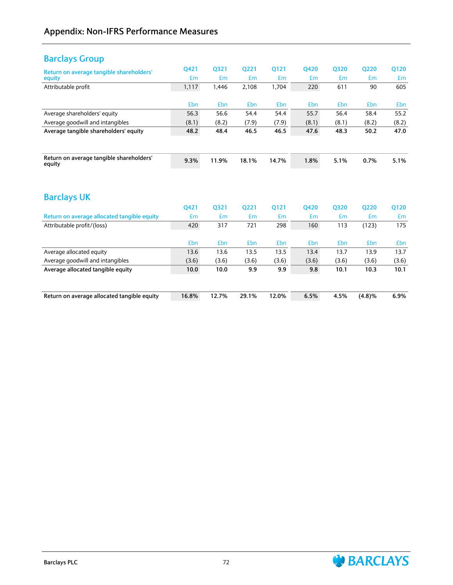## **Barclays Group**

| Return on average tangible shareholders'           | Q421  | Q321  | Q221  | Q121  | Q420  | Q320  | Q220  | Q120  |
|----------------------------------------------------|-------|-------|-------|-------|-------|-------|-------|-------|
| equity                                             | £m    | £m    | Em    | £m    | £m    | £m    | £m    | £m    |
| Attributable profit                                | 1,117 | 1.446 | 2.108 | 1.704 | 220   | 611   | 90    | 605   |
|                                                    |       |       |       |       |       |       |       |       |
|                                                    | £bn   | £bn   | £bn   | £bn   | £bn   | £bn   | £bn   | £bn   |
| Average shareholders' equity                       | 56.3  | 56.6  | 54.4  | 54.4  | 55.7  | 56.4  | 58.4  | 55.2  |
| Average goodwill and intangibles                   | (8.1) | (8.2) | (7.9) | (7.9) | (8.1) | (8.1) | (8.2) | (8.2) |
| Average tangible shareholders' equity              | 48.2  | 48.4  | 46.5  | 46.5  | 47.6  | 48.3  | 50.2  | 47.0  |
|                                                    |       |       |       |       |       |       |       |       |
|                                                    |       |       |       |       |       |       |       |       |
| Return on average tangible shareholders'<br>equity | 9.3%  | 11.9% | 18.1% | 14.7% | 1.8%  | 5.1%  | 0.7%  | 5.1%  |

# **Barclays UK**

|                                             | 0421  | 0321  | 0221  | 0121  | 0420       | 0320  | 0220   | Q120  |
|---------------------------------------------|-------|-------|-------|-------|------------|-------|--------|-------|
| Return on average allocated tangible equity | £m    | £m    | £m    | £m    | £m         | £m    | £m     | £m    |
| Attributable profit/(loss)                  | 420   | 317   | 721   | 298   | 160        | 113   | (123)  | 175   |
|                                             |       |       |       |       |            |       |        |       |
|                                             | £bn   | £bn   | £bn   | £bn   | <b>£bn</b> | £bn   | £bn    | £bn   |
| Average allocated equity                    | 13.6  | 13.6  | 13.5  | 13.5  | 13.4       | 13.7  | 13.9   | 13.7  |
| Average goodwill and intangibles            | (3.6) | (3.6) | (3.6) | (3.6) | (3.6)      | (3.6) | (3.6)  | (3.6) |
| Average allocated tangible equity           | 10.0  | 10.0  | 9.9   | 9.9   | 9.8        | 10.1  | 10.3   | 10.1  |
|                                             |       |       |       |       |            |       |        |       |
|                                             |       |       |       |       |            |       |        |       |
| Return on average allocated tangible equity | 16.8% | 12.7% | 29.1% | 12.0% | 6.5%       | 4.5%  | (4.8)% | 6.9%  |
|                                             |       |       |       |       |            |       |        |       |

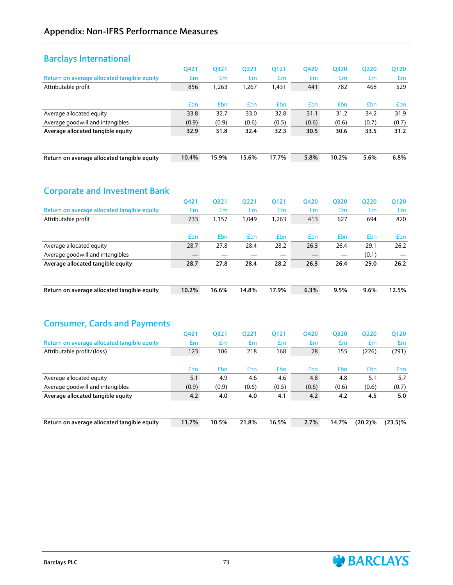### **Barclays International**

|                                             | Q421  | 0321  | 0221  | Q121  | 0420  | 0320  | 0220  | Q120  |
|---------------------------------------------|-------|-------|-------|-------|-------|-------|-------|-------|
| Return on average allocated tangible equity | £m    | £m    | £m    | £m    | £m    | £m    | £m    | £m    |
| Attributable profit                         | 856   | 1,263 | 1.267 | 1,431 | 441   | 782   | 468   | 529   |
|                                             |       |       |       |       |       |       |       |       |
|                                             | £bn   | £bn   | £bn   | £bn   | £bn   | £bn   | £bn   | £bn   |
| Average allocated equity                    | 33.8  | 32.7  | 33.0  | 32.8  | 31.1  | 31.2  | 34.2  | 31.9  |
| Average goodwill and intangibles            | (0.9) | (0.9) | (0.6) | (0.5) | (0.6) | (0.6) | (0.7) | (0.7) |
| Average allocated tangible equity           | 32.9  | 31.8  | 32.4  | 32.3  | 30.5  | 30.6  | 33.5  | 31.2  |
|                                             |       |       |       |       |       |       |       |       |
|                                             |       |       |       |       |       |       |       |       |
| Return on average allocated tangible equity | 10.4% | 15.9% | 15.6% | 17.7% | 5.8%  | 10.2% | 5.6%  | 6.8%  |

### **Corporate and Investment Bank**

|                                             | Q421  | Q321  | Q221  | Q121  | 0420       | Q320       | Q220  | Q120  |
|---------------------------------------------|-------|-------|-------|-------|------------|------------|-------|-------|
| Return on average allocated tangible equity | £m    | £m    | £m    | £m    | £m         | £m         | £m    | £m    |
| Attributable profit                         | 733   | 1,157 | 1.049 | 1,263 | 413        | 627        | 694   | 820   |
|                                             |       |       |       |       |            |            |       |       |
|                                             | £bn   | £bn   | £bn   | £bn   | <b>£bn</b> | <b>£bn</b> | £bn   | £bn   |
| Average allocated equity                    | 28.7  | 27.8  | 28.4  | 28.2  | 26.3       | 26.4       | 29.1  | 26.2  |
| Average goodwill and intangibles            |       |       |       |       |            |            | (0.1) |       |
| Average allocated tangible equity           | 28.7  | 27.8  | 28.4  | 28.2  | 26.3       | 26.4       | 29.0  | 26.2  |
|                                             |       |       |       |       |            |            |       |       |
|                                             |       |       |       |       |            |            |       |       |
| Return on average allocated tangible equity | 10.2% | 16.6% | 14.8% | 17.9% | 6.3%       | 9.5%       | 9.6%  | 12.5% |

### **Consumer, Cards and Payments**

|                                             | Q421  | Q321  | Q221  | Q121  | 0420        | Q320  | Q220    | Q120       |
|---------------------------------------------|-------|-------|-------|-------|-------------|-------|---------|------------|
| Return on average allocated tangible equity | £m    | £m    | £m    | £m    | £m          | Em    | £m      | £m         |
| Attributable profit/(loss)                  | 123   | 106   | 218   | 168   | 28          | 155   | (226)   | (291)      |
|                                             |       |       |       |       |             |       |         |            |
|                                             | £bn   | £bn   | £bn   | £bn   | <b>£</b> bn | £bn   | £bn     | £bn        |
| Average allocated equity                    | 5.1   | 4.9   | 4.6   | 4.6   | 4.8         | 4.8   | 5.1     | 5.7        |
| Average goodwill and intangibles            | (0.9) | (0.9) | (0.6) | (0.5) | (0.6)       | (0.6) | (0.6)   | (0.7)      |
| Average allocated tangible equity           | 4.2   | 4.0   | 4.0   | 4.1   | 4.2         | 4.2   | 4.5     | 5.0        |
|                                             |       |       |       |       |             |       |         |            |
|                                             |       |       |       |       |             |       |         |            |
| Return on average allocated tangible equity | 11.7% | 10.5% | 21.8% | 16.5% | 2.7%        | 14.7% | (20.2)% | $(23.5)\%$ |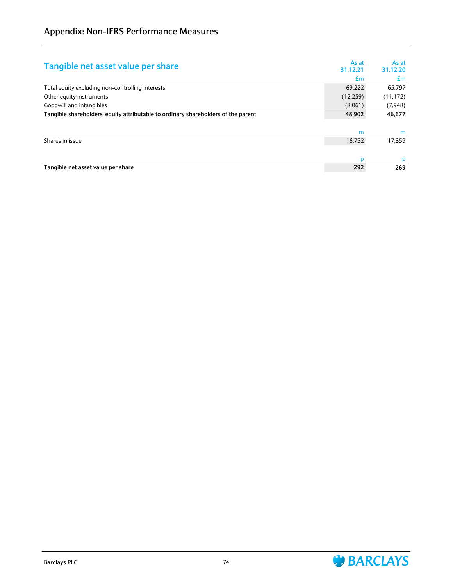| As at<br>Tangible net asset value per share<br>31.12.21                                     | As at<br>31.12.20 |
|---------------------------------------------------------------------------------------------|-------------------|
| £m                                                                                          | £m                |
| 69,222<br>Total equity excluding non-controlling interests                                  | 65,797            |
| (12, 259)<br>Other equity instruments                                                       | (11, 172)         |
| Goodwill and intangibles<br>(8,061)                                                         | (7, 948)          |
| Tangible shareholders' equity attributable to ordinary shareholders of the parent<br>48,902 | 46,677            |
|                                                                                             |                   |
| m                                                                                           | m                 |
| Shares in issue<br>16,752                                                                   | 17.359            |
|                                                                                             |                   |
| D                                                                                           | p                 |
| 292<br>Tangible net asset value per share                                                   | 269               |